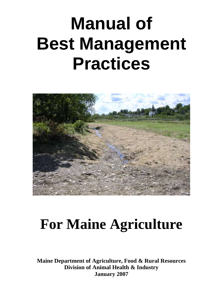# **Manual of Best Management Practices**



## **For Maine Agriculture**

**Maine Department of Agriculture, Food & Rural Resources Division of Animal Health & Industry January 2007**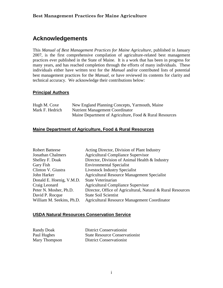## **Acknowledgements**

This *Manual of Best Management Practices for Maine Agriculture*, published in January 2007, is the first comprehensive compilation of agriculture-related best management practices ever published in the State of Maine. It is a work that has been in progress for many years, and has reached completion through the efforts of many individuals. These individuals either have written text for the *Manual* and/or contributed lists of potential best management practices for the *Manual*, or have reviewed its contents for clarity and technical accuracy. We acknowledge their contributions below:

#### **Principal Authors**

| Hugh M. Coxe    | New England Planning Concepts, Yarmouth, Maine          |
|-----------------|---------------------------------------------------------|
| Mark F. Hedrich | Nutrient Management Coordinator                         |
|                 | Maine Department of Agriculture, Food & Rural Resources |

#### **Maine Department of Agriculture, Food & Rural Resources**

| Acting Director, Division of Plant Industry                 |
|-------------------------------------------------------------|
| <b>Agricultural Compliance Supervisor</b>                   |
| Director, Division of Animal Health & Industry              |
| <b>Environmental Specialist</b>                             |
| <b>Livestock Industry Specialist</b>                        |
| <b>Agricultural Resource Management Specialist</b>          |
| State Veterinarian                                          |
| <b>Agricultural Compliance Supervisor</b>                   |
| Director, Office of Agricultural, Natural & Rural Resources |
| <b>State Soil Scientist</b>                                 |
| <b>Agricultural Resource Management Coordinator</b>         |
|                                                             |

#### **USDA Natural Resources Conservation Service**

Randy Doak District Conservationist Paul Hughes State Resource Conservationist Mary Thompson District Conservationist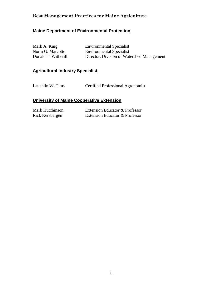### **Maine Department of Environmental Protection**

| Mark A. King        | <b>Environmental Specialist</b>            |
|---------------------|--------------------------------------------|
| Norm G. Marcotte    | <b>Environmental Specialist</b>            |
| Donald T. Witherill | Director, Division of Watershed Management |

### **Agricultural Industry Specialist**

Lauchlin W. Titus Certified Professional Agronomist

### **University of Maine Cooperative Extension**

| Mark Hutchinson | Extension Educator & Professor |
|-----------------|--------------------------------|
| Rick Kersbergen | Extension Educator & Professor |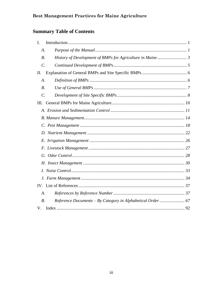## **Summary Table of Contents**

| I.                    |                                                            |  |
|-----------------------|------------------------------------------------------------|--|
| A.                    |                                                            |  |
| $B$ .                 |                                                            |  |
| $\mathcal{C}$ .       |                                                            |  |
| II.                   |                                                            |  |
| A.                    |                                                            |  |
| <i>B.</i>             |                                                            |  |
| $\mathcal{C}$ .       |                                                            |  |
| III.                  |                                                            |  |
|                       |                                                            |  |
|                       |                                                            |  |
|                       |                                                            |  |
|                       |                                                            |  |
|                       |                                                            |  |
|                       |                                                            |  |
|                       |                                                            |  |
|                       |                                                            |  |
|                       |                                                            |  |
|                       |                                                            |  |
|                       |                                                            |  |
| $\mathcal{A}_{\cdot}$ |                                                            |  |
| $B$ .                 | Reference Documents - By Category in Alphabetical Order 67 |  |
| V.                    |                                                            |  |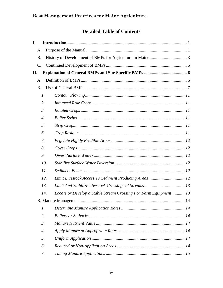## **Detailed Table of Contents**

| I.              |                    |                                                                  |
|-----------------|--------------------|------------------------------------------------------------------|
| A.              |                    |                                                                  |
| <b>B.</b>       |                    |                                                                  |
| $\mathcal{C}$ . |                    |                                                                  |
| П.              |                    |                                                                  |
| A.              |                    |                                                                  |
| <b>B.</b>       |                    |                                                                  |
|                 | $\mathcal{I}$ .    |                                                                  |
|                 | 2.                 |                                                                  |
|                 | $\mathfrak{Z}$ .   |                                                                  |
|                 | $\overline{4}$ .   |                                                                  |
|                 | 5.                 |                                                                  |
|                 | 6.                 |                                                                  |
|                 | 7.                 |                                                                  |
|                 | 8.                 |                                                                  |
|                 | 9.                 |                                                                  |
|                 | 10.                |                                                                  |
|                 | 11.                |                                                                  |
|                 | 12.                |                                                                  |
|                 | 13.                |                                                                  |
|                 | 14.                | Locate or Develop a Stable Stream Crossing For Farm Equipment 13 |
|                 |                    |                                                                  |
|                 | $\mathfrak{1}.$    |                                                                  |
|                 | 2.                 |                                                                  |
|                 | $\mathfrak{Z}$ .   |                                                                  |
|                 | $\boldsymbol{4}$ . |                                                                  |
|                 | 5.                 |                                                                  |
|                 | 6.                 |                                                                  |
|                 | 7.                 |                                                                  |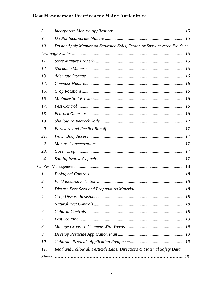| 8.               |                                                                          |  |
|------------------|--------------------------------------------------------------------------|--|
| 9.               |                                                                          |  |
| 10.              | Do not Apply Manure on Saturated Soils, Frozen or Snow-covered Fields or |  |
|                  |                                                                          |  |
| 11.              |                                                                          |  |
| 12.              |                                                                          |  |
| 13.              |                                                                          |  |
| 14.              |                                                                          |  |
| 15.              |                                                                          |  |
| 16.              |                                                                          |  |
| 17.              |                                                                          |  |
| 18.              |                                                                          |  |
| 19.              |                                                                          |  |
| 20.              |                                                                          |  |
| 21.              |                                                                          |  |
| 22.              |                                                                          |  |
| 23.              |                                                                          |  |
| 24.              |                                                                          |  |
|                  |                                                                          |  |
| 1.               |                                                                          |  |
| 2.               |                                                                          |  |
| $\mathfrak{Z}$ . |                                                                          |  |
| 4.               |                                                                          |  |
| 5.               |                                                                          |  |
| 6.               |                                                                          |  |
| 7.               |                                                                          |  |
| 8.               |                                                                          |  |
| 9.               |                                                                          |  |
| 10.              |                                                                          |  |
| 11.              | Read and Follow all Pesticide Label Directions & Material Safety Data    |  |
| <b>Sheets</b>    |                                                                          |  |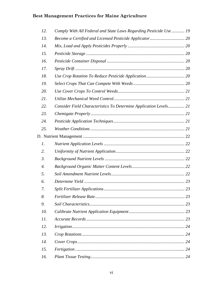| 12.                   | Comply With All Federal and State Laws Regarding Pesticide Use 19 |  |
|-----------------------|-------------------------------------------------------------------|--|
| 13.                   |                                                                   |  |
| 14.                   |                                                                   |  |
| 15.                   |                                                                   |  |
| 16.                   |                                                                   |  |
| 17.                   |                                                                   |  |
| 18.                   |                                                                   |  |
| 19.                   |                                                                   |  |
| 20.                   |                                                                   |  |
| 21.                   |                                                                   |  |
| 22.                   | Consider Field Characteristics To Determine Application Levels 21 |  |
| 23.                   |                                                                   |  |
| 24.                   |                                                                   |  |
| 25.                   |                                                                   |  |
|                       |                                                                   |  |
| $\mathfrak{1}.$       |                                                                   |  |
| 2.                    |                                                                   |  |
| $\mathfrak{Z}$ .      |                                                                   |  |
| $\mathcal{A}_{\cdot}$ |                                                                   |  |
| 5.                    |                                                                   |  |
| 6.                    |                                                                   |  |
| 7.                    |                                                                   |  |
| 8.                    |                                                                   |  |
| 9.                    |                                                                   |  |
| 10.                   |                                                                   |  |
| 11.                   |                                                                   |  |
| 12.                   |                                                                   |  |
| 13.                   |                                                                   |  |
| 14.                   |                                                                   |  |
| 15.                   |                                                                   |  |
| 16.                   |                                                                   |  |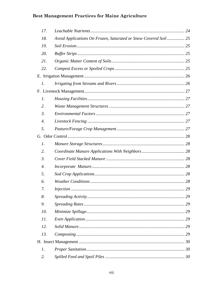| 17.              |                                                                 |    |
|------------------|-----------------------------------------------------------------|----|
| 18.              | Avoid Applications On Frozen, Saturated or Snow Covered Soil 25 |    |
| 19.              |                                                                 |    |
| 20.              |                                                                 |    |
| 21.              |                                                                 |    |
| 22.              |                                                                 |    |
|                  |                                                                 |    |
| 1.               |                                                                 |    |
|                  |                                                                 |    |
| 1.               |                                                                 |    |
| 2.               |                                                                 |    |
| $\mathfrak{Z}$ . |                                                                 |    |
| $\overline{4}$ . |                                                                 |    |
| 5.               |                                                                 |    |
|                  |                                                                 |    |
| $\mathfrak{1}.$  |                                                                 |    |
| 2.               |                                                                 |    |
| $\mathfrak{Z}$ . |                                                                 |    |
| $\overline{4}$ . |                                                                 |    |
| 5.               |                                                                 |    |
| 6.               |                                                                 |    |
| 7.               |                                                                 |    |
| 8.               |                                                                 | 29 |
| 9.               |                                                                 |    |
| 10.              |                                                                 |    |
| 11.              |                                                                 |    |
| 12.              |                                                                 | 29 |
| 13.              |                                                                 |    |
|                  |                                                                 |    |
| 1.               |                                                                 |    |
| 2.               |                                                                 |    |
|                  |                                                                 |    |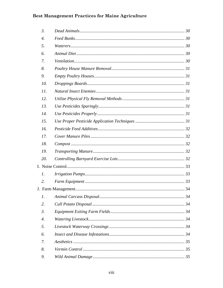| $\mathfrak{Z}$ .      |  |
|-----------------------|--|
| $\overline{4}$ .      |  |
| 5.                    |  |
| 6.                    |  |
| 7.                    |  |
| 8.                    |  |
| 9.                    |  |
| 10.                   |  |
| 11.                   |  |
| 12.                   |  |
| 13.                   |  |
| 14.                   |  |
| 15.                   |  |
| 16.                   |  |
| 17.                   |  |
| 18.                   |  |
| 19.                   |  |
| 20.                   |  |
|                       |  |
| $\mathcal{I}$ .       |  |
| 2.                    |  |
|                       |  |
| $\mathfrak{1}.$       |  |
| 2.                    |  |
| $\mathfrak{Z}$ .      |  |
| $\mathcal{A}_{\cdot}$ |  |
| 5.                    |  |
| 6.                    |  |
| 7.                    |  |
| 8.                    |  |
| 9.                    |  |
|                       |  |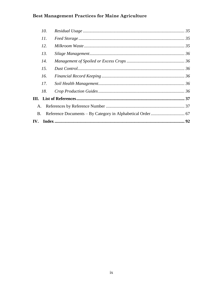|           | 10. |  |
|-----------|-----|--|
|           | 11. |  |
|           | 12. |  |
|           | 13. |  |
|           | 14. |  |
|           | 15. |  |
|           | 16. |  |
|           | 17. |  |
|           | 18. |  |
|           |     |  |
| A.        |     |  |
| <b>B.</b> |     |  |
|           |     |  |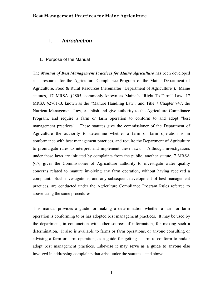#### <span id="page-10-0"></span>I. *Introduction*

<span id="page-10-1"></span>1. Purpose of the Manual

The *Manual of Best Management Practices for Maine Agriculture* has been developed as a resource for the Agriculture Compliance Program of the Maine Department of Agriculture, Food & Rural Resources (hereinafter "Department of Agriculture"). Maine statutes, 17 MRSA §2805, commonly known as Maine's "Right-To-Farm" Law, 17 MRSA §2701-B, known as the "Manure Handling Law", and Title 7 Chapter 747, the Nutrient Management Law, establish and give authority to the Agriculture Compliance Program, and require a farm or farm operation to conform to and adopt "best management practices". These statutes give the commissioner of the Department of Agriculture the authority to determine whether a farm or farm operation is in conformance with best management practices, and require the Department of Agriculture to promulgate rules to interpret and implement these laws. Although investigations under these laws are initiated by complaints from the public, another statute, 7 MRSA §17, gives the Commissioner of Agriculture authority to investigate water quality concerns related to manure involving any farm operation, without having received a complaint. Such investigations, and any subsequent development of best management practices, are conducted under the Agriculture Compliance Program Rules referred to above using the same procedures.

This manual provides a guide for making a determination whether a farm or farm operation is conforming to or has adopted best management practices. It may be used by the department, in conjunction with other sources of information, for making such a determination. It also is available to farms or farm operations, or anyone consulting or advising a farm or farm operation, as a guide for getting a farm to conform to and/or adopt best management practices. Likewise it may serve as a guide to anyone else involved in addressing complaints that arise under the statutes listed above.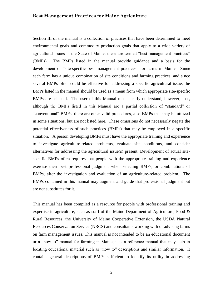Section III of the manual is a collection of practices that have been determined to meet environmental goals and commodity production goals that apply to a wide variety of agricultural issues in the State of Maine; these are termed "best management practices" (BMPs). The BMPs listed in the manual provide guidance and a basis for the development of "site-specific best management practices" for farms in Maine. Since each farm has a unique combination of site conditions and farming practices, and since several BMPs often could be effective for addressing a specific agricultural issue, the BMPs listed in the manual should be used as a menu from which appropriate site-specific BMPs are selected. The user of this Manual must clearly understand, however, that, although the BMPs listed in this Manual are a partial collection of "standard" or "conventional" BMPs, there are other valid procedures, also BMPs that may be utilized in some situations, but are not listed here. These omissions do not necessarily negate the potential effectiveness of such practices (BMPs) that may be employed in a specific situation. A person developing BMPs must have the appropriate training and experience to investigate agriculture-related problems, evaluate site conditions, and consider alternatives for addressing the agricultural issue(s) present. Development of actual sitespecific BMPs often requires that people with the appropriate training and experience exercise their best professional judgment when selecting BMPs, or combinations of BMPs, after the investigation and evaluation of an agriculture-related problem. The BMPs contained in this manual may augment and guide that professional judgment but are not substitutes for it.

This manual has been compiled as a resource for people with professional training and expertise in agriculture, such as staff of the Maine Department of Agriculture, Food & Rural Resources, the University of Maine Cooperative Extension, the USDA Natural Resources Conservation Service (NRCS) and consultants working with or advising farms on farm management issues. This manual is not intended to be an educational document or a "how-to" manual for farming in Maine; it is a reference manual that may help in locating educational material such as "how to" descriptions and similar information. It contains general descriptions of BMPs sufficient to identify its utility in addressing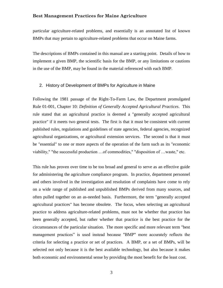particular agriculture-related problems, and essentially is an annotated list of known BMPs that may pertain to agriculture-related problems that occur on Maine farms.

The descriptions of BMPs contained in this manual are a starting point. Details of how to implement a given BMP, the scientific basis for the BMP, or any limitations or cautions in the use of the BMP, may be found in the material referenced with each BMP.

#### <span id="page-12-0"></span>2. History of Development of BMPs for Agriculture in Maine

Following the 1981 passage of the Right-To-Farm Law, the Department promulgated Rule 01-001, Chapter 10: *Definition of Generally Accepted Agricultural Practices*. This rule stated that an agricultural practice is deemed a "generally accepted agricultural practice" if it meets two general tests. The first is that it must be consistent with current published rules, regulations and guidelines of state agencies, federal agencies, recognized agricultural organizations, or agricultural extension services. The second is that it must be "essential" to one or more aspects of the operation of the farm such as its "economic viability," "the successful production …of commodities," "disposition of …waste," etc.

This rule has proven over time to be too broad and general to serve as an effective guide for administering the agriculture compliance program. In practice, department personnel and others involved in the investigation and resolution of complaints have come to rely on a wide range of published and unpublished BMPs derived from many sources, and often pulled together on an as-needed basis. Furthermore, the term "generally accepted agricultural practices" has become obsolete. The focus, when selecting an agricultural practice to address agriculture-related problems, must not be whether that practice has been generally accepted, but rather whether that practice is the best practice for the circumstances of the particular situation. The more specific and more relevant term "best management practices" is used instead because "BMP" more accurately reflects the criteria for selecting a practice or set of practices. A BMP, or a set of BMPs, will be selected not only because it is the best available technology, but also because it makes both economic and environmental sense by providing the most benefit for the least cost.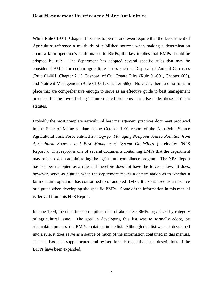While Rule 01-001, Chapter 10 seems to permit and even require that the Department of Agriculture reference a multitude of published sources when making a determination about a farm operation's conformance to BMPs, the law implies that BMPs should be adopted by rule. The department has adopted several specific rules that may be considered BMPs for certain agriculture issues such as Disposal of Animal Carcasses (Rule 01-001, Chapter 211), Disposal of Cull Potato Piles (Rule 01-001, Chapter 600), and Nutrient Management (Rule 01-001, Chapter 565). However, there are no rules in place that are comprehensive enough to serve as an effective guide to best management practices for the myriad of agriculture-related problems that arise under these pertinent statutes.

Probably the most complete agricultural best management practices document produced in the State of Maine to date is the October 1991 report of the Non-Point Source Agricultural Task Force entitled *Strategy for Managing Nonpoint Source Pollution from Agricultural Sources and Best Management System Guidelines* (hereinafter "NPS Report"). That report is one of several documents containing BMPs that the department may refer to when administering the agriculture compliance program. The NPS Report has not been adopted as a rule and therefore does not have the force of law. It does, however, serve as a guide when the department makes a determination as to whether a farm or farm operation has conformed to or adopted BMPs. It also is used as a resource or a guide when developing site specific BMPs. Some of the information in this manual is derived from this NPS Report.

In June 1999, the department compiled a list of about 130 BMPs organized by category of agricultural issue. The goal in developing this list was to formally adopt, by rulemaking process, the BMPs contained in the list. Although that list was not developed into a rule, it does serve as a source of much of the information contained in this manual. That list has been supplemented and revised for this manual and the descriptions of the BMPs have been expanded.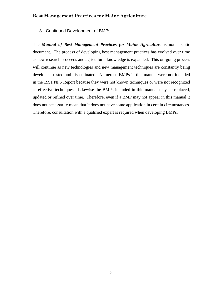<span id="page-14-0"></span>3. Continued Development of BMPs

The *Manual of Best Management Practices for Maine Agriculture* is not a static document. The process of developing best management practices has evolved over time as new research proceeds and agricultural knowledge is expanded. This on-going process will continue as new technologies and new management techniques are constantly being developed, tested and disseminated. Numerous BMPs in this manual were not included in the 1991 NPS Report because they were not known techniques or were not recognized as effective techniques. Likewise the BMPs included in this manual may be replaced, updated or refined over time. Therefore, even if a BMP may not appear in this manual it does not necessarily mean that it does not have some application in certain circumstances. Therefore, consultation with a qualified expert is required when developing BMPs.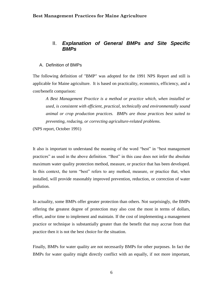#### <span id="page-15-0"></span>II. *Explanation of General BMPs and Site Specific BMPs*

#### <span id="page-15-1"></span>A. Definition of BMPs

The following definition of "BMP" was adopted for the 1991 NPS Report and still is applicable for Maine agriculture. It is based on practicality, economics, efficiency, and a cost/benefit comparison:

*A Best Management Practice is a method or practice which, when installed or used, is consistent with efficient, practical, technically and environmentally sound animal or crop production practices. BMPs are those practices best suited to preventing, reducing, or correcting agriculture-related problems.* 

(NPS report, October 1991)

It also is important to understand the meaning of the word "best" in "best management practices" as used in the above definition. "Best" in this case does not infer the absolute maximum water quality protection method, measure, or practice that has been developed. In this context, the term "best" refers to any method, measure, or practice that, when installed, will provide reasonably improved prevention, reduction, or correction of water pollution.

In actuality, some BMPs offer greater protection than others. Not surprisingly, the BMPs offering the greatest degree of protection may also cost the most in terms of dollars, effort, and/or time to implement and maintain. If the cost of implementing a management practice or technique is substantially greater than the benefit that may accrue from that practice then it is not the best choice for the situation.

Finally, BMPs for water quality are not necessarily BMPs for other purposes. In fact the BMPs for water quality might directly conflict with an equally, if not more important,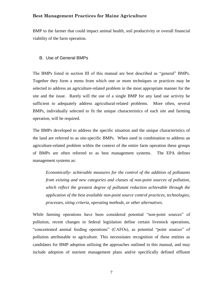BMP to the farmer that could impact animal health, soil productivity or overall financial viability of the farm operation.

#### <span id="page-16-0"></span>B. Use of General BMPs

The BMPs listed in section III of this manual are best described as "general" BMPs. Together they form a menu from which one or more techniques or practices may be selected to address an agriculture-related problem in the most appropriate manner for the site and the issue. Rarely will the use of a single BMP for any land use activity be sufficient to adequately address agricultural-related problems. More often, several BMPs, individually selected to fit the unique characteristics of each site and farming operation, will be required.

The BMPs developed to address the specific situation and the unique characteristics of the land are referred to as site-specific BMPs. When used in combination to address an agriculture-related problem within the context of the entire farm operation these groups of BMPs are often referred to as best management systems. The EPA defines management systems as:

*Economically- achievable measures for the control of the addition of pollutants from existing and new categories and classes of non-point sources of pollution, which reflect the greatest degree of pollutant reduction achievable through the application of the best available non-point source control practices, technologies, processes, siting criteria, operating methods, or other alternatives.*

While farming operations have been considered potential "non-point sources" of pollution, recent changes in federal legislation define certain livestock operations, "concentrated animal feeding operations" (CAFOs), as potential "point sources" of pollution attributable to agriculture. This necessitates recognition of these entities as candidates for BMP adoption utilizing the approaches outlined in this manual, and may include adoption of nutrient management plans and/or specifically defined effluent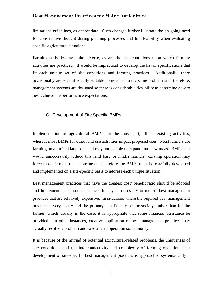limitations guidelines, as appropriate. Such changes further illustrate the on-going need for constructive thought during planning processes and for flexibility when evaluating specific agricultural situations.

Farming activities are quite diverse, as are the site conditions upon which farming activities are practiced. It would be impractical to develop the list of specifications that fit each unique set of site conditions and farming practices. Additionally, there occasionally are several equally suitable approaches to the same problem and, therefore, management systems are designed so there is considerable flexibility to determine *how* to best achieve the performance expectations.

#### <span id="page-17-0"></span>C. Development of Site Specific BMPs

Implementation of agricultural BMPs, for the most part, affects existing activities, whereas most BMPs for other land use activities impact proposed uses. Most farmers are farming on a limited land base and may not be able to expand into new areas. BMPs that would unnecessarily reduce this land base or hinder farmers' existing operation may force those farmers out of business. Therefore the BMPs must be carefully developed and implemented on a site-specific basis to address each unique situation.

Best management practices that have the greatest cost/ benefit ratio should be adopted and implemented. In some instances it may be necessary to require best management practices that are relatively expensive. In situations where the required best management practice is very costly and the primary benefit may be for society, rather than for the farmer, which usually is the case, it is appropriate that some financial assistance be provided. In other instances, creative application of best management practices may actually resolve a problem and save a farm operation some money.

It is because of the myriad of potential agricultural-related problems, the uniqueness of site conditions, and the interconnectivity and complexity of farming operations that development of site-specific best management practices is approached systematically –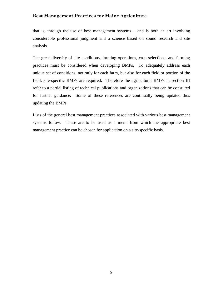that is, through the use of best management systems – and is both an art involving considerable professional judgment and a science based on sound research and site analysis.

The great diversity of site conditions, farming operations, crop selections, and farming practices must be considered when developing BMPs. To adequately address each unique set of conditions, not only for each farm, but also for each field or portion of the field, site-specific BMPs are required. Therefore the agricultural BMPs in section III refer to a partial listing of technical publications and organizations that can be consulted for further guidance. Some of these references are continually being updated thus updating the BMPs.

Lists of the general best management practices associated with various best management systems follow. These are to be used as a menu from which the appropriate best management practice can be chosen for application on a site-specific basis.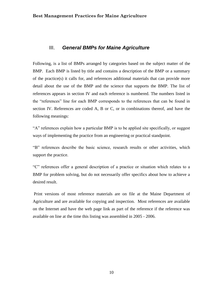#### <span id="page-19-0"></span>III. *General BMPs for Maine Agriculture*

Following, is a list of BMPs arranged by categories based on the subject matter of the BMP. Each BMP is listed by title and contains a description of the BMP or a summary of the practice(s) it calls for, and references additional materials that can provide more detail about the use of the BMP and the science that supports the BMP. The list of references appears in section IV and each reference is numbered. The numbers listed in the "references" line for each BMP corresponds to the references that can be found in section IV. References are coded A, B or C, or in combinations thereof, and have the following meanings:

"A" references explain how a particular BMP is to be applied site specifically, or suggest ways of implementing the practice from an engineering or practical standpoint.

"B" references describe the basic science, research results or other activities, which support the practice.

"C" references offer a general description of a practice or situation which relates to a BMP for problem solving, but do not necessarily offer specifics about how to achieve a desired result.

Print versions of most reference materials are on file at the Maine Department of Agriculture and are available for copying and inspection. Most references are available on the Internet and have the web page link as part of the reference if the reference was available on line at the time this listing was assembled in 2005 - 2006.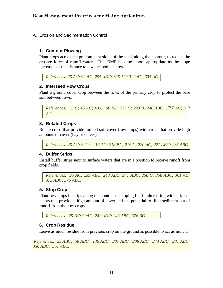<span id="page-20-0"></span>A. Erosion and Sedimentation Control

#### <span id="page-20-1"></span>**1. Contour Plowing**

Plant crops across the predominant slope of the land, along the contour, to reduce the erosive force of runoff water. This BMP becomes more appropriate as the slope increases or the distance to a water-body decreases.

*References: 25 AC; 99 AC; 255 ABC; 306 AC; 329 AC; 335 AC.*

#### <span id="page-20-2"></span>**2. Interseed Row Crops**

Plant a ground cover crop between the rows of the primary crop to protect the bare soil between rows.

*References: 25 C; 45 AC; 49 C; 50 BC; 217 C; 223 B; 246 ABC; 277 AC; 317 AC.*

#### <span id="page-20-3"></span>**3. Rotated Crops**

Rotate crops that provide limited soil cover (row crops) with crops that provide high amounts of cover (hay or clover).

*References: 45 AC; 99C; 213 AC; 218 BC; 219 C; 220 AC; 221 ABC; 238 ABC.* 

#### <span id="page-20-4"></span>**4. Buffer Strips**

Install buffer strips next to surface waters that are in a position to receive runoff from crop fields.

```
References: 25 AC; 239 ABC; 240 ABC; 241 ABC; 258 C; 358 ABC; 361 AC; 
375 ABC; 376 ABC.
```
#### <span id="page-20-5"></span>**5. Strip Crop**

Plant row crops in strips along the contour on sloping fields, alternating with strips of plants that provide a high amount of cover and the potential to filter sediment out of runoff from the row crops.

```
References: 25 BC; 99AC; 242 ABC; 243 ABC; 376 BC.
```
#### <span id="page-20-6"></span>**6. Crop Residue**

Leave as much residue from previous crop on the ground as possible to act as mulch.

*References: 25 ABC; 58 ABC; 136 ABC; 207 ABC; 208 ABC; 243 ABC; 281 ABC; 336 ABC; 361 ABC.*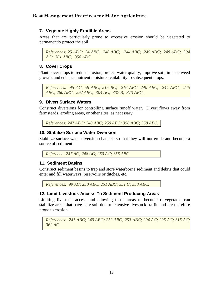#### <span id="page-21-0"></span>**7. Vegetate Highly Erodible Areas**

Areas that are particularly prone to excessive erosion should be vegetated to permanently protect the soil.

*References: 25 ABC; 34 ABC; 240 ABC; 244 ABC; 245 ABC; 248 ABC; 304 AC; 361 ABC; 358 ABC.* 

#### <span id="page-21-1"></span>**8. Cover Crops**

Plant cover crops to reduce erosion, protect water quality, improve soil, impede weed growth, and enhance nutrient moisture availability to subsequent crops.

*References: 45 AC; 58 ABC; 215 BC; 216 ABC; 240 ABC; 244 ABC; 245 ABC; 260 ABC; 292 ABC; 304 AC; 337 B; 373 ABC.*

#### <span id="page-21-2"></span>**9. Divert Surface Waters**

Construct diversions for controlling surface runoff water. Divert flows away from farmsteads, eroding areas, or other sites, as necessary.

<span id="page-21-3"></span>*References: 247 ABC; 248 ABC; 250 ABC; 356 ABC; 358 ABC.* 

#### **10. Stabilize Surface Water Diversion**

Stabilize surface water diversion channels so that they will not erode and become a source of sediment.

<span id="page-21-4"></span>*Reference: 247 AC; 248 AC; 250 AC; 358 ABC*

#### **11. Sediment Basins**

Construct sediment basins to trap and store waterborne sediment and debris that could enter and fill waterways, reservoirs or ditches, etc.

<span id="page-21-5"></span>*References: 99 AC; 250 ABC; 251 ABC; 351 C; 358 ABC.*

#### **12. Limit Livestock Access To Sediment Producing Areas**

Limiting livestock access and allowing those areas to become re-vegetated can stabilize areas that have bare soil due to extensive livestock traffic and are therefore prone to erosion.

*References: 241 ABC; 249 ABC; 252 ABC; 253 ABC; 294 AC; 295 AC; 315 AC; 362 AC.*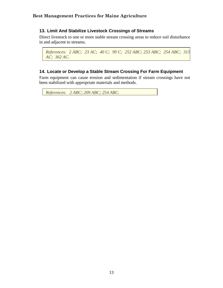#### <span id="page-22-0"></span>**13. Limit And Stabilize Livestock Crossings of Streams**

Direct livestock to one or more stable stream crossing areas to reduce soil disturbance in and adjacent to streams.

```
References: 2 ABC; 23 AC; 40 C; 99 C; 252 ABC; 253 ABC; 254 ABC; 315 
AC; 362 AC.
```
#### <span id="page-22-1"></span>**14. Locate or Develop a Stable Stream Crossing For Farm Equipment**

Farm equipment can cause erosion and sedimentation if stream crossings have not been stabilized with appropriate materials and methods.

```
References: 2 ABC; 209 ABC; 254 ABC.
```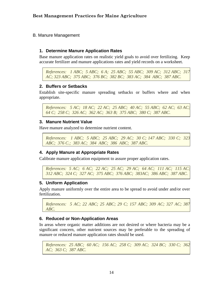<span id="page-23-0"></span>B. Manure Management

#### <span id="page-23-1"></span>**1. Determine Manure Application Rates**

Base manure application rates on realistic yield goals to avoid over fertilizing. Keep accurate fertilizer and manure applications rates and yield records on a worksheet.

```
References: 1 ABC; 5 ABC; 6 A; 25 ABC; 55 ABC; 309 AC; 312 ABC; 317 
AC; 323 ABC; 375 ABC; 376 BC; 382 BC; 383 AC; 384 ABC; 387 ABC.
```
#### <span id="page-23-2"></span>**2. Buffers or Setbacks**

Establish site-specific manure spreading setbacks or buffers where and when appropriate.

```
References: 5 AC; 18 AC; 22 AC; 25 ABC; 40 AC; 55 ABC; 62 AC; 63 AC; 
64 C; 258 C; 326 AC; 362 AC; 363 B; 375 ABC; 380 C; 387 ABC.
```
#### <span id="page-23-3"></span>**3. Manure Nutrient Value**

Have manure analyzed to determine nutrient content.

```
References: 1 ABC; 5 ABC; 25 ABC; 29 AC; 30 C; 147 ABC; 330 C; 323 
ABC; 376 C.; 383 AC; 384 ABC; 386 ABC; 387 ABC.
```
#### <span id="page-23-4"></span>**4. Apply Manure at Appropriate Rates**

Calibrate manure application equipment to assure proper application rates.

```
References: 5 AC; 6 AC; 22 AC; 25 AC; 29 AC; 64 AC; 111 AC; 115 AC; 
312 ABC; 324 C; 327 AC; 375 ABC; 376 ABC; 383AC; 386 ABC; 387 ABC.
```
#### <span id="page-23-5"></span>**5. Uniform Application**

Apply manure uniformly over the entire area to be spread to avoid under and/or over fertilization.

*References: 5 AC; 22 ABC; 25 ABC; 29 C; 157 ABC; 309 AC; 327 AC; 387 ABC.* 

#### <span id="page-23-6"></span>**6. Reduced or Non-Application Areas**

In areas where organic matter additions are not desired or where bacteria may be a significant concern, other nutrient sources may be preferable to the spreading of manure or reduced manure application rates should be used.

```
References: 25 ABC; 60 AC; 156 AC; 258 C; 309 AC; 324 BC; 330 C; 362 
AC; 363 C; 387 ABC.
```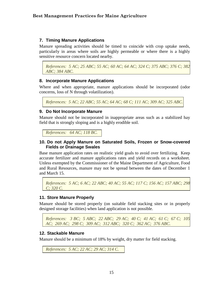#### <span id="page-24-0"></span>**7. Timing Manure Applications**

Manure spreading activities should be timed to coincide with crop uptake needs, particularly in areas where soils are highly permeable or where there is a highly sensitive resource concern located nearby.

*References: 5 AC; 25 ABC; 55 AC; 60 AC; 64 AC; 324 C; 375 ABC; 376 C; 382 ABC; 384 ABC.* 

#### <span id="page-24-1"></span>**8. Incorporate Manure Applications**

Where and when appropriate, manure applications should be incorporated (odor concerns, loss of N through volatilization).

*References: 5 AC; 22 ABC; 55 AC; 64 AC; 68 C; 111 AC; 309 AC; 325 ABC.* 

#### <span id="page-24-2"></span>**9. Do Not Incorporate Manure**

Manure should not be incorporated in inappropriate areas such as a stabilized hay field that is strongly sloping and is a highly erodible soil.

<span id="page-24-3"></span>*References: 64 AC; 118 BC.*

#### **10. Do not Apply Manure on Saturated Soils, Frozen or Snow-covered Fields or Drainage Swales**

Base manure application rates on realistic yield goals to avoid over fertilizing. Keep accurate fertilizer and manure applications rates and yield records on a worksheet. Unless exempted by the Commissioner of the Maine Department of Agriculture, Food and Rural Resources, manure may not be spread between the dates of December 1 and March 15.

*References: 5 AC; 6 AC; 22 ABC; 40 AC; 55 AC; 117 C; 156 AC; 157 ABC; 298 C; 320 C.* 

#### <span id="page-24-4"></span>**11. Store Manure Properly**

Manure should be stored properly (on suitable field stacking sites or in properly designed storage facilities) when land application is not possible.

*References: 3 BC; 5 ABC; 22 ABC; 29 AC; 40 C; 41 AC; 61 C; 67 C; 105 AC; 269 AC; 298 C; 309 AC; 312 ABC; 320 C; 362 AC; 376 ABC.*

#### <span id="page-24-5"></span>**12. Stackable Manure**

Manure should be a minimum of 18% by weight, dry matter for field stacking.

*References: 5 AC; 22 AC; 29 AC; 314 C.*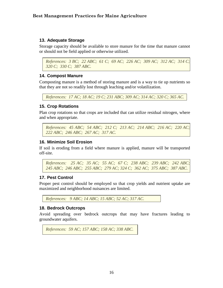#### <span id="page-25-0"></span>**13. Adequate Storage**

Storage capacity should be available to store manure for the time that manure cannot or should not be field applied or otherwise utilized.

```
References: 3 BC; 22 ABC; 61 C; 69 AC; 226 AC; 309 AC; 312 AC; 314 C; 
320 C; 330 C; 387 ABC.
```
#### <span id="page-25-1"></span>**14. Compost Manure**

Composting manure is a method of storing manure and is a way to tie up nutrients so that they are not so readily lost through leaching and/or volatilization.

<span id="page-25-2"></span>*References: 17 AC; 18 AC; 19 C; 231 ABC; 309 AC; 314 AC; 320 C; 365 AC.*

#### **15. Crop Rotations**

Plan crop rotations so that crops are included that can utilize residual nitrogen, where and when appropriate.

```
References: 45 ABC; 54 ABC; 212 C; 213 AC; 214 ABC; 216 AC; 220 AC; 
222 ABC; 246 ABC; 267 AC; 317 AC.
```
#### <span id="page-25-3"></span>**16. Minimize Soil Erosion**

If soil is eroding from a field where manure is applied, manure will be transported off-site.

*References: 25 AC; 35 AC; 55 AC; 67 C; 238 ABC; 239 ABC; 242 ABC; 245 ABC; 246 ABC; 255 ABC; 279 AC; 324 C; 362 AC; 375 ABC; 387 ABC.*

#### <span id="page-25-4"></span>**17. Pest Control**

Proper pest control should be employed so that crop yields and nutrient uptake are maximized and neighborhood nuisances are limited.

<span id="page-25-5"></span>*References: 9 ABC; 14 ABC; 15 ABC; 52 AC; 317 AC.*

#### **18. Bedrock Outcrops**

Avoid spreading over bedrock outcrops that may have fractures leading to groundwater aquifers.

```
References: 59 AC; 157 ABC; 158 AC; 338 ABC.
```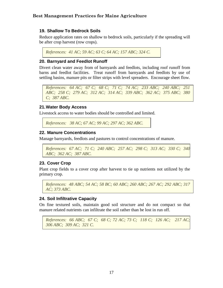#### <span id="page-26-0"></span>**19. Shallow To Bedrock Soils**

Reduce application rates on shallow to bedrock soils, particularly if the spreading will be after crop harvest (row crops).

<span id="page-26-1"></span>*References: 41 AC; 59 AC; 63 C; 64 AC; 157 ABC; 324 C.* 

#### **20. Barnyard and Feedlot Runoff**

Divert clean water away from of barnyards and feedlots, including roof runoff from barns and feedlot facilities. Treat runoff from barnyards and feedlots by use of settling basins, manure pits or filter strips with level spreaders. Encourage sheet flow.

*References: 64 AC; 67 C; 68 C; 71 C; 74 AC; 233 ABC; 240 ABC; 251 ABC; 258 C; 279 AC; 312 AC; 314 AC; 339 ABC; 362 AC; 375 ABC; 380 C; 387 ABC.* 

#### <span id="page-26-2"></span>**21.Water Body Access**

Livestock access to water bodies should be controlled and limited.

<span id="page-26-3"></span>*References: 38 AC; 67 AC; 99 AC; 297 AC; 362 ABC.*

#### **22. Manure Concentrations**

Manage barnyards, feedlots and pastures to control concentrations of manure.

```
References: 67 AC; 71 C; 240 ABC; 257 AC; 298 C; 313 AC; 330 C; 340 
ABC; 362 AC; 387 ABC.
```
#### <span id="page-26-4"></span>**23. Cover Crop**

Plant crop fields to a cover crop after harvest to tie up nutrients not utilized by the primary crop.

```
References: 48 ABC; 54 AC; 58 BC; 60 ABC; 260 ABC; 267 AC; 292 ABC; 317 
AC; 373 ABC.
```
#### <span id="page-26-5"></span>**24. Soil Infiltrative Capacity**

On fine textured soils, maintain good soil structure and do not compact so that manure related nutrients can infiltrate the soil rather than be lost in run off.

```
References: 66 ABC; 67 C; 68 C; 72 AC; 73 C; 118 C; 126 AC; 217 AC; 
306 ABC; 309 AC; 321 C.
```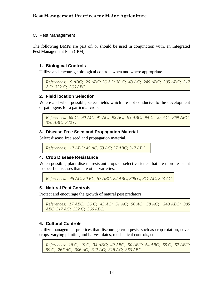#### <span id="page-27-0"></span>C. Pest Management

The following BMPs are part of, or should be used in conjunction with, an Integrated Pest Management Plan (IPM).

#### <span id="page-27-1"></span>**1. Biological Controls**

Utilize and encourage biological controls when and where appropriate.

```
References: 9 ABC; 20 ABC; 26 AC; 36 C; 43 AC; 249 ABC; 305 ABC; 317 
AC; 332 C; 366 ABC.
```
#### <span id="page-27-2"></span>**2. Field location Selection**

Where and when possible, select fields which are not conducive to the development of pathogens for a particular crop.

*References: 89 C; 90 AC; 91 AC; 92 AC; 93 ABC; 94 C: 95 AC; 369 ABC; 370 ABC; 372 C* 

#### <span id="page-27-3"></span>**3. Disease Free Seed and Propagation Material**

Select disease free seed and propagation material.

*References: 17 ABC; 45 AC; 53 AC; 57 ABC; 317 ABC.* 

#### <span id="page-27-4"></span>**4. Crop Disease Resistance**

When possible, plant disease resistant crops or select varieties that are more resistant to specific diseases than are other varieties.

*References: 45 AC; 50 BC; 57 ABC; 82 ABC; 306 C; 317 AC; 343 AC.*

#### <span id="page-27-5"></span>**5. Natural Pest Controls**

Protect and encourage the growth of natural pest predators.

```
References: 17 ABC; 36 C; 43 AC; 51 AC; 56 AC; 58 AC; 249 ABC; 305 
ABC 317 AC; 332 C; 366 ABC.
```
#### <span id="page-27-6"></span>**6. Cultural Controls**

Utilize management practices that discourage crop pests, such as crop rotation, cover crops, varying planting and harvest dates, mechanical controls, etc.

```
References: 18 C; 19 C; 34 ABC; 49 ABC; 50 ABC; 54 ABC; 55 C; 57 ABC; 
99 C; 267 AC; 306 AC; 317 AC; 318 AC; 366 ABC.
```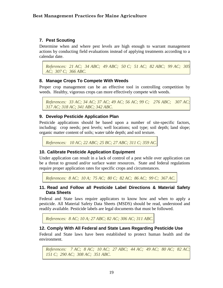#### <span id="page-28-0"></span>**7. Pest Scouting**

Determine when and where pest levels are high enough to warrant management actions by conducting field evaluations instead of applying treatments according to a calendar date.

*References: 21 AC; 34 ABC; 49 ABC; 50 C; 51 AC; 82 ABC; 99 AC; 305 AC; 307 C; 366 ABC.* 

#### <span id="page-28-1"></span>**8. Manage Crops To Compete With Weeds**

Proper crop management can be an effective tool in controlling competition by weeds. Healthy, vigorous crops can more effectively compete with weeds.

```
References: 33 AC; 34 AC; 37 AC; 49 AC; 56 AC; 99 C; 276 ABC; 307 AC; 
317 AC; 318 AC; 341 ABC; 342 ABC.
```
#### <span id="page-28-2"></span>**9. Develop Pesticide Application Plan**

Pesticide applications should be based upon a number of site-specific factors, including: crop needs; pest levels; well locations; soil type; soil depth; land slope; organic matter content of soils; water table depth; and soil texture.

<span id="page-28-3"></span>*References: 10 AC; 22 ABC; 25 BC; 27 ABC; 311 C; 359 AC.*

#### **10. Calibrate Pesticide Application Equipment**

Under application can result in a lack of control of a pest while over application can be a threat to ground and/or surface water resources. State and federal regulations require proper application rates for specific crops and circumstances.

<span id="page-28-4"></span>*References: 8 AC; 10 A; 75 AC; 80 C; 82 AC; 86 AC; 99 C; 367 AC.* 

#### **11. Read and Follow all Pesticide Label Directions & Material Safety Data Sheets**

Federal and State laws require applicators to know how and when to apply a pesticide. All Material Safety Data Sheets (MSDS) should be read, understood and readily available. Pesticide labels are legal documents that must be followed.

<span id="page-28-5"></span>*References: 8 AC; 10 A; 27 ABC; 82 AC; 306 AC; 311 ABC.* 

#### **12. Comply With All Federal and State Laws Regarding Pesticide Use**

Federal and State laws have been established to protect human health and the environment.

*References: 7 AC; 8 AC; 10 AC; 27 ABC; 44 AC; 49 AC; 80 AC; 82 AC; 151 C; 290 AC; 308 AC; 351 ABC.*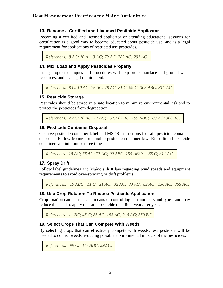#### <span id="page-29-0"></span>**13. Become a Certified and Licensed Pesticide Applicator**

Becoming a certified and licensed applicator or attending educational sessions for certification is a good way to become educated about pesticide use, and is a legal requirement for applications of restricted use pesticides.

<span id="page-29-1"></span>*References: 8 AC; 10 A; 13 AC; 79 AC; 282 AC; 291 AC.* 

#### **14. Mix, Load and Apply Pesticides Properly**

Using proper techniques and procedures will help protect surface and ground water resources, and is a legal requirement.

<span id="page-29-2"></span>*References: 8 C; 10 AC; 75 AC; 78 AC; 81 C; 99 C; 308 ABC; 311 AC.* 

#### **15. Pesticide Storage**

Pesticides should be stored in a safe location to minimize environmental risk and to protect the pesticides from degradation.

<span id="page-29-3"></span>*References: 7 AC; 10 AC; 12 AC; 76 C; 82 AC; 155 ABC; 283 AC; 308 AC.* 

#### **16. Pesticide Container Disposal**

Observe pesticide container label and MSDS instructions for safe pesticide container disposal. Follow Maine's returnable pesticide container law. Rinse liquid pesticide containers a minimum of three times.

<span id="page-29-4"></span>*References: 10 AC; 76 AC; 77 AC; 99 ABC; 155 ABC; 285 C; 311 AC.*

#### **17. Spray Drift**

Follow label guidelines and Maine's drift law regarding wind speeds and equipment requirements to avoid over-spraying or drift problems.

<span id="page-29-5"></span>*References: 10 ABC; 11 C; 21 AC; 32 AC; 80 AC; 82 AC; 150 AC; 359 AC.*

#### **18. Use Crop Rotation To Reduce Pesticide Application**

Crop rotation can be used as a means of controlling pest numbers and types, and may reduce the need to apply the same pesticide on a field year after year.

<span id="page-29-6"></span>*References: 11 BC; 45 C; 85 AC; 155 AC; 216 AC; 359 BC.*

#### **19. Select Crops That Can Compete With Weeds**

By selecting crops that can effectively compete with weeds, less pesticide will be needed to control weeds, reducing possible environmental impacts of the pesticides.

```
References: 99 C: 317 ABC; 292 C.
```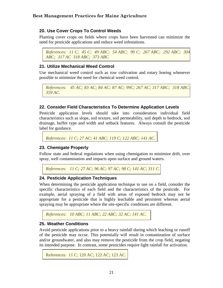#### <span id="page-30-0"></span>**20. Use Cover Crops To Control Weeds**

Planting cover crops on fields where crops have been harvested can minimize the need for pesticide applications and reduce weed infestations.

*References: 11 C; 45 C; 49 ABC; 54 ABC; 99 C; 267 ABC; 292 ABC; 304 ABC; 317 AC 318 ABC; 373 ABC.* 

#### <span id="page-30-1"></span>**21. Utilize Mechanical Weed Control**

Use mechanical weed control such as row cultivation and rotary hoeing whenever possible to minimize the need for chemical weed control.

```
References: 45 AC; 83 AC; 84 AC; 87 AC; 99C; 267 AC; 317 ABC; 318 ABC; 
359 AC.
```
#### <span id="page-30-2"></span>**22. Consider Field Characteristics To Determine Application Levels**

Pesticide application levels should take into consideration individual field characteristics such as slope, soil texture, soil permeability, soil depth to bedrock, soil drainage, buffer type and width and setback features. Always consult the pesticide label for guidance.

```
References: 11 C; 27 AC; 41 ABC; 119 C; 122 ABC; 141 AC.
```
#### **23. Chemigate Properly**

Follow state and federal regulations when using chemigation to minimize drift, over spray, well contamination and impacts upon surface and ground waters.

```
References: 11 C; 27 AC; 96 AC; 97 AC; 98 C; 141 AC; 311 C.
```
#### **24. Pesticide Application Techniques**

When determining the pesticide application technique to use on a field, consider the specific characteristics of each field and the characteristics of the pesticide. For example, aerial spraying of a field with areas of exposed bedrock may not be appropriate for a pesticide that is highly leachable and persistent whereas aerial spraying may be appropriate where the site-specific conditions are different.

```
References: 10 ABC; 11 ABC; 22 ABC; 32 AC; 141 AC.
```
#### **25. Weather Conditions**

Avoid pesticide applications prior to a heavy rainfall during which leaching or runoff of the pesticide may occur. This potentially will result in contamination of surface and/or groundwater, and also may remove the pesticide from the crop field, negating its intended purpose. In contrast, some pesticides require light rainfall for activation.

```
References: 11 C; 120 AC; 122 AC; 123 AC.
```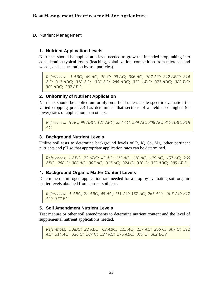<span id="page-31-0"></span>D. Nutrient Management

#### <span id="page-31-1"></span>**1. Nutrient Application Levels**

Nutrients should be applied at a level needed to grow the intended crop, taking into consideration typical losses (leaching, volatilization, competition from microbes and weeds, and sequestration by soil particles).

*References: 1 ABC; 69 AC; 70 C; 99 AC; 306 AC; 307 AC; 312 ABC; 314 AC; 317 ABC; 318 AC; 326 AC; 288 ABC; 375 ABC; 377 ABC; 383 BC; 385 ABC; 387 ABC.* 

#### <span id="page-31-2"></span>**2. Uniformity of Nutrient Application**

Nutrients should be applied uniformly on a field unless a site-specific evaluation (or varied cropping practice) has determined that sections of a field need higher (or lower) rates of application than others.

*References: 5 AC; 99 ABC; 127 ABC; 257 AC; 289 AC; 306 AC; 317 ABC; 318 AC.* 

#### <span id="page-31-3"></span>**3. Background Nutrient Levels**

Utilize soil tests to determine background levels of P, K, Ca, Mg, other pertinent nutrients and pH so that appropriate application rates can be determined.

*References: 1 ABC; 22 ABC; 45 AC; 115 AC; 116 AC; 129 AC; 157 AC; 266 ABC; 288 C; 306 AC; 307 AC; 317 AC; 324 C; 326 C; 375 ABC; 385 ABC.* 

#### <span id="page-31-4"></span>**4. Background Organic Matter Content Levels**

Determine the nitrogen application rate needed for a crop by evaluating soil organic matter levels obtained from current soil tests.

```
References: 1 ABC; 22 ABC; 45 AC; 111 AC; 157 AC; 267 AC; 306 AC; 317 
AC; 377 BC.
```
#### <span id="page-31-5"></span>**5. Soil Amendment Nutrient Levels**

Test manure or other soil amendments to determine nutrient content and the level of supplemental nutrient applications needed.

*References: 1 ABC; 22 ABC; 69 ABC; 115 AC; 157 AC; 256 C; 307 C; 312 AC; 314 AC; 326 C; 307 C; 327 AC; 375 ABC; 377 C; 382 BCV*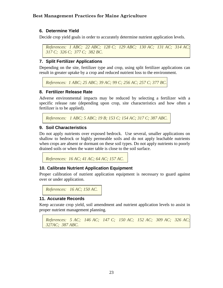#### <span id="page-32-0"></span>**6. Determine Yield**

Decide crop yield goals in order to accurately determine nutrient application levels.

```
References: 1 ABC; 22 ABC; 128 C; 129 ABC; 130 AC; 131 AC; 314 AC; 
317 C; 326 C; 377 C; 382 BC.
```
#### <span id="page-32-1"></span>**7. Split Fertilizer Applications**

Depending on the site, fertilizer type and crop, using split fertilizer applications can result in greater uptake by a crop and reduced nutrient loss to the environment.

*References: 1 ABC; 25 ABC; 39 AC; 99 C; 256 AC; 257 C; 377 BC.*

#### <span id="page-32-2"></span>**8. Fertilizer Release Rate**

Adverse environmental impacts may be reduced by selecting a fertilizer with a specific release rate (depending upon crop, site characteristics and how often a fertilizer is to be applied).

*References: 1 ABC; 5 ABC; 19 B; 153 C; 154 AC; 317 C; 387 ABC.*

#### <span id="page-32-3"></span>**9. Soil Characteristics**

Do not apply nutrients over exposed bedrock. Use several, smaller applications on shallow to bedrock or highly permeable soils and do not apply leachable nutrients when crops are absent or dormant on these soil types. Do not apply nutrients to poorly drained soils or when the water table is close to the soil surface.

<span id="page-32-4"></span>*References: 16 AC; 41 AC; 64 AC; 157 AC.* 

#### **10. Calibrate Nutrient Application Equipment**

Proper calibration of nutrient application equipment is necessary to guard against over or under application.

<span id="page-32-5"></span>*References: 16 AC; 150 AC.*

#### **11. Accurate Records**

Keep accurate crop yield, soil amendment and nutrient application levels to assist in proper nutrient management planning.

```
References: 5 AC; 146 AC; 147 C; 150 AC; 152 AC; 309 AC; 326 AC; 
327AC; 387 ABC.
```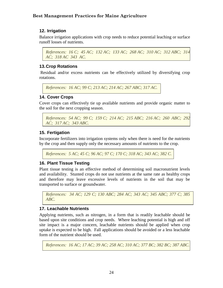#### <span id="page-33-0"></span>**12. Irrigation**

Balance irrigation applications with crop needs to reduce potential leaching or surface runoff losses of nutrients.

*References: 16 C; 45 AC; 132 AC; 133 AC; 268 AC; 310 AC; 312 ABC; 314 AC; 318 AC 343 AC.*

#### <span id="page-33-1"></span>**13.Crop Rotations**

Residual and/or excess nutrients can be effectively utilized by diversifying crop rotations.

```
References: 16 AC; 99 C; 213 AC; 214 AC; 267 ABC; 317 AC.
```
#### **14. Cover Crops**

Cover crops can effectively tie up available nutrients and provide organic matter to the soil for the next cropping season.

```
References: 54 AC; 99 C; 159 C; 214 AC; 215 ABC; 216 AC; 260 ABC; 292 
AC; 317 AC; 343 ABC.
```
#### <span id="page-33-3"></span>**15. Fertigation**

Incorporate fertilizers into irrigation systems only when there is need for the nutrients by the crop and then supply only the necessary amounts of nutrients to the crop.

<span id="page-33-4"></span>*References: 5 AC; 45 C; 96 AC; 97 C; 170 C; 318 AC; 343 AC; 382 C.*

#### **16. Plant Tissue Testing**

Plant tissue testing is an effective method of determining soil macronutrient levels and availability. Stunted crops do not use nutrients at the same rate as healthy crops and therefore may leave excessive levels of nutrients in the soil that may be transported to surface or groundwater.

```
References: 34 AC; 129 C; 130 ABC; 284 AC; 343 AC; 345 ABC; 377 C; 385 
ABC.
```
#### <span id="page-33-5"></span>**17. Leachable Nutrients**

Applying nutrients, such as nitrogen, in a form that is readily leachable should be based upon site conditions and crop needs. Where leaching potential is high and off site impact is a major concern, leachable nutrients should be applied when crop uptake is expected to be high. Fall applications should be avoided or a less leachable form of the nutrient should be used.

*References: 16 AC; 17 AC; 39 AC; 258 AC; 310 AC; 377 BC; 382 BC; 387 ABC.*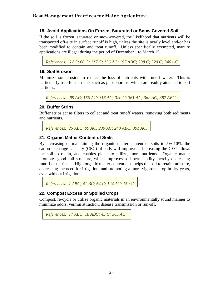#### <span id="page-34-0"></span>**18. Avoid Applications On Frozen, Saturated or Snow Covered Soil**

If the soil is frozen, saturated or snow-covered, the likelihood that nutrients will be transported off-site in surface runoff is high, unless the site is nearly level and/or has been modified to contain and treat runoff. Unless specifically exempted, manure applications are illegal during the period of December 1 to March 15.

<span id="page-34-1"></span>*References: 6 AC; 60 C; 117 C; 156 AC; 157 ABC; 298 C; 320 C; 346 AC.* 

#### **19. Soil Erosion**

Minimize soil erosion to reduce the loss of nutrients with runoff water. This is particularly true for nutrients such as phosphorous, which are readily attached to soil particles.

<span id="page-34-2"></span>*References: 99 AC; 156 AC; 318 AC; 320 C; 361 AC; 362 AC; 387 ABC.*

#### **20. Buffer Strips**

Buffer strips act as filters to collect and treat runoff waters, removing both sediments and nutrients.

<span id="page-34-3"></span>*References: 25 ABC; 99 AC; 239 AC; 240 ABC; 391 AC.* 

#### **21. Organic Matter Content of Soils**

By increasing or maintaining the organic matter content of soils to 5%-10%, the cation exchange capacity (CEC) of soils will improve. Increasing the CEC allows the soil to retain, and enables plants to utilize, more nutrients. Organic matter promotes good soil structure, which improves soil permeability thereby decreasing runoff of nutrients. High organic matter content also helps the soil to retain moisture, decreasing the need for irrigation, and promoting a more vigorous crop in dry years, even without irrigation.

```
References: 1 ABC; 41 BC; 64 C; 124 AC; 159 C.
```
#### **22. Compost Excess or Spoiled Crops**

Compost, re-cycle or utilize organic materials in an environmentally sound manner to minimize odors, vermin attraction, disease transmission or run-off.

```
References: 17 ABC; 18 ABC; 45 C; 365 AC
```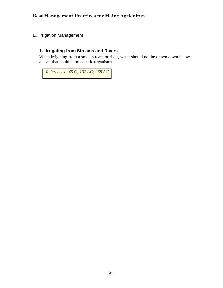<span id="page-35-0"></span>E. Irrigation Management

#### <span id="page-35-1"></span>**1. Irrigating from Streams and Rivers**

When irrigating from a small stream or river, water should not be drawn down below a level that could harm aquatic organisms.

 *References: 45 C; 132 AC; 268 AC.*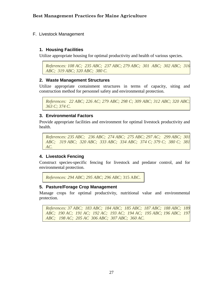### F. Livestock Management

### **1. Housing Facilities**

Utilize appropriate housing for optimal productivity and health of various species.

*References: 108 AC; 235 ABC; 237 ABC; 279 ABC; 301 ABC; 302 ABC; 316 ABC; 319 ABC; 320 ABC; 380 C.*

### **2. Waste Management Structures**

Utilize appropriate containment structures in terms of capacity, siting and construction method for personnel safety and environmental protection.

```
References: 22 ABC; 226 AC; 279 ABC; 298 C; 309 ABC; 312 ABC; 320 ABC; 
363 C; 374 C.
```
### **3. Environmental Factors**

Provide appropriate facilities and environment for optimal livestock productivity and health.

*References: 235 ABC; 236 ABC; 274 ABC; 275 ABC; 297 AC; 299 ABC; 301 ABC; 319 ABC; 320 ABC; 333 ABC; 334 ABC; 374 C; 379 C; 380 C; 381 AC.*

# **4. Livestock Fencing**

Construct species-specific fencing for livestock and predator control, and for environmental protection.

*References: 294 ABC; 295 ABC; 296 ABC;* 315 ABC.

#### **5. Pasture/Forage Crop Management**

Manage crops for optimal productivity, nutritional value and environmental protection.

*References: 37 ABC; 183 ABC; 184 ABC; 185 ABC; 187 ABC; 188 ABC; 189 ABC; 190 AC; 191 AC; 192 AC; 193 AC; 194 AC; 195 ABC; 196 ABC; 197 ABC; 198 AC; 205 AC 306 ABC; 307 ABC; 360 AC.*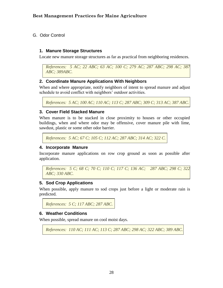G. Odor Control

### **1. Manure Storage Structures**

Locate new manure storage structures as far as practical from neighboring residences.

```
References: 5 AC; 22 ABC; 63 AC; 100 C; 279 AC; 287 ABC; 298 AC; 387 
ABC; 389ABC.
```
### **2. Coordinate Manure Applications With Neighbors**

When and where appropriate, notify neighbors of intent to spread manure and adjust schedule to avoid conflict with neighbors' outdoor activities.

*References: 5 AC; 100 AC; 110 AC; 113 C; 287 ABC; 309 C; 313 AC; 387 ABC.*

### **3. Cover Field Stacked Manure**

When manure is to be stacked in close proximity to houses or other occupied buildings, when and where odor may be offensive, cover manure pile with lime, sawdust, plastic or some other odor barrier.

*References: 5 AC; 67 C; 105 C; 112 AC; 287 ABC; 314 AC; 322 C.*

#### **4. Incorporate Manure**

Incorporate manure applications on row crop ground as soon as possible after application.

```
References: 5 C; 68 C; 70 C; 110 C; 117 C; 136 AC; 287 ABC; 298 C; 322 
ABC; 330 ABC.
```
#### **5. Sod Crop Applications**

When possible, apply manure to sod crops just before a light or moderate rain is predicted.

```
References: 5 C; 117 ABC; 287 ABC.
```
#### **6. Weather Conditions**

When possible, spread manure on cool moist days.

```
References: 110 AC; 111 AC; 113 C; 287 ABC; 298 AC; 322 ABC; 389 ABC.
```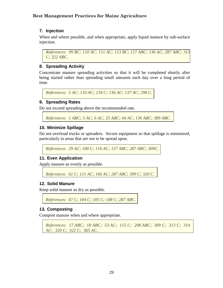# **7. Injection**

When and where possible, and when appropriate, apply liquid manure by sub-surface injection.

*References: 99 BC; 110 AC; 111 AC; 113 BC; 117 ABC; 136 AC; 287 ABC; 313 C; 322 ABC.*

# **8. Spreading Activity**

Concentrate manure spreading activities so that it will be completed shortly after being started rather than spreading small amounts each day over a long period of time.

*References: 5 AC; 110 AC; 134 C; 136 AC; 137 AC; 298 C.* 

### **9. Spreading Rates**

Do not exceed spreading above the recommended rate.

*References: 1 ABC; 5 AC; 6 AC; 25 ABC; 64 AC; 136 ABC; 389 ABC.*

### **10. Minimize Spillage**

Do not overload trucks or spreaders. Secure equipment so that spillage is minimized, particularly in areas that are not to be spread upon.

*References: 29 AC; 100 C; 116 AC; 157 ABC; 287 ABC; 309C.* 

# **11. Even Application**

Apply manure as evenly as possible.

*References: 61 C; 111 AC; 166 AC; 287 ABC; 309 C; 320 C.*

#### **12. Solid Manure**

Keep solid manure as dry as possible.

*References: 67 C; 104 C; 105 C; 108 C; 287 ABC.* 

# **13. Composting**

Compost manure when and where appropriate.

```
References: 17 ABC; 18 ABC; 53 AC; 115 C; 298 ABC; 309 C; 313 C; 314 
AC; 320 C; 322 C; 365 AC.
```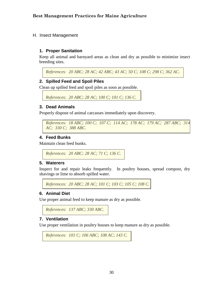#### H. Insect Management

### **1. Proper Sanitation**

Keep all animal and barnyard areas as clean and dry as possible to minimize insect breeding sites.

*References: 20 ABC; 28 AC; 42 ABC; 43 AC; 50 C; 108 C; 298 C; 362 AC.*

### **2. Spilled Feed and Spoil Piles**

Clean up spilled feed and spoil piles as soon as possible.

```
References: 20 ABC; 28 AC; 100 C; 101 C; 136 C.
```
#### **3. Dead Animals**

Properly dispose of animal carcasses immediately upon discovery.

```
References: 18 ABC; 100 C; 107 C; 114 AC; 178 AC; 179 AC; 287 ABC; 314 
AC; 330 C; 388 ABC.
```
### **4. Feed Bunks**

Maintain clean feed bunks.

```
References: 20 ABC; 28 AC; 71 C; 136 C.
```
#### **5. Waterers**

Inspect for and repair leaks frequently. In poultry houses, spread compost, dry shavings or lime to absorb spilled water.

*References: 20 ABC; 28 AC; 101 C; 103 C; 105 C; 108 C.*

# **6. Animal Diet**

Use proper animal feed to keep manure as dry as possible.

*References: 137 ABC; 330 ABC.*

#### **7. Ventilation**

Use proper ventilation in poultry houses to keep manure as dry as possible.

```
References: 101 C; 106 ABC; 108 AC; 143 C.
```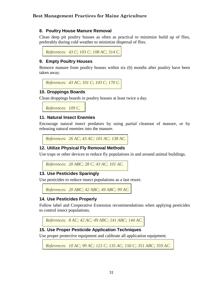### **8. Poultry House Manure Removal**

Clean deep pit poultry houses as often as practical to minimize build up of flies, preferably during cold weather to minimize dispersal of flies.

*References: 43 C; 103 C; 108 AC; 314 C.*

# **9. Empty Poultry Houses**

Remove manure from poultry houses within six (6) months after poultry have been taken away.

*References: 43 AC; 101 C; 103 C; 170 C.*

### **10. Droppings Boards**

Clean droppings boards in poultry houses at least twice a day.

*References: 109 C.*

#### **11. Natural Insect Enemies**

Encourage natural insect predators by using partial cleanout of manure, or by releasing natural enemies into the manure.

```
References: 26 AC; 43 AC; 101 AC; 138 AC.
```
#### **12. Utilize Physical Fly Removal Methods**

Use traps or other devices to reduce fly populations in and around animal buildings.

*References: 20 ABC; 28 C; 43 AC; 101 AC.*

#### **13. Use Pesticides Sparingly**

Use pesticides to reduce insect populations as a last resort.

*References: 20 ABC; 42 ABC; 49 ABC; 99 AC.*

#### **14. Use Pesticides Properly**

Follow label and Cooperative Extension recommendations when applying pesticides to control insect populations.

*References: 8 AC; 42 AC; 49 ABC; 141 ABC; 144 AC.* 

#### **15. Use Proper Pesticide Application Techniques**

Use proper protective equipment and calibrate all application equipment.

*References: 10 AC; 99 AC; 121 C; 135 AC; 150 C; 351 ABC; 359 AC.*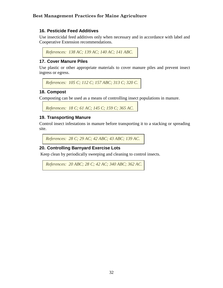# **16. Pesticide Feed Additives**

Use insecticidal feed additives only when necessary and in accordance with label and Cooperative Extension recommendations.

*References: 138 AC; 139 AC; 140 AC; 141 ABC.*

# **17. Cover Manure Piles**

Use plastic or other appropriate materials to cover manure piles and prevent insect ingress or egress.

```
References: 105 C; 112 C; 157 ABC; 313 C; 320 C.
```
# **18. Compost**

Composting can be used as a means of controlling insect populations in manure.

```
References: 18 C; 61 AC; 145 C; 159 C; 365 AC.
```
# **19. Transporting Manure**

Control insect infestations in manure before transporting it to a stacking or spreading site.

```
References: 28 C; 29 AC; 42 ABC; 43 ABC; 139 AC.
```
# **20. Controlling Barnyard Exercise Lots**

Keep clean by periodically sweeping and cleaning to control insects.

```
References: 20 ABC; 28 C; 42 AC; 340 ABC; 362 AC.
```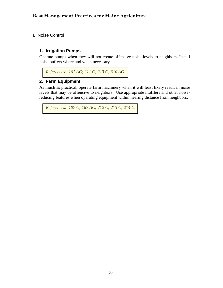I. Noise Control

# **1. Irrigation Pumps**

Operate pumps when they will not create offensive noise levels to neighbors. Install noise buffers where and when necessary.

```
References: 161 AC; 211 C; 213 C; 310 AC.
```
# **2. Farm Equipment**

As much as practical, operate farm machinery when it will least likely result in noise levels that may be offensive to neighbors. Use appropriate mufflers and other noisereducing features when operating equipment within hearing distance from neighbors.

```
References: 107 C; 167 AC; 212 C; 213 C; 214 C.
```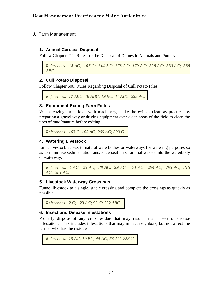J. Farm Management

# **1. Animal Carcass Disposal**

Follow Chapter 211: Rules for the Disposal of Domestic Animals and Poultry.

```
References: 18 AC; 107 C; 114 AC; 178 AC; 179 AC; 328 AC; 330 AC; 388 
ABC.
```
# **2. Cull Potato Disposal**

Follow Chapter 600: Rules Regarding Disposal of Cull Potato Piles.

```
References: 17 ABC; 18 ABC; 19 BC; 31 ABC; 293 AC.
```
# **3. Equipment Exiting Farm Fields**

When leaving farm fields with machinery, make the exit as clean as practical by preparing a gravel way or driving equipment over clean areas of the field to clean the tires of mud/manure before exiting.

```
References: 163 C; 165 AC; 209 AC; 309 C.
```
### **4. Watering Livestock**

Limit livestock access to natural waterbodies or waterways for watering purposes so as to minimize sedimentation and/or deposition of animal wastes into the waterbody or waterway.

```
References: 4 AC; 23 AC; 38 AC; 99 AC; 171 AC; 294 AC; 295 AC; 315 
AC; 381 AC.
```
# **5. Livestock Waterway Crossings**

Funnel livestock to a single, stable crossing and complete the crossings as quickly as possible.

```
References: 2 C; 23 AC; 99 C; 252 ABC.
```
#### **6. Insect and Disease Infestations**

Properly dispose of any crop residue that may result in an insect or disease infestation. This includes infestations that may impact neighbors, but not affect the farmer who has the residue.

```
References: 18 AC; 19 BC; 45 AC; 53 AC; 258 C.
```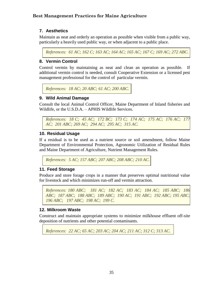# **7. Aesthetics**

Maintain as neat and orderly an operation as possible when visible from a public way, particularly a heavily used public way, or when adjacent to a public place.

*References: 61 AC; 162 C; 163 AC; 164 AC; 165 AC; 167 C; 169 AC; 272 ABC.*

# **8. Vermin Control**

Control vermin by maintaining as neat and clean an operation as possible. If additional vermin control is needed, consult Cooperative Extension or a licensed pest management professional for the control of particular vermin.

```
References: 18 AC; 20 ABC; 61 AC; 200 ABC.
```
# **9. Wild Animal Damage**

Consult the local Animal Control Officer, Maine Department of Inland fisheries and Wildlife, or the U.S.D.A. – APHIS Wildlife Services.

*References: 18 C; 45 AC; 172 BC; 173 C; 174 AC; 175 AC; 176 AC; 177 AC; 201 ABC; 269 AC; 294 AC; 295 AC; 315 AC.* 

# **10. Residual Usage**

If a residual is to be used as a nutrient source or soil amendment, follow Maine Department of Environmental Protection, Agronomic Utilization of Residual Rules and Maine Department of Agriculture, Nutrient Management Rules.

*References: 5 AC; 157 ABC; 207 ABC; 208 ABC; 210 AC.* 

#### **11. Feed Storage**

Produce and store forage crops in a manner that preserves optimal nutritional value for livestock and which minimizes run-off and vermin attraction.

*References: 180 ABC; 181 AC; 182 AC; 183 AC; 184 AC; 185 ABC; 186 ABC; 187 ABC; 188 ABC; 189 ABC; 190 AC; 191 ABC; 192 ABC; 195 ABC; 196 ABC; 197 ABC; 198 AC; 199 C.*

# **12. Milkroom Waste**

 Construct and maintain appropriate systems to minimize milkhouse effluent off-site deposition of nutrients and other potential contaminants.

*References: 22 AC; 65 AC; 203 AC; 204 AC; 211 AC; 312 C; 313 AC.*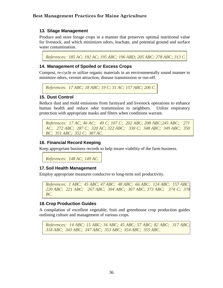# **13. Silage Management**

Produce and store forage crops in a manner that preserves optimal nutritional value for livestock, and which minimizes odors, leachate, and potential ground and surface water contamination.

*References: 185 AC; 192 AC; 195 ABC; 196 ABD; 205 ABC; 278 ABC; 313 C.* 

# **14. Management of Spoiled or Excess Crops**

Compost, re-cycle or utilize organic materials in an environmentally sound manner to minimize odors, vermin attraction, disease transmission or run-off.

*References: 17 ABC; 18 ABC; 19 C; 31 AC; 157 ABC; 206 C.*

# **15. Dust Control**

Reduce dust and mold emissions from farmyard and livestock operations to enhance human health and reduce odor transmission to neighbors. Utilize respiratory protection with appropriate masks and filters when conditions warrant.

*References: 17 AC; 46 AC; 49 C; 107 C; 202 ABC; 208 ABC;245 ABC; 271 AC; 272 ABC; 287 C; 320 AC; 322 ABC; 330 C; 348 ABC; 349 ABC; 350 BC; 351 ABC; 352 C; 387 AC.*

# **16. Financial Record Keeping**

Keep appropriate business records to help insure viability of the farm business.

*References: 148 AC; 149 AC.*

#### **17.Soil Health Management**

Employ appropriate measures conducive to long-term soil productivity.

```
References: 1 ABC; 45 ABC; 47 ABC; 48 ABC; 66 ABC; 124 ABC; 157 ABC; 
220 ABC; 221 ABC; 267 ABC; 304 ABC; 307 ABC; 373 ABC; 374 C; 378 
BC.
```
# **18.Crop Production Guides**

A compilation of excellent vegetable, fruit and greenhouse crop production guides outlining culture and management of various crops.

*References: 14 ABC; 15 ABC; 34 ABC; 45 ABC; 57 ABC; 82 ABC; 317 ABC; 318 ABC; 343 ABC; 347 ABC; 353 ABC; 354 ABC; 355 ABC.*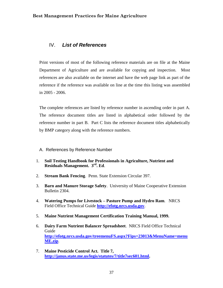# IV. *List of References*

Print versions of most of the following reference materials are on file at the Maine Department of Agriculture and are available for copying and inspection. Most references are also available on the internet and have the web page link as part of the reference if the reference was available on line at the time this listing was assembled in 2005 - 2006.

The complete references are listed by reference number in ascending order in part A. The reference document titles are listed in alphabetical order followed by the reference number in part B. Part C lists the reference document titles alphabetically by BMP category along with the reference numbers.

- A. References by Reference Number
- 1. **Soil Testing Handbook for Professionals in Agriculture, Nutrient and Residuals Management. 3rd. Ed**.
- 2. **Stream Bank Fencing**. Penn. State Extension Circular 397.
- 3. **Barn and Manure Storage Safety**. University of Maine Cooperative Extension Bulletin 2304.
- 4. **Watering Pumps for Livestock – Pasture Pump and Hydro Ram**. NRCS Field Office Technical Guide **[http://efotg.nrcs.usda.gov](http://efotg.nrcs.usda.gov/)**.
- 5. **Maine Nutrient Management Certification Training Manual, 1999.**
- 6. **Dairy Farm Nutrient Balancer Spreadsheet**. NRCS Field Office Technical Guide **[http://efotg.nrcs.usda.gov/treemenuFS.aspx?Fips=23013&MenuName=menu](http://efotg.nrcs.usda.gov/treemenuFS.aspx?Fips=23013&MenuName=menuME.zip) [ME.zip](http://efotg.nrcs.usda.gov/treemenuFS.aspx?Fips=23013&MenuName=menuME.zip)**.
- 7. **Maine Pesticide Control Act. Title 7, [http://janus.state.me.us/legis/statutes/7/title7sec601.html.](http://janus.state.me.us/legis/statutes/7/title7sec601.html)**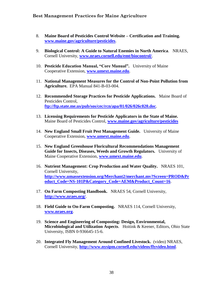- 8. **Maine Board of Pesticides Control Website – Certification and Training. [www.maine.gov/agriculture/pesticides](http://www.maine.gov/agriculture/pesticides)**.
- 9. **Biological Control: A Guide to Natural Enemies in North America**. NRAES, Cornell University, **[www.nraes.cornell.edu/emt/biocontrol/](http://www.nraes.cornell.edu/emt/biocontrol/)**.
- 10. **Pesticide Education Manual, "Core Manual".** University of Maine Cooperative Extension, **[www.umext.maine.edu](http://www.umext.maine.edu/)**.
- 11. **National Management Measures for the Control of Non-Point Pollution from Agriculture.** EPA Manual 841-B-03-004.
- 12. **Recommended Storage Practices for Pesticide Applications.** Maine Board of Pesticides Control, **<ftp://ftp.state.me.us/pub/sos/cec/rcn/apa/01/026/026c020.doc>**.
- 13. **Licensing Requirements for Pesticide Applicators in the State of Maine.** Maine Board of Pesticides Control, **[www.maine.gov/agriculture/pesticides](http://www.maine.gov/agriculture/pesticides)**
- 14. **New England Small Fruit Pest Management Guide.** University of Maine Cooperative Extension, **[www.umext.maine.edu](http://www.umext.maine.edu/)**.
- 15. **New England Greenhouse Floricultural Recommendations Management Guide for Insects, Diseases, Weeds and Growth Regulators.** University of Maine Cooperative Extension, **[www.umext.maine.edu](http://www.umext.maine.edu/)**.
- 16. **Nutrient Management: Crop Production and Water Quality.** NRAES 101, Cornell University, **[http://www.umassextension.org/Merchant2/merchant.mv?Screen=PROD&Pr](http://www.umassextension.org/Merchant2/merchant.mv?Screen=PROD&Product_Code=NS-101P&Category_Code=AEM&Product_Count=16) [oduct\\_Code=NS-101P&Category\\_Code=AEM&Product\\_Count=16](http://www.umassextension.org/Merchant2/merchant.mv?Screen=PROD&Product_Code=NS-101P&Category_Code=AEM&Product_Count=16)**.
- 17. **On Farm Composting Handbook.** NRAES 54, Cornell University, **<http://www.nraes.org/>**.
- 18. **Field Guide to On-Farm Composting.** NRAES 114, Cornell University, **[www.nraes.org](http://www.nraes.org/)**.
- 19. **Science and Engineering of Composting: Design, Environmental, Microbiological and Utilization Aspects**. Hoitink & Keener, Editors, Ohio State University, ISBN 0-936645-15-6.
- 20. **Integrated Fly Management Around Confined Livestock.** (video) NRAES, Cornell University, **<http://www.nysipm.cornell.edu/videos/flyvideo.html>**.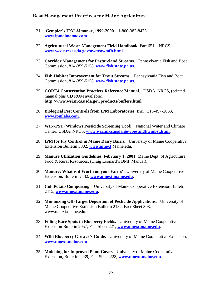- 21. **Gempler's IPM Almanac, 1999-2000**. 1-800-382-8473, **[www.ipmalmanac.com](http://www.ipmalmanac.com/)**.
- 22. **Agricultural Waste Management Field Handbook,** Part 651. NRCS, **[www.wcc.nrcs.usda.gov/awm/awmfh.html](http://www.wcc.nrcs.usda.gov/awm/awmfh.html)**.
- 23. **Corridor Management for Pastureland Streams.** Pennsylvania Fish and Boat Commission, 814-359-5158, **[www.fish.state.pa.us](http://www.fish.state.pa.us/)**.
- 24. **Fish Habitat Improvement for Trout Streams.** Pennsylvania Fish and Boat Commission, 814-359-5158, **[www.fish.state.pa.us](http://www.fish.state.pa.us/)**.
- 25. **CORE4 Conservation Practices Reference Manual.** USDA, NRCS, (printed manual plus CD ROM available), **http://www.wsi.nrcs.usda.gov/products/buffers.html**.
- 26. **Biological Pest Controls from IPM Laboratories, Inc.** 315-497-2063, **[www.ipmlabs.com](http://www.ipmlabs.com/)**.
- 27. **WIN-PST (Windows Pesticide Screening Tool).** National Water and Climate Center, USDA, NRCS, **[www.wcc.nrcs.usda.gov/pestmgt/winpst.html](http://www.wcc.nrcs.usda.gov/pestmgt/winpst.html)**.
- 28. **IPM for Fly Control in Maine Dairy Barns.** University of Maine Cooperative Extension Bulletin 5002, **[www.umext](http://www.umext/)**.Maine.edu.
- 29. **Manure Utilization Guidelines, February 1, 2001**. Maine Dept. of Agriculture, Food & Rural Resources, (Craig Leonard's BMP Manual).
- 30. **Manure: What is it Worth on your Farm?** University of Maine Cooperative Extension, Bulletin 2432, **[www.umext.maine.edu](http://www.umext.maine.edu/)**.
- 31. **Cull Potato Composting.** University of Maine Cooperative Extension Bulletin 2415, **[www.umext.maine.edu](http://www.umext.maine.edu/)**.
- 32. **Minimizing Off-Target Deposition of Pesticide Applications.** University of Maine Cooperative Extension Bulletin 2182, Fact Sheet 303, www.umext.maine.edu.
- 33. **Filling Bare Spots in Blueberry Fields.** University of Maine Cooperative Extension Bulletin 2057, Fact Sheet 221, **[www.umext.maine.edu](http://www.umext.maine.edu/)**.
- 34. **Wild Blueberry Grower's Guide.** University of Maine Cooperative Extension, **[www.umext.maine.edu](http://www.umext.maine.edu/)**.
- 35. **Mulching for Improved Plant Cover.** University of Maine Cooperative Extension, Bulletin 2239, Fact Sheet 228, **[www.umext.maine.edu](http://www.umext.maine.edu/)**.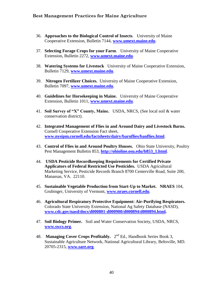- 36. **Approaches to the Biological Control of Insects**. University of Maine Cooperative Extension, Bulletin 7144, **[www.umext.maine.edu](http://www.umext.maine.edu/)**.
- 37. **Selecting Forage Crops for your Farm**. University of Maine Cooperative Extension, Bulletin 2272, **[www.umext.maine.edu](http://www.umext.maine.edu/)**.
- 38. **Watering Systems for Livestock** University of Maine Cooperative Extension, Bulletin 7129, **[www.umext.maine.edu](http://www.umext.maine.edu/)**.
- 39. **Nitrogen Fertilizer Choices.** University of Maine Cooperative Extension, Bulletin 7097, **[www.umext.maine.edu](http://www.umext.maine.edu/)**.
- 40. **Guidelines for Horsekeeping in Maine.** University of Maine Cooperative Extension, Bulletin 1011, **[www.umext.maine.edu](http://www.umext.maine.edu/)**.
- 41. **Soil Survey of "X" County, Maine.** USDA, NRCS, (See local soil & water conservation district).
- 42. **Integrated Management of Flies in and Around Dairy and Livestock Barns.**  Cornell Cooperative Extension Fact sheet, **[www.nysipm.cornell.edu/factsheets/dairy/barnflies/banflies.html](http://www.nysipm.cornell.edu/factsheets/dairy/barnflies/banflies.html)**.
- 43. **Control of Flies in and Around Poultry Houses.** Ohio State University, Poultry Pest Management Bulletin 853, **[http://ohioline.osu.edu/b853\\_1.html](http://ohioline.osu.edu/b853_1.html)**.
- 44. **USDA Pesticide Recordkeeping Requirements for Certified Private Applicators of Federal Restricted Use Pesticides.** USDA Agricultural Marketing Service, Pesticide Records Branch 8700 Centerville Road, Suite 200, Manassas, VA. 22110.
- 45. **Sustainable Vegetable Production from Start-Up to Market. NRAES** 104, Grubinger, University of Vermont, **[www.nraes.cornell.edu](http://www.nraes.cornell.edu/)**.
- 46. **Agricultural Respiratory Protective Equipment: Air-Purifying Respirators.**  Colorado State University Extension, National Ag Safety Database (NASD), **[www.cdc.gov/nasd/docs/d000801-d000900/d000894/d000894.html.](http://www.cdc.gov/nasd/docs/d000801-d000900/d000894/d000894.html)**
- 47. **Soil Biology Primer.** Soil and Water Conservation Society, USDA, NRCS, **[www.swcs.org](http://www.swcs.org/)**.
- 48. **Managing Cover Crops Profitably.** 2<sup>nd</sup> Ed., Handbook Series Book 3, Sustainable Agriculture Network, National Agricultural Library, Beltsville, MD. 20705-2315, **[www.sare.org](http://www.sare.org/)**.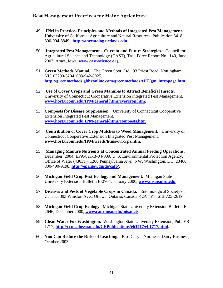- 49. **IPM in Practice- Principles and Methods of Integrated Pest Management. University** of California, Agriculture and Natural Resources, Publication 3418, 800-994-8849. **[http://anrcatalog.ucdavis.edu](http://anrcatalog.ucdavis.edu/)**.
- 50. **Integrated Pest Management – Current and Future Strategies.** Council for Agricultural Science and Technology (CAST), Task Force Report No. 140, June 2003, Ames, Iowa, **[www.cast-science.org](http://www.cast-science.org/)**.
- 51. **Green Methods Manual.** The Green Spot, Ltd., 93 Priest Road, Nottingham, NH 03290-6204, 603-942-8925, **[http://greenmethods.gbhxonline.com/greenmethodsALT/gm\\_intropage.htm](http://greenmethods.gbhxonline.com/greenmethodsALT/gm_intropage.htm)**.
- 52. **Use of Cover Crops and Green Manures to Attract Beneficial Insects.**  University of Connecticut Cooperative Extension Integrated Pest Management, **[www.hort.uconn.edu/IPM/general htms/cvercrop.htm.](http://www.hort.uconn.edu/IPM/general%20htms/cvercrop.htm)**
- 53. **Composts for Disease Suppression.** University of Connecticut Cooperative Extension Integrated Pest Management, **[www.hort.uconn.edu.IPM/general/htms/composts.htm](http://www.hort.uconn.edu.ipm/general/htms/composts.htm)**.
- 54. **Contribution of Cover Crop Mulches to Weed Management.** University of Connecticut Cooperative Extension Integrated Pest Management, **www.hort.uconn.edu/IPM/weeds/htms/cvrcrps.htm**.
- 55. **Managing Manure Nutrients at Concentrated Animal Feeding Operations**. December, 2004**,** EPA-821-B-04-009**,** U. S. Environmental Protection Agency, Office of Water (4303T), 1200 Pennsylvania Ave., NW, Washington, DC 20460, 800-490-9198, **<http://epa.gov/guide/cafo/>**.
- 56. **Michigan Field Crop Pest Ecology and Management.** Michigan State University Extension Bulletin E-2704, January 2000, **[www.msue.msu.edu](http://www.msue.msu.edu/)**.
- 57. **Diseases and Pests of Vegetable Crops in Canada.** Entomological Society of Canada, 393 Winston Ave., Ottawa, Ontario, Canada K2A 1Y8, 613-725-2619.
- 58. **Michigan Field Crop Ecology.** Michigan State University Extension Bulletin E-2646, December 2000, **[www.canr.msu.edu/misanet/](http://www.canr.msu.edu/misanet/)**.
- 59. **Clean Water For Washington.** Washington State University Extension, Pub. EB 1717, **<http://cru.cahe.wsu.edu/CEPublications/eb1717/eb1717.html>**.
- 60. **You Can Reduce the Risks of Leaching.** Pro-Dairy Northeast Dairy Business, October 2003.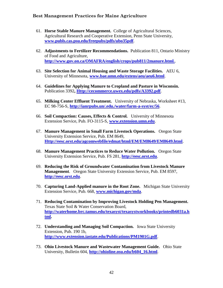- 61. **Horse Stable Manure Management.** College of Agricultural Sciences, Agricultural Research and Cooperative Extension, Penn State University, **[www.publs.cas.psu.edu/freepubs/pdfs/ubo35pdf](http://www.publs.cas.psu.edu/freepubs/pdfs/ubo35pdf)**.
- 62. **Adjustments to Fertilizer Recommendations.** Publication 811, Ontario Ministry of Food and Agriculture, **<http://www.gov.on.ca/OMAFRA/english/crops/pub811/2manure.html.>**.
- 63. **Site Selection for Animal Housing and Waste Storage Facilities.** AEU 6, University of Minnesota, **[www.bae.umn.edu/extens/aeu/aeu6.html](http://www.bae.umn.edu/extens/aeu/aeu6.html)**.
- 64. **Guidelines for Applying Manure to Cropland and Pasture in Wisconsin.**  Publication 3392**, [Http://cecommerce.uwex.edu/pdfs/A3392.pdf](http://cecommerce.uwex.edu/pdfs/A3392.pdf)**.
- 65. **Milking Center Effluent Treatment.** University of Nebraska, Worksheet #13, EC 98-756-S, **<http://ianrpubs.un/.edu./water/farm-a-syst/ec/56>**.
- 66. **Soil Compaction: Causes, Effects & Control.** University of Minnesota Extension Service, Pub. FO-3115-S, **[www.extension.umn.edu](http://www.extension.umn.edu/)**.
- 67. **Manure Management in Small Farm Livestock Operations.** Oregon State University Extension Service, Pub. EM 8649, **[Http://eesc.orst.edu/agcomwebfile/edmat/html/EM/EM8649/EM8649.html](http://eesc.orst.edu/agcomwebfile/edmat/html/EM/EM8649/EM8649.html)**.
- 68. **Manure Management Practices to Reduce Water Pollution.** Oregon State University Extension Service, Pub. FS 281, **[http://eesc.orst.edu](http://eesc.orst.edu/)**.
- 69. **Reducing the Risk of Groundwater Contamination from Livestock Manure Management**. Oregon State University Extension Service, Pub. EM 8597, **[http://eesc.orst.edu](http://eesc.orst.edu/)**.
- 70. **Capturing Land-Applied manure in the Root Zone.** Michigan State University Extension Service, Pub. 668, **[www.michigan.gov/mda](http://www.michigan.gov/mda)**.
- 71. **Reducing Contamination by Improving Livestock Holding Pen Management.**  Texas State Soil & Water Conservation Board, **[http://waterhome.brc.tamus.edu/texasyst/texasystworkbooks/printedb6031a.h](http://waterhome.brc.tamus.edu/texasyst/texasystworkbooks/printedb6031a.html) [tml.](http://waterhome.brc.tamus.edu/texasyst/texasystworkbooks/printedb6031a.html)**
- 72. **Understanding and Managing Soil Compaction.** Iowa State University Extension, Pub. 190 1b, **<http://www.extension.iastate.edu/Publications/PM1901G.pdf>**.
- 73. **Ohio Livestock Manure and Wastewater Management Guide.** Ohio State University, Bulletin 604, **[http://ohioline.osu.edu/b604\\_16.html](http://ohioline.osu.edu/b604_16.html)**.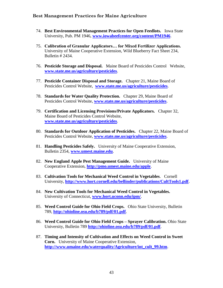- 74. **Best Environmental Management Practices for Open Feedlots.** Iowa State University, Pub. PM 1946, **[www.iowabeefcenter.org/content/PM1946](http://www.iowabeefcenter.org/content/PM1946)**.
- 75. **Calibration of Granular Applicators… for Mixed Fertilizer Applications.**  University of Maine Cooperative Extension, Wild Blueberry Fact Sheet 234, Bulletin # 2434.
- 76. **Pesticide Storage and Disposal.** Maine Board of Pesticides Control Website, **[www.state.me.us/agriculture/pesticides](http://www.state.me.us/agriculture/pesticides)**.
- 77. **Pesticide Container Disposal and Storage.** Chapter 21, Maine Board of Pesticides Control Website, **[www.state.me.us/agriculture/pesticides](http://www.state.me.us/agriculture/pesticides)**.
- 78. **Standards for Water Quality Protection.** Chapter 29, Maine Board of Pesticides Control Website, **[www.state.me.us/agriculture/pesticides](http://www.state.me.us/agriculture/pesticides)**.
- 79. **Certification and Licensing Provisions/Private Applicators.** Chapter 32, Maine Board of Pesticides Control Website, **[www.state.me.us/agriculture/pesticides](http://www.state.me.us/agriculture/pesticides)**.
- 80. **Standards for Outdoor Application of Pesticides.** Chapter 22, Maine Board of Pesticides Control Website, **[www.state.me.us/agriculture/pesticides](http://www.state.me.us/agriculture/pesticides)**.
- 81. **Handling Pesticides Safely.** University of Maine Cooperative Extension, Bulletin 2354, **[www.umest.maine.edu](http://www.umest.maine.edu/)**.
- 82. **New England Apple Pest Management Guide.** University of Maine Cooperative Extension, **<http://pmo.umest.maine.edu/apple>**.
- 83. **Cultivation Tools for Mechanical Weed Control in Vegetables**. Cornell University, **<http://www.hort.cornell.edu/bellinder/publications/CultTools1.pdf>**.
- 84. **New Cultivation Tools for Mechanical Weed Control in Vegetables.**  University of Connecticut, **[www.hort.uconn.edu/ipm/](http://www.hort.uconn.edu/ipm/)**.
- 85. **Weed Control Guide for Ohio Field Crops.** Ohio State University, Bulletin 789, **<http://ohioline.osu.edu/b789/pdf/01.pdf>**.
- 86. **Weed Control Guide for Ohio Field Crops – Sprayer Calibration.** Ohio State University, Bulletin 789 **<http://ohioline.osu.edu/b789/pdf/01.pdf>**.
- 87. **Timing and Intensity of Cultivation and Effects on Weed Control in Sweet Corn.** University of Maine Cooperative Extension, **[http://www.umaine.edu/waterquality/Agriculture/int\\_cult\\_99.htm](http://www.umaine.edu/waterquality/Agriculture/int_cult_99.htm)**.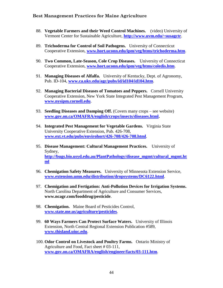- 88. **Vegetable Farmers and their Weed Control Machines.** (video) University of Vermont Center for Sustainable Agriculture, **<http://www.uvm.edu/~susagctr>**.
- 89. **Trichoderma for Control of Soil Pathogens.** University of Connecticut Cooperative Extension, **[www.hort.uconn.edu/ipm/veg/htms/trichoderma.htm](http://www.hort.uconn.edu/ipm/veg/htms/trichoderma.htm)**.
- 90. **Two Common, Late-Season, Cole Crop Diseases.** University of Connecticut Cooperative Extension, **[www.hort.uconn.edu/ipm/veg/htms/coledis.htm](http://www.hort.uconn.edu/ipm/veg/htms/coledis.htm)**.
- 91. **Managing Diseases of Alfalfa.** University of Kentucky, Dept. of Agronomy, Pub. ID-104, **[www.ca.uky.edu/agc/pubs/id/id104/id104.htm](http://www.ca.uky.edu/agc/pubs/id/id104/id104.htm)**.
- 92. **Managing Bacterial Diseases of Tomatoes and Peppers.** Cornell University Cooperative Extension, New York State Integrated Pest Management Program, **[www.nysipm.cornell.edu](http://www.nysipm.cornell.edu/)**.
- 93. **Seedling Diseases and Damping Off.** (Covers many crops see website) **[www.gov.on.ca/OMAFRA/english/crops/insects/diseases.html.](http://www.gov.on.ca/OMAFRA/english/crops/insects/diseases.html)**
- 94. **Integrated Pest Management for Vegetable Gardens.** Virginia State University Cooperative Extension, Pub. 426-708, **[www.ext.vt.edu/pubs/envirohort/426-708/426-708.html](http://www.ext.vt.edu/pubs/envirohort/426-708/426-708.html)**.
- 95. **Disease Management: Cultural Management Practices.** University of Sydney, **[http://bugs.bio.usyd.edu.au/PlantPathology/disease\\_mgmt/cultural\\_mgmt.ht](http://bugs.bio.usyd.edu.au/PlantPathology/disease_mgmt/cultural_mgmt.html) [ml](http://bugs.bio.usyd.edu.au/PlantPathology/disease_mgmt/cultural_mgmt.html)**
- 96. **Chemigation Safety Measures.** University of Minnesota Extension Service, **[www.extension.umn.edu/distribution/dropsystems/DC6122.html](http://www.extension.umn.edu/distribution/dropsystems/DC6122.html)**.
- 97. **Chemigation and Fertigation: Anti-Pollution Devices for Irrigation Systems.**  North Carolina Department of Agriculture and Consumer Services, **www.ncagr.com/fooddrug/pesticide**.
- 98. **Chemigation.** Maine Board of Pesticides Control, **[www.state.me.us/agriculture/pesticides](http://www.state.me.us/agriculture/pesticides)**.
- 99. **60 Ways Farmers Can Protect Surface Waters.** University of Illinois Extension, North Central Regional Extension Publication #589, **[www.thisland.uiuc.edu](http://www.thisland.uiuc.edu/)**.
- 100. **Odor Control on Livestock and Poultry Farms.** Ontario Ministry of Agriculture and Food, Fact sheet # 03-111, **[www.gov.on.ca/OMAFRA/english/engineer/facts/03-111.htm](http://www.gov.on.ca/OMAFRA/english/engineer/facts/03-111.htm)**.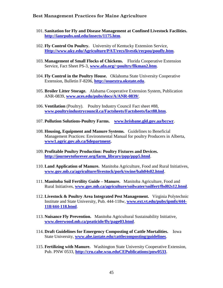- 101. **Sanitation for Fly and Disease Management at Confined Livestock Facilities. <http://ianrpubs.unl.edu/insects/1175.htm>**.
- 102. **Fly Control On Poultry.** University of Kentucky Extension Service, **[Http://www.uky.edu/Agriculture/PAT/recs/livestk/recpou/poufly.htm](http://www.uky.edu/Agriculture/PAT/recs/livestk/recpou/poufly.htm)**.
- 103. **Management of Small Flocks of Chickens.** Florida Cooperative Extension Service, Fact Sheet PS-3, **[www.afn.org/~poultry/flkman2.htm](http://www.afn.org/~poultry/flkman2.htm)**.
- 104. **Fly Control in the Poultry House.** Oklahoma State University Cooperative Extension, Bulletin F-8206, **[http://osuextra.okstate.edu](http://osuextra.okstate.edu/)**.
- 105. **Broiler Litter Storage.** Alabama Cooperative Extension System, Publication ANR-0839, **[www.aces.edu/pubs/docs/A/ANR-0839/](http://www.aces.edu/pubs/docs/A/ANR-0839/)**.
- 106. **Ventilation** (Poultry). Poultry Industry Council Fact sheet #88, **[www.poultryindustrycouncil.ca/Factsheets/Factsheets/fact88.htm](http://www.poultryindustrycouncil.ca/Factsheets/Factsheets/fact88.htm)**.
- 107. **Pollution Solutions-Poultry Farms. [www.brisbane.gld.gov.aa/bccwr](http://www.brisbane.gld.gov.aa/bccwr)**.
- 108. **Housing, Equipment and Manure Systems.** Guidelines to Beneficial Management Practices: Environmental Manual for poultry Producers in Alberta, **[www1.agric.gov.ab.ca/\\$department.](http://www.agric.gov.ab.ca/$department)**
- 109. **Profitable Poultry Production: Poultry Fixtures and Devices. [http://journeytoforever.org/farm\\_library/ppp/ppp5.html](http://journeytoforever.org/farm_library/ppp/ppp5.html)**.
- 110. **Land Application of Manure.** Manitoba Agriculture, Food and Rural Initiatives, **[www.gov.mb.ca/agriculture/livestock/pork/swine/bah04s02.html](http://www.gov.mb.ca/agriculture/livestock/pork/swine/bah04s02.html)**.
- 111. **Manitoba Soil Fertility Guide – Manure.** Manitoba Agriculture, Food and Rural Initiatives, **[www.gov.mb.ca/agriculture/soilwater/soilfert/fbd02s12.html](http://www.gov.mb.ca/agriculture/soilwater/soilfert/fbd02s12.html)**.
- 112. **Livestock & Poultry Area Integrated Pest Management.** Virginia Polytechnic Institute and State University, Pub. 444-118w, **[www.ext.vt.edu/pubs/ipmfs/444-](http://www.ext.vt.edu/pubs/ipmfs/444-118/444-118.html) [118/444-118.html](http://www.ext.vt.edu/pubs/ipmfs/444-118/444-118.html)**.
- 113. **Nuisance Fly Prevention.** Manitoba Agricultural Sustainability Initiative, **[www.deerwood.mb.ca/peaticide/fly/page03.html](http://www.deerwood.mb.ca/peaticide/fly/page03.html)**.
- 114. **Draft Guidelines for Emergency Composting of Cattle Mortalities.** Iowa State University, **[www.abe.iastate.edu/cattlecomposting/guidelines](http://www.abe.iastate.edu/cattlecomposting/guidelines)**.
- 115. **Fertilizing with Manure.** Washington State University Cooperative Extension, Pub. PNW 0533, **[http://cru.cahe.wsu.eduCEPublications/pnw0533](http://cru.cahe.wsu.educepublications/pnw0533)**.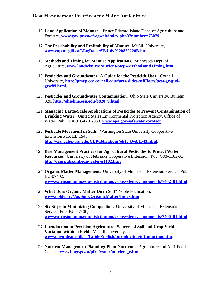- 116. **Land Application of Manure.** Prince Edward Island Dept. of Agriculture and Forestry, **[www.gov.pe.ca/af/agweb/index.php3?number=73079](http://www.gov.pe.ca/af/agweb/index.php3?number=73079)**.
- 117. **The Perishability and Profitability of Manure.** McGill University, **[www.eap.mcgill.ca/MagRack/SF/July%2087%20B.htm](http://www.eap.mcgill.ca/MagRack/SF/July%2087%20B.htm)**.
- 118. **Methods and Timing for Manure Applications.** Minnesota Dept. of Agriculture, **[www.landwise.ca/Nutrient/Step4MethodsandTiming.htm](http://www.landwise.ca/Nutrient/Step4MethodsandTiming.htm)**.
- 119. **Pesticides and Groundwater: A Guide for the Pesticide User.** Cornell University, **[http://pmep.cce.cornell.edu/facts-slides-self/facts/pest-gr-gud](http://pmep.cce.cornell.edu/facts-slides-self/facts/pest-gr-gud-grw89.html)[grw89.html](http://pmep.cce.cornell.edu/facts-slides-self/facts/pest-gr-gud-grw89.html)**.
- 120. **Pesticides and Groundwater Contamination.** Ohio State University, Bulletin 820, **[http://ohioline.osu.edu/b820\\_9.html](http://ohioline.osu.edu/b820_9.html)**.
- 121. **Managing Large-Scale Applications of Pesticides to Prevent Contamination of Drinking Water.** United States Environmental Protection Agency, Office of Water, Pub. EPA 916-F-01-030, **[www.epa.gov/safewater/protect](http://www.epa.gov/safewater/protect)**.
- 122. **Pesticide Movement in Soils.** Washington State University Cooperative Extension Pub. EB 1543, **<http://cru.cahe.wsu.edu/CEPublications/eb1543/eb1543.html>**.
- 123. **Best Management Practices for Agricultural Pesticides to Protect Water Resources.** University of Nebraska Cooperative Extension, Pub. G93-1182-A, **<http://ianrpubs.unl.edu/water/g1182.htm>**.
- 124. **Organic Matter Management.** University of Minnesota Extension Service, Pub. BU-07402, **[www.extension.umn.edu/distribution/cropsystems/components/7402\\_01.html](http://www.extension.umn.edu/distribution/cropsystems/components/7402_01.html)**.
- 125. **What Does Organic Matter Do in Soil?** Noble Foundation, **[www.noble.org/Ag/Soils/OrganicMatter/Index.htm](http://www.noble.org/Ag/Soils/OrganicMatter/Index.htm)**.
- 126. **Six Steps to Minimizing Compaction.** University of Minnesota Extension Service, Pub. BU-07400, **[www.extension.umn.edu/distribution/cropsystems/components/7400\\_01.html](http://www.extension.umn.edu/distribution/cropsystems/components/7400_01.html)**.
- 127. **Introduction to Precision Agriculture: Sources of Soil and Crop Yield Variation within a Field.** McGill University, **[www.paguide.mcgill.ca/GuideEnglish/introduction/introduction.htm](http://www.paguide.mcgill.ca/GuideEnglish/introduction/introduction.htm)**.
- 128. **Nutrient Management Planning: Plant Nutrients.** Agriculture and Agri-Food Canada, **[www1.agr.gc.ca/pfra/water/nutrient\\_e.htm](http://www.agr.gc.ca/pfra/water/nutrient_e.htm)**.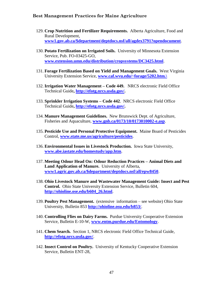- 129. **Crop Nutrition and Fertilizer Requirements.** Alberta Agriculture, Food and Rural Development, **[www1.gov.ab.ca/\\$department/deptdocs.nsf/all/agdex3791?opendocument](http://www.gov.ab.ca/$department/deptdocs.nsf/all/agdex3791?opendocument)**.
- 130. **Potato Fertilization on Irrigated Soils.** University of Minnesota Extension Service, Pub. FO-03425-GO, **[www.extension.umn.edu/distribution/cropsystems/DC3425.html](http://www.extension.umn.edu/distribution/cropsystems/DC3425.html)**.
- 131. **Forage Fertilization Based on Yield and Management Goals.** West Virginia University Extension Service, **[www.caf.wvu.edu/~forage/5202.htm.\](http://www.caf.wvu.edu/~forage/5202.htm./)**
- 132. **Irrigation Water Management – Code 449.** NRCS electronic Field Office Technical Guide**, [http://efotg.nrcs.usda.gov/.](http://efotg.nrcs.usda.gov/)**
- 133. **Sprinkler Irrigation Systems – Code 442**. NRCS electronic Field Office Technical Guide**, [http://efotg.nrcs.usda.gov/.](http://efotg.nrcs.usda.gov/)**
- 134. **Manure Management Guidelines.** New Brunswick Dept. of Agriculture, Fisheries and Aquaculture, **[www.gnb.ca/0173/10/0173010002-e.asp](http://www.gnb.ca/0173/10/0173010002-e.asp)**.
- 135. **Pesticide Use and Personal Protective Equipment.** Maine Board of Pesticides Control, **[www.state.me.us/agriculture/pesticides](http://www.state.me.us/agriculture/pesticides)**.
- 136. **Environmental Issues in Livestock Production.** Iowa State University, **[www.abe.iastate.edu/homestudy/app.htm](http://www.abe.iastate.edu/homestudy/app.htm)**.
- 137. **Meeting Odour Head On: Odour Reduction Practices – Animal Diets and Land Application of Manure.** University of Alberta, **[www1.agric.gov.ab.ca/\\$department/deptdocs.nsf/all/epw8450](http://www.agric.gov.ab.ca/$department/deptdocs.nsf/all/epw8450)**.
- 138. **Ohio Livestock Manure and Wastewater Management Guide: Insect and Pest Control.** Ohio State University Extension Service, Bulletin 604, **[http://ohioline.ose.edu/b604\\_26.html](http://ohioline.ose.edu/b604_26.html)**.
- 139. **Poultry Pest Management.** (extensive information see website) Ohio State University, Bulletin 853 **<http://ohioline.osu.edu/b853/>**.
- 140. **Controlling Flies on Dairy Farms.** Purdue University Cooperative Extension Service, Bulletin E-10-W, **[www.entm.purdue.edu/Entomology](http://www.entm.purdue.edu/Entomology)**.
- 141. **Chem Search.** Section 1, NRCS electronic Field Office Technical Guide, **<http://efotg.nrcs.usda.gov/>**.
- 142. **Insect Control on Poultry.** University of Kentucky Cooperative Extension Service, Bulletin ENT-28,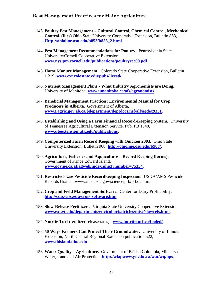- 143. **Poultry Pest Management – Cultural Control, Chemical Control, Mechanical Control. (flies)** Ohio State University Cooperative Extension, Bulletin 853, **[Http://ohioline.osu.edu/b853/b853\\_2.html](http://ohioline.osu.edu/b853/b853_2.html)**.
- 144. **Pest Management Recommendations for Poultry.** Pennsylvania State University/Cornell Cooperative Extension, **[www.nysipm.cornell.edu/publications/poultryrec00.pdf](http://www.nysipm.cornell.edu/publications/poultryrec00.pdf)**.
- 145. **Horse Manure Management.** Colorado State Cooperative Extension, Bulletin 1.219, **[www.ext.colostate.edu/pubs/livestk](http://www.ext.colostate.edu/pubs/livestk)**.
- 146. **Nutrient Management Plans - What Industry Agronomists are Doing.**  University of Manitoba, **[www.umanitoba.ca/afs/agronomists](http://www.umanitoba.ca/afs/agronomists)**.
- 147. **Beneficial Management Practices: Environmental Manual for Crop Producers in Alberta**. Government of Alberta, **[www1.agric.gov.ab.ca/\\$department/deptdocs.nsf/all/agdex9331.](http://www.agric.gov.ab.ca/$department/deptdocs.nsf/all/agdex9331)**
- 148. **Establishing and Using a Farm Financial Record-Keeping System.** University of Tennessee Agricultural Extension Service, Pub. PB 1540, **[www.uteextension.utk.edu/publications](http://www.uteextension.utk.edu/publications)**.
- 149. **Computerized Farm Record Keeping with Quicken 2003.** Ohio State University Extension, Bulletin 908, **<http://ohioline.osu.edu/b908/>**.
- 150. **Agriculture, Fisheries and Aquaculture – Record Keeping (forms).**  Government of Prince Edward Island, **[www.gov.pe.ca/af/agweb/index.php3?number=75354](http://www.gov.pe.ca/af/agweb/index.php3?number=75354)**.
- 151. **Restricted- Use Pesticide Recordkeeping Inspection.** USDA/AMS Pesticide Records Branch, www.ams.usda.gov/science/prb/prbqa.htm.
- 152. **Crop and Field Management Software.** Center for Dairy Profitability, **[http://cdp.wisc.edu/crop\\_software.htm](http://cdp.wisc.edu/crop_software.htm)**.
- 153. **Slow-Release Fertilizers.** Virginia State University Cooperative Extension, **[www.ext.vt.edu/departments/envirohort/atricles/misc/slowrels.html](http://www.ext.vt.edu/departments/envirohort/atricles/misc/slowrels.html)**.
- 154. **Nutrite Turf** (fertilizer release rates). **[www.nutriteturf.ca/fooled/](http://www.nutriteturf.ca/fooled/)**.
- 155. **50 Ways Farmers Can Protect Their Groundwater.** University of Illinois Extension, North Central Regional Extension publication 522, **[www.thisland.uiuc.edu](http://www.thisland.uiuc.edu/)**.
- 156. **Water Quality – Agriculture.** Government of British Columbia, Ministry of Water, Land and Air Protection, **<http://wlapwww.gov.bc.ca/wat/wq/nps>**.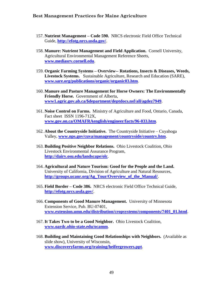- 157. **Nutrient Management – Code 590.** NRCS electronic Field Office Technical Guide, **<http://efotg.nrcs.usda.gov/>**.
- 158. **Manure: Nutrient Management and Field Application.** Cornell University, Agricultural Environmental Management Reference Sheets, **[www.mediasrv.cornell.edu](http://www.mediasrv.cornell.edu/)**.
- 159. **Organic Farming Systems – Overview-- Rotations, Insects & Diseases, Weeds, Livestock Systems.** Sustainable Agriculture, Research and Education (SARE), **[www.sare.org/publications/organic/organic03.htm](http://www.sare.org/publications/organic/organic03.htm)**.
- 160. **Manure and Pasture Management for Horse Owners: The Environmentally Friendly Horse.** Government of Alberta, **[www1.agric.gov.ab.ca/\\$department/deptdocs.nsf/all/agdez7949](http://www.agric.gov.ab.ca/$department/deptdocs.nsf/all/agdez7949)**.
- 161. **Noise Control on Farms.** Ministry of Agriculture and Food, Ontario, Canada, Fact sheet ISSN 1196-712X, **[www.gov.on.ca/OMAFRAenglish/engineer/facts/96-033.htm](http://www.gov.on.ca/OMAFRAenglish/engineer/facts/96-033.htm)**.
- 162. **About the Countryside Initiative.** The Countryside Initiative Cuyahoga Valley, **[www.nps.gov/cuva/management/countryside/country.htm](http://www.nps.gov/cuva/management/countryside/country.htm)**.
- 163. **Building Positive Neighbor Relations.** Ohio Livestock Coalition, Ohio Livestock Environmental Assurance Program, **<http://dairy.osu.edu/landscape/olc>**.
- 164. **Agricultural and Nature Tourism: Good for the People and the Land.**  University of California, Division of Agriculture and Natural Resources, **[http://groups.ucanr.org/Ag\\_Tour/Overview\\_of\\_the\\_Manual/](http://groups.ucanr.org/Ag_Tour/Overview_of_the_Manual/)**.
- 165. **Field Border – Code 386.** NRCS electronic Field Office Technical Guide, **<http://efotg.nrcs.usda.gov/>**.
- 166. **Components of Good Manure Management.** University of Minnesota Extension Service, Pub. BU-07401, **[www.extension.umn.edu/distribution/cropsystems/components/7401\\_01.html](http://www.extension.umn.edu/distribution/cropsystems/components/7401_01.html)**.
- 167. **It Takes Two to be a Good Neighbor.** Ohio Livestock Coalition, **[www.oardc.ohio-state.edu/ocamm](http://www.oardc.ohio-state.edu/ocamm)**.
- 168. **Building and Maintaining Good Relationships with Neighbors.** (Available as slide show), University of Wisconsin, **[www.discoveryfarms.org/training/heifergrowers.ppt](http://www.discoveryfarms.org/training/heifergrowers.ppt)**.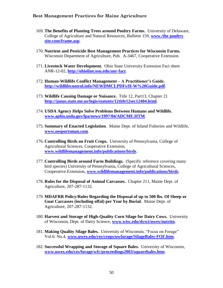- 169. **The Benefits of Planting Trees around Poultry Farms.** University of Delaware, College of Agriculture and Natural Resources, Bulletin 159, **[www./the poultry](http://www./the%20poultry%20site.com/frame.asp)  [site.com/frame.asp](http://www./the%20poultry%20site.com/frame.asp)**.
- 170. **Nutrient and Pesticide Best Management Practices for Wisconsin Farms.**  Wisconsin Department of Agriculture, Pub. A-3467, Cooperative Extension.
- 171. **Livestock Water Development.** Ohio State University Extension Fact sheet ANR-12-02, **<http://ohioline.osu.edu/anr-fact>**.
- 172. **Human-Wildlife Conflict Management – A Practitioner's Guide. <http://wildlifecontrol.info/NEWDMCLPDFs/H-W%20Guide.pdf>**.
- 173. **Wildlife Causing Damage or Nuisance.** Title 12, Part13, Chapter 21 **<http://janus.state.me.us/legis/statutes/12title12sec12404.html>**.
- 174. **USDA Agency Helps Solve Problems Between Humans and Wildlife. [www.aphis.usda.gov/lpa/news/1997/04/ADCME.HTM](http://www.aphis.usda.gov/lpa/news/1997/04/ADCME.HTM)**.
- 175. **Summary of Enacted Legislation**. Maine Dept. of Inland Fisheries and Wildlife, **[www.nesportsman.com](http://www.nesportsman.com/)**.
- 176. **Controlling Birds on Fruit Crops.** University of Pennsylvania, College of Agricultural Sciences, Cooperative Extension, **[www.wildlifemanagement.info/publications/birds](http://www.wildlifemanagement.info/publications/birds)**.
- 177. **Controlling Birds around Farm Buildings.** (Specific reference covering many bird species) University of Pennsylvania, College of Agricultural Sciences, Cooperative Extension, **[www.wildlifemanagement.info/publications/birds](http://www.wildlifemanagement.info/publications/birds)**.
- 178. **Rules for the Disposal of Animal Carcasses.** Chapter 211, Maine Dept. of Agriculture, 207-287-1132.
- 179. **MDAFRR Policy/Rules Regarding the Disposal of up to 500 lbs. Of Sheep or Goat Carcasses (including offal) per Year by Burial.** Maine Dept. of Agriculture, 207-287-1132.
- 180. **Harvest and Storage of High-Quality Corn Silage for Dairy Cows.** University of Wisconsin, Dept. of Dairy Science, **[www.wisc.edu/dysci/uwex/nutritn](http://www.wisc.edu/dysci/uwex/nutritn)**.
- 181. **Making Quality Silage Bales.** University of Wisconsin, "Focus on Forage" Vol.6: No.4, **[www.uwex.edu/ces/crops/uwforage/SilageBales-FOF.htm](http://www.uwex.edu/ces/crops/uwforage/SilageBales-FOF.htm)**.
- 182. **Successful Wrapping and Storage of Square Bales.** University of Wisconsin, **[www.uwex.edu/ces/forage/wfc/proceedings2003/squarebales.htm](http://www.uwex.edu/ces/forage/wfc/proceedings2003/squarebales.htm)**.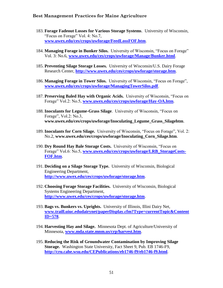- 183. **Forage Fadeout Losses for Various Storage Systems**. University of Wisconsin, "Focus on Forage" Vol. 4: No.7, **[www.uwex.edu/ces/crops/uwforage/FeedLossFOF.htm](http://www.uwex.edu/ces/crops/uwforage/FeedLossFOF.htm)**.
- 184. **Managing Forage in Bunker Silos.** University of Wisconsin, "Focus on Forage" Vol. 3: No.6, **[www.uwex.edu/ces/crops/uwforage/Manage/Bunker.html](http://www.uwex.edu/ces/crops/uwforage/Manage/Bunker.html)**.
- 185. **Preventing Silage Storage Losses.** University of Wisconsin/U.S. Dairy Forage Research Center, **<http://www.uwex.edu/ces/crops/uwforage/storage.htm>**.
- 186. **Managing Forage in Tower Silos.** University of Wisconsin, "Focus on Forage", **[www.uwex.edu/ces/crops/uwforage/ManagingTowerSilos.pdf](http://www.uwex.edu/ces/crops/uwforage/ManagingTowerSilos.pdf)**.
- 187. **Preserving Baled Hay with Organic Acids.** University of Wisconsin, "Focus on Forage" Vol.2: No.5, **[www.uwex.edu/ces/crops/uwforage/Hay-OA.htm](http://www.uwex.edu/ces/crops/uwforage/Hay-OA.htm)**.
- 188. **Inoculants for Legume-Grass Silage**. University of Wisconsin, "Focus on Forage", Vol.2: No.3, **www.uwex.edu/ces/crops/uwforage/Inoculating\_Legume\_Grass\_Silagehtm**.
- 189. **Inoculants for Corn Silage.** University of Wisconsin, "Focus on Forage", Vol. 2: No.2, **www.uwex.edu/ces/crops/uwforage/Inoculating\_Corn\_Silage.htm**.
- 190. **Dry Round Hay Bale Storage Costs.** University of Wisconsin, "Focus on Forage" Vol.6: No.5, **[www.uwex.edu/ces/crops/uwforage/LRB\\_StorageCosts-](http://www.uwex.edu/ces/crops/uwforage/LRB_StorageCosts-FOF.htm)[FOF.htm](http://www.uwex.edu/ces/crops/uwforage/LRB_StorageCosts-FOF.htm)**.
- 191. **Deciding on a Silage Storage Type.** University of Wisconsin, Biological Engineering Department, **<http://www.uwex.edu/ces/crops/uwforage/storage.htm>**.
- 192. **Choosing Forage Storage Facilities.** University of Wisconsin, Biological Systems Engineering Department, **<http://www.uwex.edu/ces/crops/uwforage/storage.htm>**.
- 193. **Bags vs. Bunkers vs. Uprights.** University of Illinois, Illini Dairy Net, **[www.traill.uiuc.edudairynet/paperDisplay.cfm?Type=currentTopic&Content](http://www.traill.uiuc.edu/dairynet/paperDisplay.cfm?Type=currentTopic&ContentID=578) [ID=578](http://www.traill.uiuc.edu/dairynet/paperDisplay.cfm?Type=currentTopic&ContentID=578)**.
- 194. **Harvesting Hay and Silage.** Minnesota Dept. of Agriculture/University of Minnesota, **[www.mda.state.mnm.us/crp/harvest.htm](http://www.mda.state.mnm.us/crp/harvest.htm)**.
- 195. **Reducing the Risk of Groundwater Contamination by Improving Silage Storage.** Washington State University, Fact Sheet 9, Pub. EB 1746-F9, **<http://cru.cahe.wsu.edu/CEPublications/eb1746-f9/eb1746-f9.html>**.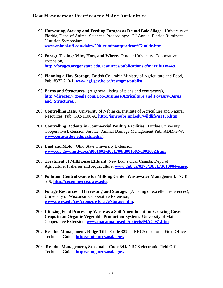- 196. **Harvesting, Storing and Feeding Forages as Round Bale Silage.** University of Florida, Dept. of Animal Sciences, Proceedings: 12<sup>th</sup> Annual Florida Ruminant Nutrition Symposium, **[www.animal.ufl.edu/dairy/2001ruminantprodconf/Kunkle.htm](http://www.animal.ufl.edu/dairy/2001ruminantprodconf/Kunkle.htm)**.
- 197. **Forage Testing: Why, How, and Where.** Purdue University, Cooperative Extension, **<http://forages.oregonstate.edu/resources/publications.cfm?PubID=449>**.
- 198. **Planning a Hay Storage.** British Columbia Ministry of Agriculture and Food, Pub. #372.210-1, **[www.agf.gov.bc.ca/resmgmt/publist](http://www.agf.gov.bc.ca/resmgmt/publist)**.
- 199. **Barns and Structures.** (A general listing of plans and contractors), **[http://directory.google.com/Top/Business/Agriculture and](http://directory.google.com/Top/Business/Agriculture%20and%20Forestry/Barns%20and_Structures/)** *Forestry/Barns*  **[and\\_Structures/](http://directory.google.com/Top/Business/Agriculture%20and%20Forestry/Barns%20and_Structures/)**.
- 200. **Controlling Rats.** University of Nebraska, Institute of Agriculture and Natural Resources, Pub. G92-1106-A, **<http://ianrpubs.unl.edu/wildlife/g1106.htm>**.
- 201. **Controlling Rodents in Commercial Poultry Facilities.** Purdue University Cooperative Extension Service, Animal Damage Management Pub. ADM-3-W, **[www.ces.purdue.edu/extmedia/](http://www.ces.purdue.edu/extmedia/)**.
- 202. **Dust and Mold.** Ohio State University Extension, **[www.cdc.gov/nasd/docs/d001601-d001700/d001682/d001682.html](http://www.cdc.gov/nasd/docs/d001601-d001700/d001682/d001682.html)**.
- 203. **Treatment of Milkhouse Effluent.** New Brunswick, Canada, Dept. of Agriculture, Fisheries and Aquaculture, **[www.gnb.ca/0173/10/0173010004-e.asp](http://www.gnb.ca/0173/10/0173010004-e.asp)**.
- 204. **Pollution Control Guide for Milking Center Wastewater Management.** NCR 549, **[http://cecommerce.uwex.edu](http://cecommerce.uwex.edu/)**.
- 205. **Forage Resources – Harvesting and Storage.** (A listing of excellent references), University of Wisconsin Cooperative Extension, **[www.uwex.edu/ces/crops/uwforage/storage.htm](http://www.uwex.edu/ces/crops/uwforage/storage.htm)**.
- 206. **Utilizing Food Processing Waste as a Soil Amendment for Growing Cover Crops in an Organic Vegetable Production System.** University of Maine Cooperative Extension, **[www.mac.umaine.edu/prjects/MAC031.htm](http://www.mac.umaine.edu/prjects/MAC031.htm)**.
- 207. **Residue Management, Ridge Till – Code 329c.** NRCS electronic Field Office Technical Guide, **<http://efotg.nrcs.usda.gov/>**.
- 208. **Residue Management, Seasonal – Code 344.** NRCS electronic Field Office Technical Guide, **<http://efotg.nrcs.usda.gov/>**.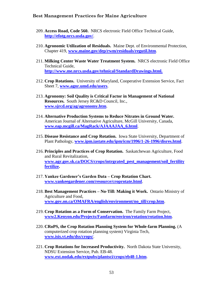- 209. **Access Road, Code 560.** NRCS electronic Field Office Technical Guide, **<http://efotg.nrcs.usda.gov/>**.
- 210. **Agronomic Utilization of Residuals.** Maine Dept. of Environmental Protection, Chapter 419, **[www.maine.gov/dep/rwm/residuals/regutil.htm](http://www.maine.gov/dep/rwm/residuals/regutil.htm)**.
- 211. **Milking Center Waste Water Treatment System.** NRCS electronic Field Office Technical Guide, **<http://www.me.nrcs.usda.gov/tehnical/StandardDrawings.html.>**
- 212. **Crop Rotations.** University of Maryland, Cooperative Extension Service, Fact Sheet 7, **[www.agnr.umd.edu/users](http://www.agnr.umd.edu/users)**.
- 213. **Agronomy: Soil Quality is Critical Factor in Management of National Resources.** South Jersey RC&D Council, Inc., **[www.sjrcd.org/ag/agronomy.htm](http://www.sjrcd.org/ag/agronomy.htm)**.
- 214. **Alternative Production Systems to Reduce Nitrates in Ground Water.**  American Journal of Alternative Agriculture, McGill University, Canada, **[www.eap.mcgill.ca/MagRack/AJAAAJAA\\_6.html](http://www.eap.mcgill.ca/MagRack/AJAAAJAA_6.html)**.
- 215. **Disease Resistance and Crop Rotation.** Iowa State University, Department of Plant Pathology, **[www.ipm.iastate.edu/ipm/icm/1996/1-26-1996/disres.html](http://www.ipm.iastate.edu/ipm/icm/1996/1-26-1996/disres.html)**.
- 216. **Principles and Practices of Crop Rotation.** Saskatchewan Agriculture, Food and Rural Revitalization, **[www.agr.gov.sk.ca/DOCS/crops/intrgrated\\_pest\\_management/soil\\_fertility](http://www.agr.gov.sk.ca/DOCS/crops/intrgrated_pest_management/soil_fertility%20fertilize)  [fertilize.](http://www.agr.gov.sk.ca/DOCS/crops/intrgrated_pest_management/soil_fertility%20fertilize)**
- 217. **Yankee Gardener's Garden Data – Crop Rotation Chart. [www.yankeegardener.com/resource/croprotate.html](http://www.yankeegardener.com/resource/croprotate.html)**.
- 218. **Best Management Practices – No-Till: Making it Work.** Ontario Ministry of Agriculture and Food, **[www.gov.on.ca/OMAFRA/english/environment/no\\_till/crop.htm](http://www.gov.on.ca/OMAFRA/english/environment/no_till/crop.htm)**.
- 219. **Crop Rotation as a Form of Conservation.** The Family Farm Project, **[www2.Kenyon.edu/Projects/Famfarm/environ/rotation/rotation.htm](http://www.kenyon.edu/Projects/Famfarm/environ/rotation/rotation.htm)**.
- 220. **CRoPS, the Crop Rotation Planning System for Whole-farm Planning.** (A computerized crop rotation planning system) Virginia Tech, **[www.isis.vt.edu/dss/crops/](http://www.isis.vt.edu/dss/crops/)**.
- 221. **Crop Rotations for Increased Productivity.** North Dakota State University, NDSU Extension Service, Pub. EB-48. **[www.ext.nodak.edu/extpubs/plantsci/crops/eb48-1.htm](http://www.ext.nodak.edu/extpubs/plantsci/crops/eb48-1.htm)**.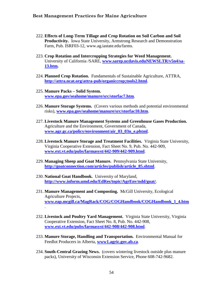- 222. **Effects of Long-Term Tillage and Crop Rotation on Soil Carbon and Soil Productivity.** Iowa State University, Armstrong Research and Demonstration Farm, Pub. ISRF03-12, www.ag.iastate.edu/farms.
- 223. **Crop Rotation and Intercropping Strategies for Weed Management.**  University of California /SARE, **[www.sarep.ucdavis.eduNEWSLTR/v5n4/sa-](http://www.sarep.ucdavis.edunewsltr/v5n4/sa-13.htm)[13.htm.](http://www.sarep.ucdavis.edunewsltr/v5n4/sa-13.htm)**
- 224. **Planned Crop Rotation.** Fundamentals of Sustainable Agriculture, ATTRA, **<http://attra.ncat.org/attra-pub/organiccrop;tools2.html>**.
- 225. **Manure Packs – Solid System. [www.epa.gov/seahome/manure/src/storfac7.htm](http://www.epa.gov/seahome/manure/src/storfac7.htm)**.
- 226. **Manure Storage Systems.** (Covers various methods and potential environmental risks), **[www.epa.gov/seahome/manure/src/storfac10.htm](http://www.epa.gov/seahome/manure/src/storfac10.htm)**.
- 227. **Livestock Manure Management Systems and Greenhouse Gases Production.**  Agriculture and the Environment, Government of Canada, **[www.agr.gc.ca/policy/environment/air\\_03\\_03n\\_e.phtml](http://www.agr.gc.ca/policy/environment/air_03_03n_e.phtml)**.
- 228. **Livestock Manure Storage and Treatment Facilities.** Virginia State University, Virginia Cooperative Extension, Fact Sheet No. 9, Pub. No. 442-909, **[www.ext.vt.edu/pubs/farmasyst/442-909/442-909.html](http://www.ext.vt.edu/pubs/farmasyst/442-909/442-909.html)**.
- 229. **Managing Sheep and Goat Manure.** Pennsylvania State University, **[http://goatconnection.com/articles/publish/article\\_85.shtml](http://goatconnection.com/articles/publish/article_85.shtml)**.
- 230. **National Goat Handbook.** University of Maryland, **<http://www.inform.umd.edu/EdRes/topic/AgrEnv/ndd/goat/>**.
- 231. **Manure Management and Composting.** McGill University, Ecological Agriculture Projects, **[www.eap.mcgill.ca/MagRack/COG/COGHandbook/COGHandbook\\_1\\_4.htm](http://www.eap.mcgill.ca/MagRack/COG/COGHandbook/COGHandbook_1_4.htm)** .
- 232. **Livestock and Poultry Yard Management.** Virginia State University, Virginia Cooperative Extension, Fact Sheet No. 8, Pub. No. 442-908, **[www.ext.vt.edu/pubs/farmasyst/442-908/442-908.html](http://www.ext.vt.edu/pubs/farmasyst/442-908/442-908.html)**.
- 233. **Manure Storage, Handling and Transportation.** Environmental Manual for Feedlot Producers in Alberta, **[www1.agric.gov.ab.ca](http://www.agric.gov.ab.ca/)**.
- 234. **South-Central Grazing News.** (covers wintering livestock outside plus manure packs), University of Wisconsin Extension Service, Phone 608-742-9682.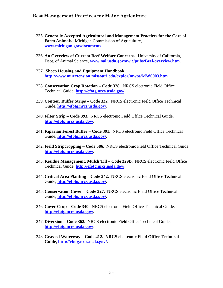- 235. **Generally Accepted Agricultural and Management Practices for the Care of Farm Animals.** Michigan Commission of Agriculture, **[www.michigan.gov/documents](http://www.michigan.gov/documents)**.
- 236. **An Overview of Current Beef Welfare Concerns.** University of California, Dept. of Animal Science, **[www.nal.usda.gov/awic/pubs/Beef/overview.htm](http://www.nal.usda.gov/awic/pubs/Beef/overview.htm)**.
- 237. **Sheep Housing and Equipment Handbook. <http://www.muextension.missouri.edu/explor/mwps/MW0003.htm>**.
- 238. **Conservation Crop Rotation – Code 328.** NRCS electronic Field Office Technical Guide, **[http://efotg.nrcs.usda.gov/.](http://efotg.nrcs.usda.gov/)**
- 239. **Contour Buffer Strips – Code 332.** NRCS electronic Field Office Technical Guide, **<http://efotg.nrcs.usda.gov/>**.
- 240. **Filter Strip – Code 393.** NRCS electronic Field Office Technical Guide, **[http://efotg.nrcs.usda.gov/.](http://efotg.nrcs.usda.gov/)**
- 241. **Riparian Forest Buffer – Code 391.** NRCS electronic Field Office Technical Guide, **[http://efotg.nrcs.usda.gov/.](http://efotg.nrcs.usda.gov/)**
- 242. **Field Stripcropping – Code 586.** NRCS electronic Field Office Technical Guide, **[http://efotg.nrcs.usda.gov/.](http://efotg.nrcs.usda.gov/)**
- 243. **Residue Management, Mulch Till – Code 329B.** NRCS electronic Field Office Technical Guide, **[http://efotg.nrcs.usda.gov/.](http://efotg.nrcs.usda.gov/)**
- 244. **Critical Area Planting – Code 342.** NRCS electronic Field Office Technical Guide, **[http://efotg.nrcs.usda.gov/.](http://efotg.nrcs.usda.gov/)**
- 245. **Conservation Cover – Code 327.** NRCS electronic Field Office Technical Guide, **[http://efotg.nrcs.usda.gov/.](http://efotg.nrcs.usda.gov/)**
- 246. **Cover Crop – Code 340.** NRCS electronic Field Office Technical Guide, **[http://efotg.nrcs.usda.gov/.](http://efotg.nrcs.usda.gov/)**
- 247. **Diversion – Code 362.** NRCS electronic Field Office Technical Guide, **<http://efotg.nrcs.usda.gov/>**.
- 248. **Grassed Waterway – Code 412. NRCS electronic Field Office Technical Guide, [http://efotg.nrcs.usda.gov/.](http://efotg.nrcs.usda.gov/)**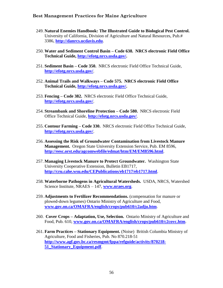- 249. **Natural Enemies Handbook: The Illustrated Guide to Biological Pest Control.**  University of California, Division of Agriculture and Natural Resources, Pub.# 3386, **[http://danrcs.ucdavis.edu](http://danrcs.ucdavis.edu/)**.
- 250. **Water and Sediment Control Basin – Code 638. NRCS electronic Field Office Technical Guide, [http://efotg.nrcs.usda.gov/.](http://efotg.nrcs.usda.gov/)**
- 251. **Sediment Basin – Code 350.** NRCS electronic Field Office Technical Guide, **<http://efotg.nrcs.usda.gov/>**.
- 252. **Animal Trails and Walkways – Code 575. NRCS electronic Field Office Technical Guide, [http://efotg.nrcs.usda.gov/.](http://efotg.nrcs.usda.gov/)**
- 253. **Fencing – Code 382.** NRCS electronic Field Office Technical Guide, **<http://efotg.nrcs.usda.gov/>**.
- 254. **Streambank and Shoreline Protection – Code 580.** NRCS electronic Field Office Technical Guide, **<http://efotg.nrcs.usda.gov/>**.
- 255. **Contour Farming – Code 330.** NRCS electronic Field Office Technical Guide, **<http://efotg.nrcs.usda.gov/>**.
- 256. **Assessing the Risk of Groundwater Contamination from Livestock Manure Management.** Oregon State University Extension Service, Pub. EM 8596, **<http://eesc.orst.edu/agcomwebfile/edmat/htm/EM/EM8596.html>**.
- 257. **Managing Livestock Manure to Protect Groundwater.** Washington State University Cooperative Extension, Bulletin EB1717, **<http://cru.cahe.wsu.edu/CEPublications/eb1717/eb1717.html>**.
- 258. **Waterborne Pathogens in Agricultural Watersheds.** USDA, NRCS, Watershed Science Institute, NRAES – 147, **[www.nraes.org](http://www.nraes.org/)**.
- 259. **Adjustments to Fertilizer Recommendations.** (compensation for manure or plowed-down legumes) Ontario Ministry of Agriculture and Food, **[www.gov.on.ca/OMAFRA/english/crops/pub610/c2adju.htm](http://www.gov.on.ca/OMAFRA/english/crops/pub610/c2adju.htm)**.
- 260. **Cover Crops – Adaptation, Use, Selection.** Ontario Ministry of Agriculture and Food, Pub. 610, **[www.gov.on.ca/OMAFRA/english/crops/pub610/c2covc.htm](http://www.gov.on.ca/OMAFRA/english/crops/pub610/c2covc.htm)**.
- 261. **Farm Practices – Stationary Equipment.** (Noise) British Columbia Ministry of Agriculture, Food and Fisheries, Pub. No 870.218-51 **[http://www.agf.gov.bc.ca/resmgmt/fppa/refguide/activity/870218-](http://www.agf.gov.bc.ca/resmgmt/fppa/refguide/activity/870218-51_Stationary_Equipment.pdf) [51\\_Stationary\\_Equipment.pdf](http://www.agf.gov.bc.ca/resmgmt/fppa/refguide/activity/870218-51_Stationary_Equipment.pdf)**.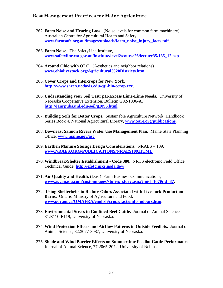- 262. **Farm Noise and Hearing Loss.** (Noise levels for common farm machinery) Australian Centre for Agricultural Health and Safety. **[www.farmsafe.org.au/images/uploads/farm\\_noise\\_injury\\_facts.pdf](http://www.farmsafe.org.au/images/uploads/farm_noise_injury_facts.pdf)**.
- 263. **Farm Noise.** The SafetyLine Institute, **[www.safetyline.wa.gov.au/institute/level2/course26/lecture35/135\\_12.asp](http://www.safetyline.wa.gov.au/institute/level2/course26/lecture35/135_12.asp)**.
- 264. **Around Ohio with OLC.** (Aesthetics and neighbor relations) **[www.ohiolivestock.org/Agricultural%20Districts.htm](http://www.ohiolivestock.org/Agricultural%20Districts.htm)**.
- 265. **Cover Crops and Intercrops for New York. <http://www.sarep.ucdavis.edu/cgi-bin/ccrop.exe>**.
- 266. **Understanding your Soil Test: pH-Excess Lime-Lime Needs.** University of Nebraska Cooperative Extension, Bulletin G92-1096-A, **[http://ianrpubs.unl.edu/soil/g1096.html](http://www.sare.org/publications)**.
- 267. **Building Soils for Better Crops.** Sustainable Agriculture Network, Handbook Series Book 4, National Agricultural Library, **[www.Sare.org/publications](http://www.sare.org/publications)**.
- 268. **Downeast Salmon Rivers Water Use Management Plan.** Maine State Planning Office, **[www.maine.gov/asc](http://www.maine.gov/asc)**.
- 269. **Earthen Manure Storage Design Considerations.** NRAES 109, **[www.NRAES.ORG/PUBLICATIONS/NRAES109.HTML](http://www.nraes.org/PUBLICATIONS/NRAES109.HTML)**.
- 270. **Windbreak/Shelter Establishment - Code 380.** NRCS electronic Field Office Technical Guide, **<http://efotg.nrcs.usda.gov/>**.
- 271. **Air Quality and Health.** (Dust) Farm Business Communications, **[www.agcanada.com/custompages/stories\\_story.aspx?mid=167&id=87](http://www.agcanada.com/custompages/stories_story.aspx?mid=167&id=87)**.
- 272. **Using Shelterbelts to Reduce Odors Associated with Livestock Production Barns.** Ontario Ministry of Agriculture and Food, **[www.gov.on.ca/OMAFRA/english/crops/facts/info\\_odours.htm](http://www.gov.on.ca/OMAFRA/english/crops/facts/info_odours.htm)**.
- 273. **Environmental Stress in Confined Beef Cattle.** Journal of Animal Science, 81:E110-E119, University of Nebraska.
- 274. **Wind Protection Effects and Airflow Patterns in Outside Feedlots.** Journal of Animal Science, 82:3077-3087, University of Nebraska.
- 275. **Shade and Wind Barrier Effects on Summertime Feedlot Cattle Performance.**  Journal of Animal Science, 77:2065-2072, University of Nebraska.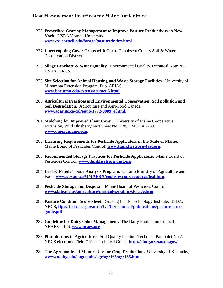- 276. **Prescribed Grazing Management to Improve Pasture Productivity in New York.** USDA/Cornell University, **[www.css.cornell.edu/forage/pasture/index.html](http://www.css.cornell.edu/forage/pasture/index.html)**.
- 277. **Intercropping Cover Crops with Corn.** Penobscot County Soil & Water Conservation District.
- 278. **Silage Leachate & Water Quality.** Environmental Quality Technical Note N5, USDA, NRCS.
- 279. **Site Selection for Animal Housing and Waste Storage Facilities.** University of Minnesota Extension Program, Pub. AEU-6, **[www.bae.umn.edu/extens/aeu/aeu6.html](http://www.bae.umn.edu/extens/aeu/aeu6.html)**.
- 280. **Agricultural Practices and Environmental Conservation: Soil pollution and Soil Degradation.** Agriculture and Agri-Food Canada, **[www.agar.gc.ca/cal/epub/1772-0009\\_e.html](http://www.agar.gc.ca/cal/epub/1772-0009_e.html)**.
- 281. **Mulching for Improved Plant Cover.** University of Maine Cooperative Extension, Wild Blueberry Fact Sheet No. 228, UMCE # 2239, **[www.umext.maine.edu](http://www.umext.maine.edu/)**.
- 282. **Licensing Requirements for Pesticide Applicators in the State of Maine**. Maine Board of Pesticides Control, **[www.thinkfirstspraylast.org](http://www.thinkfirstspraylast.org/)**.
- 283. **Recommended Storage Practices for Pesticide Applicators.** Maine Board of Pesticides Control, **[www.thinkfirstspraylast.org](http://www.thinkfirstspraylast.org/)**.
- 284. **Leaf & Petiole Tissue Analysis Program.** Ontario Ministry of Agriculture and Food, **[www.gov.on.ca/OMAFRA/english/crops/resource/leaf.htm](http://www.gov.on.ca/OMAFRA/english/crops/resource/leaf.htm)**.
- 285. **Pesticide Storage and Disposal.** Maine Board of Pesticides Control, **[www.state.me.us/agriculture/pesticides/public/storage.htm](http://www.state.me.us/agriculture/pesticides/public/storage.htm)**.
- 286. **Pasture Condition Score Sheet.** Grazing Lands Technology Institute, USDA, NRCS**, [ftp://ftp-fc.sc.egov.usda/GLTI/technical/publications/pasture-score](ftp://ftp-fc.sc.egov.usda/GLTI/technical/publications/pasture-score-guide.pdf)[guide.pdf](ftp://ftp-fc.sc.egov.usda/GLTI/technical/publications/pasture-score-guide.pdf)**.
- 287. **Guideline for Dairy Odor Management.** The Dairy Production Council, NRAES – 146, **[www.nraes.org](http://www.nraes.org/)**.
- 288. **Phosphorous in Agriculture.** Soil Quality Institute Technical Pamphlet No.2, NRCS electronic Field Office Technical Guide, **<http://efotg.nrcs.usda.gov/>**.
- 289. **The Agronomics of Manure Use for Crop Production.** University of Kentucky, **[www.ca.uky.edu/aagc/pubs/agr/agr165/agr165.htm](http://www.ca.uky.edu/aagc/pubs/agr/agr165/agr165.htm)**.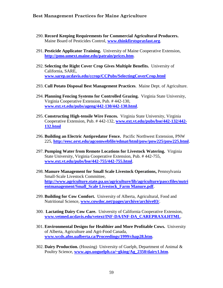- 290. **Record Keeping Requirements for Commercial Agricultural Producers.**  Maine Board of Pesticides Control, **[www.thinkfirstspraylast.org](http://www.thinkfirstspraylast.org/)**.
- 291. **Pesticide Applicator Training.** University of Maine Cooperative Extension, **<http://pmo.umext.maine.edu/patrain/prices.htm>**.
- 292. **Selecting the Right Cover Crop Gives Multiple Benefits.** University of California, SARE, **[www.sarep.ucdavis.edu/ccrop/CCPubs/SelectingCoverCrop.html](http://www.sarep.ucdavis.edu/ccrop/CCPubs/SelectingCoverCrop.html)**
- 293. **Cull Potato Disposal Best Management Practices**. Maine Dept. of Agriculture.
- 294. **Planning Fencing Systems for Controlled Grazing.** Virginia State University, Virginia Cooperative Extension, Pub. # 442-130, **[www.ext.vt.edu/pubs/ageng/442-130/442-130.html](http://www.ext.vt.edu/pubs/ageng/442-130/442-130.html)**.
- 295. **Constructing High-tensile Wire Fences.** Virginia State University, Virginia Cooperative Extension, Pub. # 442-132, **[www.ext.vt.edu/pubs/bse/442-132/442-](http://www.ext.vt.edu/pubs/bse/442-132/442-132.html) [132.html](http://www.ext.vt.edu/pubs/bse/442-132/442-132.html)**
- 296. **Building an Electric Antipredator Fence.** Pacific Northwest Extension, PNW 225, **<http://eesc.orst.edu/agcomwebfile/edmat/html/pnw/pnw225/pnw225.html>**.
- 297. **Pumping Water from Remote Locations for Livestock Watering.** Virginia State University, Virginia Cooperative Extension, Pub. # 442-755, **[www.ext.vt.edu/pubs/bse/442-755/442-755.html](http://www.ext.vt.edu/pubs/bse/442-755/442-755.html)**.
- 298. **Manure Management for Small Scale Livestock Operations,** Pennsylvania Small-Scale Livestock Committee, **[http://www.agriculture.state.pa.us/agriculture/lib/agriculture/pasccfiles/nutri](http://www.agriculture.state.pa.us/agriculture/lib/agriculture/pasccfiles/nutrientmanagement/Small_Scale%20Livestock_Farm%20Manure.pdf) [entmanagement/Small\\_Scale Livestock\\_Farm Manure.pdf](http://www.agriculture.state.pa.us/agriculture/lib/agriculture/pasccfiles/nutrientmanagement/Small_Scale%20Livestock_Farm%20Manure.pdf)**.
- 299. **Building for Cow Comfort.** University of Alberta, Agricultural, Food and Nutritional Science, **[www.cowdoc.net/pages/archive/archive03/](http://www.cowdoc.net/pages/archive/archive03/)**.
- 300. **Lactating Dairy Cow Care.** University of California Cooperative Extension, **[www.vetmed.ucdavis.edu/vetext/INF-DA/INF-DA\\_CAREPRAX4.HTML](http://www.vetmed.ucdavis.edu/vetext/INF-DA/INF-DA_CAREPRAX4.HTML)**.
- 301. **Environmental Designs for Healthier and More Profitable Cows.** University of Alberta, Agriculture and Agri-Food Canada, **[www.wcds.afns.ualberta.ca/Proceedings/1999/chap28.htm](http://www.wcds.afns.ualberta.ca/Proceedings/1999/chap28.htm)**.
- 302. **Dairy Production.** (Housing) University of Guelph, Department of Animal & Poultry Science, **[www.aps.uoguelph.ca/~gking/Ag\\_2350/dairy1.htm](http://www.aps.uoguelph.ca/~gking/Ag_2350/dairy1.htm)**.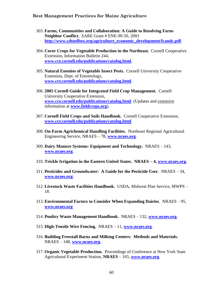- 303. **Farms, Communities and Collaboration: A Guide to Resolving Farm-Neighbor Conflict.** SARE Grant # ENE-99-50, 2003 **[http://www.cdtoolbox.org/agriculture\\_economic\\_development/fcandc.pdf](http://www.cdtoolbox.org/agriculture_economic_development/fcandc.pdf)**.
- 304. **Cover Crops for Vegetable Production in the Northeast.** Cornell Cooperative Extension, Information Bulletin 244, **[www.cce.cornell.edu/publications/catalog.html](http://www.cce.cornell.edu/publications/catalog.html)**.
- 305. **Natural Enemies of Vegetable Insect Pests.** Cornell University Cooperative Extension, Dept. of Entomology, **[www.cce.cornell.edu/publications/catalog.html](http://www.cce.cornell.edu/publications/catalog.html)**.
- 306. **2005 Cornell Guide for Integrated Field Crop Management.** Cornell University Cooperative Extension, **[www.cce.cornell.edu/publications/catalog.html](http://www.cce.cornell.edu/publications/catalog.html)**. (Updates and extensive information at **[www.fieldcrops.org](http://www.fieldcrops.org/)**).
- 307. **Cornell Field Crops and Soils Handbook.** Cornell Cooperative Extension, **[www.cce.cornell.edu/publications/catalog.html](http://www.cce.cornell.edu/publications/catalog.html)**.
- 308. **On-Farm Agrichemical Handling Facilities.** Northeast Regional Agricultural Engineering Service, NRAES – 78, **[www.nraes.org](http://www.nraes.org/)**.
- 309. **Dairy Manure Systems: Equipment and Technology.** NRAES 143, **[www.nraes.org](http://www.nraes.org/)**.
- 310. **Trickle Irrigation in the Eastern United States. NRAES – 4, [www.nraes.org.](http://www.nraes.org/)**
- 311. **Pesticides and Groundwater: A Guide for the Pesticide User.** NRAES 34, **[www.nraes.org](http://www.nraes.org/)**.
- 312. **Livestock Waste Facilities Handbook.** USDA, Midwest Plan Service, MWPS 18.
- 313. **Environmental Factors to Consider When Expanding Dairies**. NRAES 95, **[www.nraes.org](http://www.lnraes.org/)**
- 314. **Poultry Waste Management Handbook.** NRAES 132, **[www.nraes.org](http://www.nraes.org/)**.
- 315. **High-Tensile Wire Fencing.** NRAES 11, **[www.nraes.org](http://www.nraes.org/)**.
- 316. **Building Freestall Barns and Milking Centers: Methods and Materials.**  NRAES – 148, **[www.nraes.org](http://www.nraes.org/)**.
- 317. **Organic Vegetable Production.** Proceedings of Conference at New York State Agricultural Experiment Station, **NRAES** – 165, **[www.nraes.org](http://www.nraes.org/)**.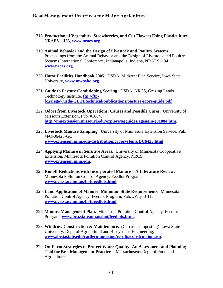- 318. **Production of Vegetables, Strawberries, and Cut Flowers Using Plasticulture.**  NRAES – 133, **[www.nraes.org](http://www.nraes.org/)**.
- 319. **Animal Behavior and the Design of Livestock and Poultry Systems.**  Proceedings from the Animal Behavior and the Design of Livestock and Poultry Systems International Conference, Indianapolis, Indiana, NRAES – 84, **[www.nraes.org](http://www.nraes.org/)**.
- 320. **Horse Facilities Handbook 2005.** USDA, Midwest Plan Service, Iowa State University, **[www.mwpshq.org](http://www.mwpshq.org/)**.
- 321. **Guide to Pasture Conditioning Scoring.** USDA, NRCS, Grazing Lands Technology Institute, **[ftp://ftp](ftp://ftp-fc.sc.egov.usda/GLTI/technical/publications/pasture-score-guide.pdf)[fc.sc.egov.usda/GLTI/technical/publications/pasture-score-guide.pdf](ftp://ftp-fc.sc.egov.usda/GLTI/technical/publications/pasture-score-guide.pdf)**
- 322. **Odors from Livestock Operations: Causes and Possible Cures.** University of Missouri Extension, Pub. #1884, **<http://muextension.missouri.edu/explore/agguides/agengin/g01884.htm>**.
- 323. **Livestock Manure Sampling.** University of Minnesota Extension Service, Pub. #FO-06423-GO, **[www.extension.umn.edu/distribution/cropsystems/DC6423.html](http://www.extension.umn.edu/distribution/cropsystems/DC6423.html)**.
- 324. **Applying Manure in Sensitive Areas.** University of Minnesota Cooperative Extension, Minnesota Pollution Control Agency, NRCS, **[www.extension.umn.edu](http://www.extension.umn.edu/)**.
- 325. **Runoff Reductions with Incorporated Manure – A Literature Review.**  Minnesota Pollution Control Agency, Feedlot Program, **[www.pca.state.mn.us/hot/feedlots.html](http://www.pca.state.mn.us/hot/feedlots.html)**.
- 326. **Land Application of Manure: Minimum State Requirements.** Minnesota Pollution Control Agency, Feedlot Program, Pub. #Wq-f8-11, **[www.pca.state.mn.us/hot/feedlots.html](http://www.pca.state.mn.us/hot/feedlots.html)**.
- 327. **Manure Management Plan.** Minnesota Pollution Control Agency, Feedlot Program, **[www.pca.state.mn.us/hot/feedlots.html](http://www.pca.state.mn.us/hot/feedlots.html)**.
- 328. **Windrow Construction & Maintenance.** (Carcass composting) Iowa State University, Dept. of Agricultural and Biosystems Engineering, **[www.abe.iastate.edu/cattlecomposting/results/construction.asp](http://www.abe.iastate.edu/cattlecomposting/results/construction.asp)**.
- 329. **On-Farm Strategies to Protect Water Quality: An Assessment and Planning Tool for Best Management Practices.** Massachusetts Dept. of Food and Agriculture.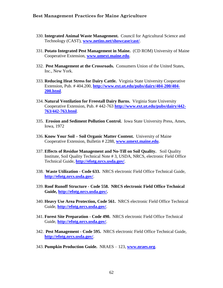- 330. **Integrated Animal Waste Management.** Council for Agricultural Science and Technology (CAST), **[www.netins.net/showcase/cast/](http://www.netins.net/showcase/cast/)**.
- 331. **Potato Integrated Pest Management in Maine.** (CD ROM) University of Maine Cooperative Extension, **[www.umext.maine.edu](http://www.umext.maine.edu/)**.
- 332. **Pest Management at the Crossroads.** Consumers Union of the United States, Inc., New York.
- 333. **Reducing Heat Stress for Dairy Cattle.** Virginia State University Cooperative Extension, Pub. # 404.200, **[http://www.ext.ut.edu/pubs/dairy/404-200/404-](http://www.ext.ut.edu/pubs/dairy/404-200/404-200.html) [200.html](http://www.ext.ut.edu/pubs/dairy/404-200/404-200.html)**.
- 334. **Natural Ventilation for Freestall Dairy Barns.** Virginia State University Cooperative Extension, Pub. # 442-763 **[http://www.ext.ut.edu/pubs/dairy/442-](http://www.ext.ut.edu/pubs/dairy/442-763/442-763.html) [763/442-763.html](http://www.ext.ut.edu/pubs/dairy/442-763/442-763.html)**.
- 335. **Erosion and Sediment Pollution Control.** Iowa State University Press, Ames, Iowa, 1972
- 336. **Know Your Soil – Soil Organic Matter Content.** University of Maine Cooperative Extension, Bulletin # 2288, **[www.umext.maine.edu](http://www.umext.maine.edu/)**.
- 337. **Effects of Residue Management and No-Till on Soil Quality.** Soil Quality Institute, Soil Quality Technical Note # 3, USDA, NRCS, electronic Field Office Technical Guide, **<http://efotg.nrcs.usda.gov/>**.
- 338. **Waste Utilization - Code 633.** NRCS electronic Field Office Technical Guide, **<http://efotg.nrcs.usda.gov/>**.
- 339. **Roof Runoff Structure - Code 558. NRCS electronic Field Office Technical Guide, [http://efotg.nrcs.usda.gov/.](http://efotg.nrcs.usda.gov/)**
- 340. **Heavy Use Area Protection, Code 561.** NRCS electronic Field Office Technical Guide, **<http://efotg.nrcs.usda.gov/>**.
- 341. **Forest Site Preparation - Code 490.** NRCS electronic Field Office Technical Guide, **<http://efotg.nrcs.usda.gov/>**.
- 342. **Pest Management - Code 595.** NRCS electronic Field Office Technical Guide, **<http://efotg.nrcs.usda.gov/>**.
- 343. **Pumpkin Production Guide.** NRAES 123, **[www.nraes.org](http://www.nraes.org/)**.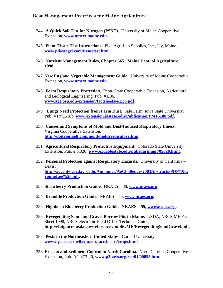- 344. **A Quick Soil Test for Nitrogen (PSNT).** University of Maine Cooperative Extension, **[www.umext.maine.edu](http://www.umext.maine.edu/)**.
- 345. **Plant Tissue Test Instructions.** Pike Agri-Lab Supplies, Inc., Jay, Maine, **[www.pikeaagri.com/tissuetest.html.](http://www.pikeaagri.com/tissuetest.html)**
- 346. **Nutrient Management Rules, Chapter 565. Maine Dept. of Agriculture, 1998.**
- 347. **New England Vegetable Management Guide.** University of Maine Cooperative Extension, **[www.umext.maine.edu](http://www.umext.maine.edu/)**.
- 348. **Farm Respiratory Protection.** Penn. State Cooperative Extension, Agricultural and Biological Engineering, Pub. # E36, **[www.age.psu.edu/extension/factsheets/e/E36.pdf](http://www.age.psu.edu/extension/factsheets/e/E36.pdf)**.
- 349. **Lungs Need Protection from Farm Dust.** Safe Farm, Iowa State University, Pub. # Pm1518b, **[www.extension.iastate.edu/Publication/PM15188.pdf](http://www.extension.iastate.edu/Publication/PM15188.pdf)**.
- 350. **Causes and Symptoms of Mold and Dust-Induced Respiratory Illness.**  Virginia Cooperative Extension, **<http://doityourself.com/mold/moldrespiratory.htm>**.
- 351. **Agricultural Respiratory Protective Equipment.** Colorado State University Extension, Pub. # 5.020, **[www.ext.colostate.edu/pubs/farmmgt/05020.html](http://www.ext.colostate.edu/pubs/farmmgt/05020.html)**.
- 352. **Personal Protection against Respiratory Hazards.** University of California Davis, **[http://agcenter.ucdavis.edu/Announce/AgChallenges2003Abstracts/PDF/10k:](http://agcenter.ucdavis.edu/Announce/AgChallenges2003Abstracts/PDF/10k:youngLee%20.pdf) [youngLee%20.pdf](http://agcenter.ucdavis.edu/Announce/AgChallenges2003Abstracts/PDF/10k:youngLee%20.pdf)**.
- 353. **Strawberry Production Guide.** NRAES 88, **[www.nraes.org](http://www.nraes.org/)**.
- 354. **Bramble Production Guide.** NRAES 55, **[www.nraes.org](http://www.nraes.org/)**.
- 355. **Highbush Blueberry Production Guide. NRAES – 55, [www.nraes.org.](http://www.nraes.org/)**
- 356. **Revegetating Sand and Gravel Borrow Pits in Maine.** USDA, NRCS ME Fact Sheet 1998, NRCS electronic Field Office Technical Guide, **http://efotg.nrcs.usda.gov/references/public/ME/RevegetatingSandGravel.pdf**.
- 357. **Pests in the Northeastern United States.** Cornell University, **[www.nysaes.cornell.edu/ent/factsheeps/crops.html](http://www.nysaes.cornell.edu/ent/factsheeps/crops.html)**.
- 358. **Erosion and Sediment Control in North Carolina.** North Carolina Cooperative Extension, Pub. AG 473-20, **[www.p2pays.org/ref/01/00055.htm](http://www.p2pays.org/ref/01/00055.htm)**.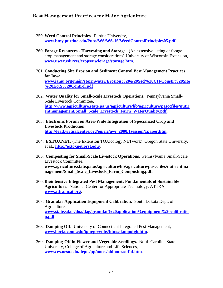- 359. **Weed Control Principles.** Purdue University, **[www.btny.purdue.edu/Pubs/WS/WS-16/WeedControlPrinciples05.pdf](http://www.btny.purdue.edu/Pubs/WS/WS-16/WeedControlPrinciples05.pdf)**
- 360. **Forage Resources - Harvesting and Storage.** (An extensive listing of forage crop management and storage considerations) University of Wisconsin Extension, **[www.uwex.edu/ces/crops/uwforage/storage.htm](http://www.uwex.edu/ces/crops/uwforage/storage.htm)**.
- 361. **Conducting Site Erosion and Sediment Control Best Management Practices for Iowa. [www.iamu.org/main/stormwater/Erosion%20&20Sed%20CH/Constr%20Site](http://www.iamu.org/main/stormwater/Erosion%20&20Sed%20CH/Constr%20Site%20E&S%20Control.pdf) [%20E&S%20Control.pdf](http://www.iamu.org/main/stormwater/Erosion%20&20Sed%20CH/Constr%20Site%20E&S%20Control.pdf)**
- 362. **Water Quality for Small-Scale Livestock Operations.** Pennsylvania Small-Scale Livestock Committee, **[http://www.agricullture.state.pa.us/agriculture/lib/agriculture/pasccfiles/nutri](http://www.agricullture.state.pa.us/agriculture/lib/agriculture/pasccfiles/nutrientmanagement/Small_Scale_Livestock_Farm_WaterQuality.pdf) [entmanagement/Small\\_Scale\\_Livestock\\_Farm\\_WaterQuality.pdf](http://www.agricullture.state.pa.us/agriculture/lib/agriculture/pasccfiles/nutrientmanagement/Small_Scale_Livestock_Farm_WaterQuality.pdf)**.
- 363. **Electronic Forum on Area-Wide Integration of Specialized Crop and Livestock Production. [http://lead.virtualcentre.org/en/ele/awi\\_2000/1session/1paper.htm](http://lead.virtualcentre.org/en/ele/awi_2000/1session/1paper.htm)**.
- 364. **EXTOXNET.** (The Extension TOXicology NETwork) Oregon State University, et al., **<http://extoxnet.orst.edu/>**.
- 365. **Composting for Small-Scale Livestock Operations.** Pennsylvania Small-Scale Livestock Committee**, www.agriculture.state.pa.us/agriculture/lib/agriculture/pasccfiles/nutrientma nagement/Small\_Scale\_Livestock\_Farm\_Composting.pdf.**
- 366. **Biointensive Integrated Pest Management: Fundamentals of Sustainable Agriculture.** National Center for Appropriate Technology, ATTRA, **[www.attra.ncat.org](http://www.attra.ncat.org/)**.
- 367. **Granular Application Equipment Calibration.** South Dakota Dept. of Agriculture, **[www.state.sd.us/doa/dag/granular%20application%equipment%20calibratio](http://www.state.sd.us/doa/dag/granular%20application%25equipment%20calibration.pdf) [n.pdf](http://www.state.sd.us/doa/dag/granular%20application%25equipment%20calibration.pdf)**.
- 368. **Damping Off.** University of Connecticut Integrated Pest Management, **[www.hort.uconn.edu/ipm/greenhs/htms/dampofgh.htm](http://www.hort.uconn.edu/ipm/greenhs/htms/dampofgh.htm)**.
- 369. **Damping-Off in Flower and Vegetable Seedlings.** North Carolina State University, College of Agriculture and Life Sciences, **[www.ces.nesu.edu/depts/pp/notes/oldnotes/od14.htm](http://www.ces.nesu.edu/depts/pp/notes/oldnotes/od14.htm)**.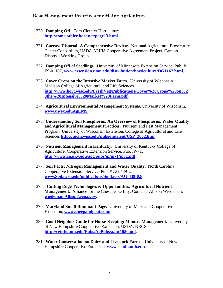- 370. **Damping Off.** Tom Clothier Horticulture, **<http://tomclothier.hort.net/page13.html>**.
- 371. **Carcass Disposal: A Comprehensive Review.** National Agricultural Biosecurity Center Consortium, USDA APHIS Cooperative Agreement Project, Carcass Disposal Working Group.
- 372. **Damping Off of Seedlings.** University of Minnesota Extension Service, Pub. # FS-01167, **[www.extension.umn.edu/distribution/horticulture/DG1167.html](http://www.extension.umn.edu/distribution/horticulture/DG1167.html)**.
- 373. **Cover Crops on the Intensive Market Farm.** University of Wisconsin Madison College of Agricultural and Life Sciences **[http://www.hort.wisc.edu/FreshVeg/Publications/Cover%20Crops%20on%2](http://www.hort.wisc.edu/FreshVeg/Publications/Cover%20Crops%20on%20the%20Intensive%20Market%20Farm.pdf) [0the%20Intensive%20Market%20Farm.pdf](http://www.hort.wisc.edu/FreshVeg/Publications/Cover%20Crops%20on%20the%20Intensive%20Market%20Farm.pdf)**.
- 374. **Agricultural Environmental Management Systems.** University of Wisconsin, **[www.uwex.eduAgEMS](http://www.uwex.eduagems/)**.
- 375. **Understanding Soil Phosphorus: An Overview of Phosphorus, Water Quality and Agricultural Management Practices.** Nutrient and Pest Management Program, University of Wisconsin Extension, College of Agricultural and Life Sciences **[http://ipcm.wisc.edu/pubs/nutrient/USP\\_2002.htm](http://ipcm.wisc.edu/pubs/nutrient/USP_2002.htm)**.
- 376. **Nutrient Management in Kentucky.** University of Kentucky College of Agriculture, Cooperative Extension Service, Pub. IP-71, **<http://www.ca.uky.edu/agc/pubs/ip/ip71/ip71.pdf>**.
- 377. **Soil Facts: Nitrogen Management and Water Quality.** North Carolina Cooperative Extension Service, Pub. # AG 439-2, **[www.Soil.ncsu.edu/publicatons/Soilfacts/AG-439-02/](http://www.soil.ncsu.edu/publicatons/Soilfacts/AG-439-02/)**.
- 378. **Cutting Edge Technologies & Opportunities: Agricultural Nutrient Management.** Alliance for the Chesapeake Bay, Contact: Allison Wiedeman, **[wiedeman.Allison@epa.gov](mailto:wiedeman.Allison@epa.gov)**.
- 379. **Maryland Small Ruminant Page.** University of Maryland Cooperative Extension, **[www.sheepandgoat.com/](http://www.sheepandgoat.com/)**.
- 380. **Good Neighbor Guide for Horse-Keeping: Manure Management.** University of New Hampshire Cooperative Extension, USDA, NRCS, **<http://ceinfo.unh.edu/Pubs/AgPubs/aahr1050.pdf>**.
- 381. **Water Conservation on Dairy and Livestock Farms.** University of New Hampshire Cooperative Extension, **[www.ceinfo.unh.edu](http://www.ceinfo.unh.edu/)**.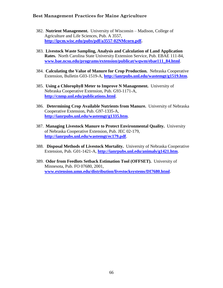- 382. **Nutrient Management.** University of Wisconsin Madison, College of Agriculture and Life Sciences, Pub. A 3557, **[http://ipcm.wisc.edu/pubs/pdf/a3557-02NMcorn.pdf.](http://ipcm.wisc.edu/pubs/pdf/a3557-02NMcorn.pdf)**
- 383. **Livestock Waste Sampling, Analysis and Calculation of Land Application Rates.** North Carolina State University Extension Service, Pub. EBAE 111-84, **[www.bae.ncsu.edu/programs/extension/publicat/wqwm/ebae111\\_84.html](http://www.bae.ncsu.edu/programs/extension/publicat/wqwm/ebae111_84.html)**.
- 384. **Calculating the Value of Manure for Crop Production.** Nebraska Cooperative Extension, Bulletin G03-1519-A, **<http://ianrpubs.unl.edu/wastemgt/g1519.htm>**.
- 385. **Using a Chlorophyll Meter to Improve N Management.** University of Nebraska Cooperative Extension, Pub. G93-1171-A, **<http://cnmp.unl.edu/publications.html>**.
- 386. **Determining Crop Available Nutrients from Manure.** University of Nebraska Cooperative Extension, Pub. G97-1335-A, **<http://ianrpubs.unl.edu/wastemgt/g1335.htm>**.
- 387. **Managing Livestock Manure to Protect Environmental Quality.** University of Nebraska Cooperative Extension, Pub. JEC 02-179, **<http://ianrpubs.unl.edu/wastemgt/ec179.pdf>**.
- 388. **Disposal Methods of Livestock Mortality.** University of Nebraska Cooperative Extension, Pub. G01-1421-A, **<http://ianrpubs.unl.edu/animals/g1421.htm>**.
- 389. **Odor from Feedlots Setback Estimation Tool (OFFSET).** University of Minnesota, Pub. FO 07680, 2001, **[www.extension.umn.edu/distribution/livestocksystems/DI7680.html](http://www.extension.umn.edu/distribution/livestocksystems/DI7680.html)**.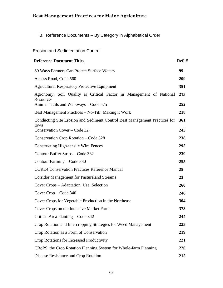## B. Reference Documents – By Category in Alphabetical Order

### Erosion and Sedimentation Control

| <b>Reference Document Titles</b>                                                   | <b>Ref.</b> # |
|------------------------------------------------------------------------------------|---------------|
| 60 Ways Farmers Can Protect Surface Waters                                         | 99            |
| Access Road, Code 560                                                              | 209           |
| <b>Agricultural Respiratory Protective Equipment</b>                               | 351           |
| Agronomy: Soil Quality is Critical Factor in Management of National<br>Resources   | 213           |
| Animal Trails and Walkways - Code 575                                              | 252           |
| Best Management Practices - No-Till: Making it Work                                | 218           |
| Conducting Site Erosion and Sediment Control Best Management Practices for<br>Iowa | 361           |
| Conservation Cover – Code 327                                                      | 245           |
| Conservation Crop Rotation – Code 328                                              | 238           |
| <b>Constructing High-tensile Wire Fences</b>                                       | 295           |
| Contour Buffer Strips – Code 332                                                   | 239           |
| Contour Farming – Code 330                                                         | 255           |
| <b>CORE4 Conservation Practices Reference Manual</b>                               | 25            |
| <b>Corridor Management for Pastureland Streams</b>                                 | 23            |
| Cover Crops – Adaptation, Use, Selection                                           | 260           |
| Cover Crop – Code 340                                                              | 246           |
| Cover Crops for Vegetable Production in the Northeast                              | 304           |
| Cover Crops on the Intensive Market Farm                                           | 373           |
| Critical Area Planting – Code 342                                                  | 244           |
| Crop Rotation and Intercropping Strategies for Weed Management                     | 223           |
| Crop Rotation as a Form of Conservation                                            | 219           |
| Crop Rotations for Increased Productivity                                          | 221           |
| CRoPS, the Crop Rotation Planning System for Whole-farm Planning                   | 220           |
| Disease Resistance and Crop Rotation                                               | 215           |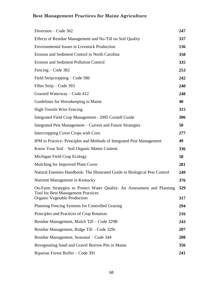| Diversion – Code 362                                                                                                 | 247 |
|----------------------------------------------------------------------------------------------------------------------|-----|
| Effects of Residue Management and No-Till on Soil Quality                                                            | 337 |
| <b>Environmental Issues in Livestock Production</b>                                                                  | 136 |
| Erosion and Sediment Control in North Carolina                                                                       | 358 |
| <b>Erosion and Sediment Pollution Control</b>                                                                        | 335 |
| Fencing – Code 382                                                                                                   | 253 |
| Field Stripcropping - Code 586                                                                                       | 242 |
| Filter Strip – Code 393                                                                                              | 240 |
| Grassed Waterway – Code 412                                                                                          | 248 |
| Guidelines for Horsekeeping in Maine                                                                                 | 40  |
| High-Tensile Wire Fencing                                                                                            | 315 |
| Integrated Field Crop Management - 2005 Cornell Guide                                                                | 306 |
| Integrated Pest Management – Current and Future Strategies                                                           | 50  |
| Intercropping Cover Crops with Corn                                                                                  | 277 |
| IPM in Practice-Principles and Methods of Integrated Pest Management                                                 | 49  |
| Know Your Soil – Soil Organic Matter Content                                                                         | 336 |
| Michigan Field Crop Ecology                                                                                          | 58  |
| Mulching for Improved Plant Cover                                                                                    | 281 |
| Natural Enemies Handbook: The Illustrated Guide to Biological Pest Control                                           | 249 |
| Nutrient Management in Kentucky                                                                                      | 376 |
| On-Farm Strategies to Protect Water Quality: An Assessment and Planning<br><b>Tool for Best Management Practices</b> | 329 |
| <b>Organic Vegetable Production</b>                                                                                  | 317 |
| Planning Fencing Systems for Controlled Grazing                                                                      | 294 |
| Principles and Practices of Crop Rotation                                                                            | 216 |
| Residue Management, Mulch Till – Code 329B                                                                           | 243 |
| Residue Management, Ridge Till – Code 329c                                                                           | 207 |
| Residue Management, Seasonal – Code 344                                                                              | 208 |
| Revegetating Sand and Gravel Borrow Pits in Maine                                                                    | 356 |
| Riparian Forest Buffer – Code 391                                                                                    | 241 |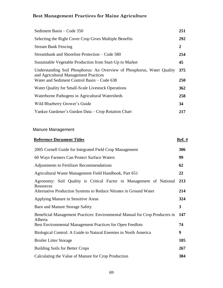| Sediment Basin – Code 350                                                                                                                                       | 251            |
|-----------------------------------------------------------------------------------------------------------------------------------------------------------------|----------------|
| Selecting the Right Cover Crop Gives Multiple Benefits                                                                                                          | 292            |
| <b>Stream Bank Fencing</b>                                                                                                                                      | $\overline{2}$ |
| Streambank and Shoreline Protection – Code 580                                                                                                                  | 254            |
| Sustainable Vegetable Production from Start-Up to Market                                                                                                        | 45             |
| Understanding Soil Phosphorus: An Overview of Phosphorus, Water Quality<br>and Agricultural Management Practices<br>Water and Sediment Control Basin - Code 638 | 375<br>250     |
| Water Quality for Small-Scale Livestock Operations                                                                                                              | 362            |
| Waterborne Pathogens in Agricultural Watersheds                                                                                                                 | 258            |
| Wild Blueberry Grower's Guide                                                                                                                                   | 34             |
| Yankee Gardener's Garden Data - Crop Rotation Chart                                                                                                             | 217            |

### Manure Management

| <b>Reference Document Titles</b>                                                       | $Ref.$ # |
|----------------------------------------------------------------------------------------|----------|
| 2005 Cornell Guide for Integrated Field Crop Management                                | 306      |
| 60 Ways Farmers Can Protect Surface Waters                                             | 99       |
| Adjustments to Fertilizer Recommendations                                              | 62       |
| Agricultural Waste Management Field Handbook, Part 651                                 | 22       |
| Agronomy: Soil Quality is Critical Factor in Management of National<br>Resources       | 213      |
| Alternative Production Systems to Reduce Nitrates in Ground Water                      | 214      |
| Applying Manure in Sensitive Areas                                                     | 324      |
| Barn and Manure Storage Safety                                                         | 3        |
| Beneficial Management Practices: Environmental Manual for Crop Producers in<br>Alberta | 147      |
| Best Environmental Management Practices for Open Feedlots                              | 74       |
| Biological Control: A Guide to Natural Enemies in North America                        | 9        |
| <b>Broiler Litter Storage</b>                                                          | 105      |
| <b>Building Soils for Better Crops</b>                                                 | 267      |
| Calculating the Value of Manure for Crop Production                                    | 384      |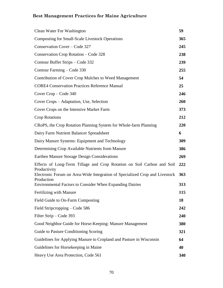| Clean Water For Washington                                                                | 59         |
|-------------------------------------------------------------------------------------------|------------|
| <b>Composting for Small-Scale Livestock Operations</b>                                    | 365        |
| Conservation Cover - Code 327                                                             | 245        |
| Conservation Crop Rotation – Code 328                                                     | 238        |
| Contour Buffer Strips – Code 332                                                          | 239        |
| Contour Farming – Code 330                                                                | 255        |
| Contribution of Cover Crop Mulches to Weed Management                                     | 54         |
| <b>CORE4 Conservation Practices Reference Manual</b>                                      | 25         |
| Cover Crop – Code 340                                                                     | 246        |
| Cover Crops – Adaptation, Use, Selection                                                  | 260        |
| Cover Crops on the Intensive Market Farm                                                  | 373        |
| <b>Crop Rotations</b>                                                                     | 212        |
| CRoPS, the Crop Rotation Planning System for Whole-farm Planning                          | 220        |
| Dairy Farm Nutrient Balancer Spreadsheet                                                  | 6          |
| Dairy Manure Systems: Equipment and Technology                                            | 309        |
| Determining Crop Available Nutrients from Manure                                          | 386        |
| Earthen Manure Storage Design Considerations                                              | 269        |
| Effects of Long-Term Tillage and Crop Rotation on Soil Carbon and Soil<br>Productivity    | 222        |
| Electronic Forum on Area-Wide Integration of Specialized Crop and Livestock<br>Production | <b>363</b> |
| <b>Environmental Factors to Consider When Expanding Dairies</b>                           | 313        |
| Fertilizing with Manure                                                                   | 115        |
| Field Guide to On-Farm Composting                                                         | 18         |
| Field Stripcropping – Code 586                                                            | 242        |
| Filter Strip – Code 393                                                                   | 240        |
| Good Neighbor Guide for Horse-Keeping: Manure Management                                  | 380        |
| Guide to Pasture Conditioning Scoring                                                     | 321        |
| Guidelines for Applying Manure to Cropland and Pasture in Wisconsin                       | 64         |
| Guidelines for Horsekeeping in Maine                                                      | 40         |
| Heavy Use Area Protection, Code 561                                                       | 340        |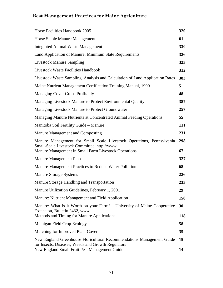| Horse Facilities Handbook 2005                                                                                                                                              | 320       |
|-----------------------------------------------------------------------------------------------------------------------------------------------------------------------------|-----------|
| Horse Stable Manure Management                                                                                                                                              | 61        |
| <b>Integrated Animal Waste Management</b>                                                                                                                                   | 330       |
| Land Application of Manure: Minimum State Requirements                                                                                                                      | 326       |
| <b>Livestock Manure Sampling</b>                                                                                                                                            | 323       |
| <b>Livestock Waste Facilities Handbook</b>                                                                                                                                  | 312       |
| Livestock Waste Sampling, Analysis and Calculation of Land Application Rates                                                                                                | 383       |
| Maine Nutrient Management Certification Training Manual, 1999                                                                                                               | 5         |
| <b>Managing Cover Crops Profitably</b>                                                                                                                                      | 48        |
| Managing Livestock Manure to Protect Environmental Quality                                                                                                                  | 387       |
| Managing Livestock Manure to Protect Groundwater                                                                                                                            | 257       |
| Managing Manure Nutrients at Concentrated Animal Feeding Operations                                                                                                         | 55        |
| Manitoba Soil Fertility Guide - Manure                                                                                                                                      | 111       |
| Manure Management and Composting                                                                                                                                            | 231       |
| Manure Management for Small Scale Livestock Operations, Pennsylvania<br>Small-Scale Livestock Committee, http://www<br>Manure Management in Small Farm Livestock Operations | 298<br>67 |
| Manure Management Plan                                                                                                                                                      | 327       |
| Manure Management Practices to Reduce Water Pollution                                                                                                                       | 68        |
| <b>Manure Storage Systems</b>                                                                                                                                               | 226       |
| Manure Storage Handling and Transportation                                                                                                                                  | 233       |
| Manure Utilization Guidelines, February 1, 2001                                                                                                                             | 29        |
| Manure: Nutrient Management and Field Application                                                                                                                           | 158       |
| Manure: What is it Worth on your Farm? University of Maine Cooperative<br>Extension, Bulletin 2432, www<br>Methods and Timing for Manure Applications                       | 30<br>118 |
| Michigan Field Crop Ecology                                                                                                                                                 | 58        |
| Mulching for Improved Plant Cover                                                                                                                                           | 35        |
| New England Greenhouse Floricultural Recommendations Management Guide                                                                                                       | 15        |
| for Insects, Diseases, Weeds and Growth Regulators<br>New England Small Fruit Pest Management Guide                                                                         | 14        |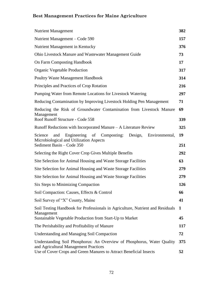| <b>Nutrient Management</b>                                                                                                                                                             | 382       |
|----------------------------------------------------------------------------------------------------------------------------------------------------------------------------------------|-----------|
| Nutrient Management – Code 590                                                                                                                                                         | 157       |
| Nutrient Management in Kentucky                                                                                                                                                        | 376       |
| Ohio Livestock Manure and Wastewater Management Guide                                                                                                                                  | 73        |
| <b>On Farm Composting Handbook</b>                                                                                                                                                     | 17        |
| Organic Vegetable Production                                                                                                                                                           | 317       |
| <b>Poultry Waste Management Handbook</b>                                                                                                                                               | 314       |
| Principles and Practices of Crop Rotation                                                                                                                                              | 216       |
| Pumping Water from Remote Locations for Livestock Watering                                                                                                                             | 297       |
| Reducing Contamination by Improving Livestock Holding Pen Management                                                                                                                   | 71        |
| Reducing the Risk of Groundwater Contamination from Livestock Manure<br>Management<br>Roof Runoff Structure - Code 558                                                                 | 69<br>339 |
| Runoff Reductions with Incorporated Manure – A Literature Review                                                                                                                       | 325       |
|                                                                                                                                                                                        |           |
| Engineering<br>Composting: Design,<br>Environmental,<br>Science<br>of<br>and<br>Microbiological and Utilization Aspects<br>Sediment Basin – Code 350                                   | 19<br>251 |
| Selecting the Right Cover Crop Gives Multiple Benefits                                                                                                                                 | 292       |
| Site Selection for Animal Housing and Waste Storage Facilities                                                                                                                         | 63        |
| Site Selection for Animal Housing and Waste Storage Facilities                                                                                                                         | 279       |
| Site Selection for Animal Housing and Waste Storage Facilities                                                                                                                         | 279       |
| Six Steps to Minimizing Compaction                                                                                                                                                     | 126       |
| Soil Compaction: Causes, Effects & Control                                                                                                                                             | 66        |
| Soil Survey of "X" County, Maine                                                                                                                                                       | 41        |
| Soil Testing Handbook for Professionals in Agriculture, Nutrient and Residuals<br>Management<br>Sustainable Vegetable Production from Start-Up to Market                               | 1<br>45   |
|                                                                                                                                                                                        |           |
| The Perishability and Profitability of Manure                                                                                                                                          | 117       |
| <b>Understanding and Managing Soil Compaction</b>                                                                                                                                      | 72        |
| Understanding Soil Phosphorus: An Overview of Phosphorus, Water Quality<br>and Agricultural Management Practices<br>Use of Cover Crops and Green Manures to Attract Beneficial Insects | 375<br>52 |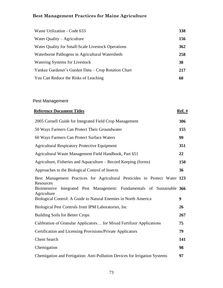| Waste Utilization - Code 633                        | 338 |
|-----------------------------------------------------|-----|
| Water Quality $-$ Agriculture                       | 156 |
| Water Quality for Small-Scale Livestock Operations  | 362 |
| Waterborne Pathogens in Agricultural Watersheds     | 258 |
| Watering Systems for Livestock                      | 38  |
| Yankee Gardener's Garden Data – Crop Rotation Chart | 217 |
| You Can Reduce the Risks of Leaching                | 60  |

## Pest Management

| <b>Reference Document Titles</b>                                                                                                                                                   | <u>Ref. #</u> |
|------------------------------------------------------------------------------------------------------------------------------------------------------------------------------------|---------------|
| 2005 Cornell Guide for Integrated Field Crop Management                                                                                                                            | 306           |
| 50 Ways Farmers Can Protect Their Groundwater                                                                                                                                      | 155           |
| 60 Ways Farmers Can Protect Surface Waters                                                                                                                                         | 99            |
| <b>Agricultural Respiratory Protective Equipment</b>                                                                                                                               | 351           |
| Agricultural Waste Management Field Handbook, Part 651                                                                                                                             | 22            |
| Agriculture, Fisheries and Aquaculture – Record Keeping (forms)                                                                                                                    | 150           |
| Approaches to the Biological Control of Insects                                                                                                                                    | 36            |
| Best Management Practices for Agricultural Pesticides to Protect Water 123<br>Resources<br>Biointensive Integrated Pest Management: Fundamentals of Sustainable 366<br>Agriculture |               |
| Biological Control: A Guide to Natural Enemies in North America                                                                                                                    | 9             |
| Biological Pest Controls from IPM Laboratories, Inc                                                                                                                                | 26            |
| <b>Building Soils for Better Crops</b>                                                                                                                                             | 267           |
| Calibration of Granular Applicators for Mixed Fertilizer Applications                                                                                                              | 75            |
| Certification and Licensing Provisions/Private Applicators                                                                                                                         | 79            |
| <b>Chem Search</b>                                                                                                                                                                 | 141           |
| Chemigation                                                                                                                                                                        | 98            |
| Chemigation and Fertigation: Anti-Pollution Devices for Irrigation Systems                                                                                                         | 97            |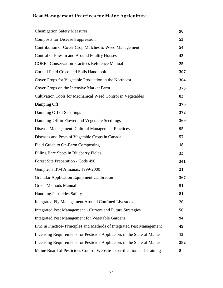| <b>Chemigation Safety Measures</b>                                     | 96  |
|------------------------------------------------------------------------|-----|
| <b>Composts for Disease Suppression</b>                                | 53  |
| Contribution of Cover Crop Mulches to Weed Management                  | 54  |
| Control of Flies in and Around Poultry Houses                          | 43  |
| <b>CORE4 Conservation Practices Reference Manual</b>                   | 25  |
| Cornell Field Crops and Soils Handbook                                 | 307 |
| Cover Crops for Vegetable Production in the Northeast                  | 304 |
| Cover Crops on the Intensive Market Farm                               | 373 |
| Cultivation Tools for Mechanical Weed Control in Vegetables            | 83  |
| Damping Off                                                            | 370 |
| Damping Off of Seedlings                                               | 372 |
| Damping-Off in Flower and Vegetable Seedlings                          | 369 |
| Disease Management: Cultural Management Practices                      | 95  |
| Diseases and Pests of Vegetable Crops in Canada                        | 57  |
| Field Guide to On-Farm Composting                                      | 18  |
| Filling Bare Spots in Blueberry Fields                                 | 33  |
| Forest Site Preparation - Code 490                                     | 341 |
| Gempler's IPM Almanac, 1999-2000                                       | 21  |
| <b>Granular Application Equipment Calibration</b>                      | 367 |
| <b>Green Methods Manual</b>                                            | 51  |
| <b>Handling Pesticides Safely</b>                                      | 81  |
| <b>Integrated Fly Management Around Confined Livestock</b>             | 20  |
| Integrated Pest Management – Current and Future Strategies             | 50  |
| <b>Integrated Pest Management for Vegetable Gardens</b>                | 94  |
| IPM in Practice-Principles and Methods of Integrated Pest Management   | 49  |
| Licensing Requirements for Pesticide Applicators in the State of Maine | 13  |
| Licensing Requirements for Pesticide Applicators in the State of Maine | 282 |
| Maine Board of Pesticides Control Website - Certification and Training | 8   |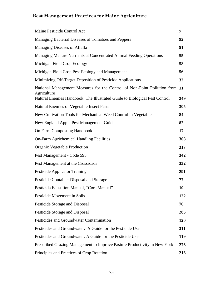| Maine Pesticide Control Act                                                                | 7   |
|--------------------------------------------------------------------------------------------|-----|
| Managing Bacterial Diseases of Tomatoes and Peppers                                        | 92  |
| Managing Diseases of Alfalfa                                                               | 91  |
| Managing Manure Nutrients at Concentrated Animal Feeding Operations                        | 55  |
| Michigan Field Crop Ecology                                                                | 58  |
| Michigan Field Crop Pest Ecology and Management                                            | 56  |
| Minimizing Off-Target Deposition of Pesticide Applications                                 | 32  |
| National Management Measures for the Control of Non-Point Pollution from 11<br>Agriculture |     |
| Natural Enemies Handbook: The Illustrated Guide to Biological Pest Control                 | 249 |
| <b>Natural Enemies of Vegetable Insect Pests</b>                                           | 305 |
| New Cultivation Tools for Mechanical Weed Control in Vegetables                            | 84  |
| New England Apple Pest Management Guide                                                    | 82  |
| On Farm Composting Handbook                                                                | 17  |
| <b>On-Farm Agrichemical Handling Facilities</b>                                            | 308 |
| Organic Vegetable Production                                                               | 317 |
| Pest Management - Code 595                                                                 | 342 |
| Pest Management at the Crossroads                                                          | 332 |
| <b>Pesticide Applicator Training</b>                                                       | 291 |
| Pesticide Container Disposal and Storage                                                   | 77  |
| Pesticide Education Manual, "Core Manual"                                                  | 10  |
| Pesticide Movement in Soils                                                                | 122 |
| Pesticide Storage and Disposal                                                             | 76  |
| Pesticide Storage and Disposal                                                             | 285 |
| Pesticides and Groundwater Contamination                                                   | 120 |
| Pesticides and Groundwater: A Guide for the Pesticide User                                 | 311 |
| Pesticides and Groundwater: A Guide for the Pesticide User                                 | 119 |
| Prescribed Grazing Management to Improve Pasture Productivity in New York                  | 276 |
| Principles and Practices of Crop Rotation                                                  | 216 |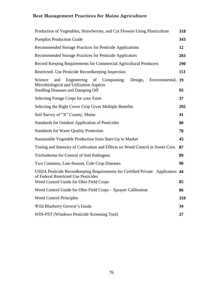| Production of Vegetables, Strawberries, and Cut Flowers Using Plasticulture                                                                                       | 318 |
|-------------------------------------------------------------------------------------------------------------------------------------------------------------------|-----|
| <b>Pumpkin Production Guide</b>                                                                                                                                   | 343 |
| Recommended Storage Practices for Pesticide Applications                                                                                                          | 12  |
| Recommended Storage Practices for Pesticide Applicators                                                                                                           | 283 |
| Record Keeping Requirements for Commercial Agricultural Producers                                                                                                 | 290 |
| Restricted- Use Pesticide Recordkeeping Inspection                                                                                                                | 151 |
| Engineering<br>of<br>Design,<br>Environmental, 19<br>Science<br>and<br>Composting:<br>Microbiological and Utilization Aspects                                     |     |
| Seedling Diseases and Damping Off                                                                                                                                 | 93  |
| Selecting Forage Crops for your Farm                                                                                                                              | 37  |
| Selecting the Right Cover Crop Gives Multiple Benefits                                                                                                            | 292 |
| Soil Survey of "X" County, Maine                                                                                                                                  | 41  |
| Standards for Outdoor Application of Pesticides                                                                                                                   | 80  |
| <b>Standards for Water Quality Protection</b>                                                                                                                     | 78  |
| Sustainable Vegetable Production from Start-Up to Market                                                                                                          | 45  |
| Timing and Intensity of Cultivation and Effects on Weed Control in Sweet Corn                                                                                     | 87  |
| Trichoderma for Control of Soil Pathogens                                                                                                                         | 89  |
| Two Common, Late-Season, Cole Crop Diseases                                                                                                                       | 90  |
| USDA Pesticide Recordkeeping Requirements for Certified Private Applicators 44<br>of Federal Restricted Use Pesticides<br>Weed Control Guide for Ohio Field Crops | 85  |
| Weed Control Guide for Ohio Field Crops – Sprayer Calibration                                                                                                     | 86  |
| <b>Weed Control Principles</b>                                                                                                                                    | 359 |
| Wild Blueberry Grower's Guide                                                                                                                                     | 34  |
| WIN-PST (Windows Pesticide Screening Tool)                                                                                                                        | 27  |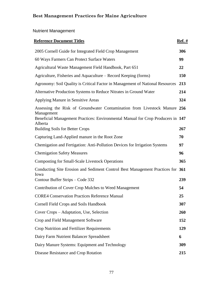## Nutrient Management

| <b>Reference Document Titles</b>                                                                                                                                                      | <u>Ref. #</u> |
|---------------------------------------------------------------------------------------------------------------------------------------------------------------------------------------|---------------|
| 2005 Cornell Guide for Integrated Field Crop Management                                                                                                                               | 306           |
| 60 Ways Farmers Can Protect Surface Waters                                                                                                                                            | 99            |
| Agricultural Waste Management Field Handbook, Part 651                                                                                                                                | 22            |
| Agriculture, Fisheries and Aquaculture – Record Keeping (forms)                                                                                                                       | 150           |
| Agronomy: Soil Quality is Critical Factor in Management of National Resources                                                                                                         | 213           |
| Alternative Production Systems to Reduce Nitrates in Ground Water                                                                                                                     | 214           |
| Applying Manure in Sensitive Areas                                                                                                                                                    | 324           |
| Assessing the Risk of Groundwater Contamination from Livestock Manure 256<br>Management<br>Beneficial Management Practices: Environmental Manual for Crop Producers in 147<br>Alberta |               |
| <b>Building Soils for Better Crops</b>                                                                                                                                                | 267           |
| Capturing Land-Applied manure in the Root Zone                                                                                                                                        | 70            |
| Chemigation and Fertigation: Anti-Pollution Devices for Irrigation Systems                                                                                                            | 97            |
| <b>Chemigation Safety Measures</b>                                                                                                                                                    | 96            |
| <b>Composting for Small-Scale Livestock Operations</b>                                                                                                                                | 365           |
| Conducting Site Erosion and Sediment Control Best Management Practices for 361<br>Iowa<br>Contour Buffer Strips – Code 332                                                            | 239           |
| Contribution of Cover Crop Mulches to Weed Management                                                                                                                                 | 54            |
| <b>CORE4 Conservation Practices Reference Manual</b>                                                                                                                                  | 25            |
| <b>Cornell Field Crops and Soils Handbook</b>                                                                                                                                         | 307           |
| Cover Crops – Adaptation, Use, Selection                                                                                                                                              | 260           |
| Crop and Field Management Software                                                                                                                                                    | 152           |
| Crop Nutrition and Fertilizer Requirements                                                                                                                                            | 129           |
| Dairy Farm Nutrient Balancer Spreadsheet                                                                                                                                              | 6             |
| Dairy Manure Systems: Equipment and Technology                                                                                                                                        | 309           |
| Disease Resistance and Crop Rotation                                                                                                                                                  | 215           |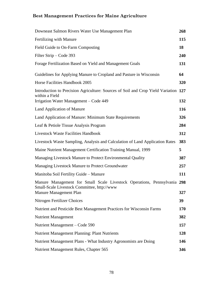| Downeast Salmon Rivers Water Use Management Plan                                                                        | 268 |
|-------------------------------------------------------------------------------------------------------------------------|-----|
| Fertilizing with Manure                                                                                                 | 115 |
| Field Guide to On-Farm Composting                                                                                       | 18  |
| Filter Strip – Code 393                                                                                                 | 240 |
| Forage Fertilization Based on Yield and Management Goals                                                                | 131 |
| Guidelines for Applying Manure to Cropland and Pasture in Wisconsin                                                     | 64  |
| Horse Facilities Handbook 2005                                                                                          | 320 |
| Introduction to Precision Agriculture: Sources of Soil and Crop Yield Variation 127<br>within a Field                   |     |
| Irrigation Water Management – Code 449                                                                                  | 132 |
| Land Application of Manure                                                                                              | 116 |
| Land Application of Manure: Minimum State Requirements                                                                  | 326 |
| Leaf & Petiole Tissue Analysis Program                                                                                  | 284 |
| <b>Livestock Waste Facilities Handbook</b>                                                                              | 312 |
| Livestock Waste Sampling, Analysis and Calculation of Land Application Rates                                            | 383 |
| Maine Nutrient Management Certification Training Manual, 1999                                                           | 5   |
| Managing Livestock Manure to Protect Environmental Quality                                                              | 387 |
| Managing Livestock Manure to Protect Groundwater                                                                        | 257 |
| Manitoba Soil Fertility Guide - Manure                                                                                  | 111 |
| Manure Management for Small Scale Livestock Operations, Pennsylvania 298<br>Small-Scale Livestock Committee, http://www | 327 |
| Manure Management Plan<br>Nitrogen Fertilizer Choices                                                                   | 39  |
|                                                                                                                         |     |
| Nutrient and Pesticide Best Management Practices for Wisconsin Farms                                                    | 170 |
| <b>Nutrient Management</b>                                                                                              | 382 |
| Nutrient Management – Code 590                                                                                          | 157 |
| Nutrient Management Planning: Plant Nutrients                                                                           | 128 |
| Nutrient Management Plans - What Industry Agronomists are Doing                                                         | 146 |
| Nutrient Management Rules, Chapter 565                                                                                  | 346 |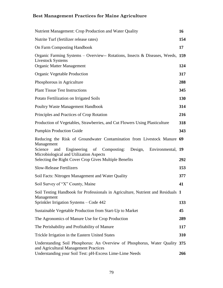| Nutrient Management: Crop Production and Water Quality                                                                                                                                                        | 16         |
|---------------------------------------------------------------------------------------------------------------------------------------------------------------------------------------------------------------|------------|
| Nutrite Turf (fertilizer release rates)                                                                                                                                                                       | 154        |
| <b>On Farm Composting Handbook</b>                                                                                                                                                                            | 17         |
| Organic Farming Systems - Overview-- Rotations, Insects & Diseases, Weeds, 159<br><b>Livestock Systems</b><br><b>Organic Matter Management</b>                                                                | 124        |
| Organic Vegetable Production                                                                                                                                                                                  | 317        |
| Phosphorous in Agriculture                                                                                                                                                                                    | 288        |
| <b>Plant Tissue Test Instructions</b>                                                                                                                                                                         | 345        |
| Potato Fertilization on Irrigated Soils                                                                                                                                                                       | 130        |
| Poultry Waste Management Handbook                                                                                                                                                                             | 314        |
| Principles and Practices of Crop Rotation                                                                                                                                                                     | 216        |
| Production of Vegetables, Strawberries, and Cut Flowers Using Plasticulture                                                                                                                                   | 318        |
| <b>Pumpkin Production Guide</b>                                                                                                                                                                               | 343        |
| Reducing the Risk of Groundwater Contamination from Livestock Manure 69<br>Management<br>Science<br>Engineering of Composting: Design,<br>Environmental, 19<br>and<br>Microbiological and Utilization Aspects |            |
| Selecting the Right Cover Crop Gives Multiple Benefits<br><b>Slow-Release Fertilizers</b>                                                                                                                     | 292<br>153 |
| Soil Facts: Nitrogen Management and Water Quality                                                                                                                                                             | 377        |
| Soil Survey of "X" County, Maine                                                                                                                                                                              | 41         |
| Soil Testing Handbook for Professionals in Agriculture, Nutrient and Residuals 1<br>Management<br>Sprinkler Irrigation Systems - Code 442                                                                     | 133        |
| Sustainable Vegetable Production from Start-Up to Market                                                                                                                                                      | 45         |
| The Agronomics of Manure Use for Crop Production                                                                                                                                                              | 289        |
| The Perishability and Profitability of Manure                                                                                                                                                                 | 117        |
| Trickle Irrigation in the Eastern United States                                                                                                                                                               | 310        |
| Understanding Soil Phosphorus: An Overview of Phosphorus, Water Quality 375<br>and Agricultural Management Practices<br>Understanding your Soil Test: pH-Excess Lime-Lime Needs                               | 266        |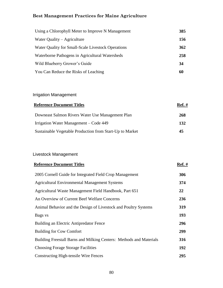| Using a Chlorophyll Meter to Improve N Management  | 385 |
|----------------------------------------------------|-----|
| Water Quality $-$ Agriculture                      | 156 |
| Water Quality for Small-Scale Livestock Operations | 362 |
| Waterborne Pathogens in Agricultural Watersheds    | 258 |
| Wild Blueberry Grower's Guide                      | 34  |
| You Can Reduce the Risks of Leaching               | 60  |

### Irrigation Management

| <b>Reference Document Titles</b>                         | <b>Ref.</b> # |
|----------------------------------------------------------|---------------|
| Downeast Salmon Rivers Water Use Management Plan         | 268           |
| Irrigation Water Management – Code 449                   | 132           |
| Sustainable Vegetable Production from Start-Up to Market | 45            |

### Livestock Management

| <b>Reference Document Titles</b>                                    | $Ref. \#$ |
|---------------------------------------------------------------------|-----------|
| 2005 Cornell Guide for Integrated Field Crop Management             | 306       |
| <b>Agricultural Environmental Management Systems</b>                | 374       |
| Agricultural Waste Management Field Handbook, Part 651              | 22        |
| An Overview of Current Beef Welfare Concerns                        | 236       |
| Animal Behavior and the Design of Livestock and Poultry Systems     | 319       |
| Bags vs                                                             | 193       |
| Building an Electric Antipredator Fence                             | 296       |
| <b>Building for Cow Comfort</b>                                     | 299       |
| Building Freestall Barns and Milking Centers: Methods and Materials | 316       |
| <b>Choosing Forage Storage Facilities</b>                           | 192       |
| Constructing High-tensile Wire Fences                               | 295       |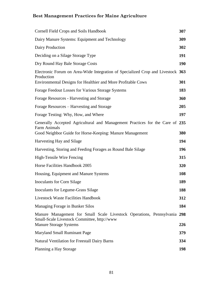| <b>Cornell Field Crops and Soils Handbook</b>                                                                                                                 | 307        |
|---------------------------------------------------------------------------------------------------------------------------------------------------------------|------------|
| Dairy Manure Systems: Equipment and Technology                                                                                                                | 309        |
| Dairy Production                                                                                                                                              | 302        |
| Deciding on a Silage Storage Type                                                                                                                             | 191        |
| Dry Round Hay Bale Storage Costs                                                                                                                              | <b>190</b> |
| Electronic Forum on Area-Wide Integration of Specialized Crop and Livestock 363<br>Production<br>Environmental Designs for Healthier and More Profitable Cows | 301        |
| Forage Feedout Losses for Various Storage Systems                                                                                                             | 183        |
| Forage Resources - Harvesting and Storage                                                                                                                     | 360        |
| Forage Resources – Harvesting and Storage                                                                                                                     | 205        |
| Forage Testing: Why, How, and Where                                                                                                                           | 197        |
| Generally Accepted Agricultural and Management Practices for the Care of 235<br>Farm Animals<br>Good Neighbor Guide for Horse-Keeping: Manure Management      | 380        |
| Harvesting Hay and Silage                                                                                                                                     | 194        |
| Harvesting, Storing and Feeding Forages as Round Bale Silage                                                                                                  | 196        |
| High-Tensile Wire Fencing                                                                                                                                     | 315        |
| Horse Facilities Handbook 2005                                                                                                                                | 320        |
| Housing, Equipment and Manure Systems                                                                                                                         | 108        |
| Inoculants for Corn Silage                                                                                                                                    | 189        |
| Inoculants for Legume-Grass Silage                                                                                                                            | 188        |
| <b>Livestock Waste Facilities Handbook</b>                                                                                                                    | 312        |
| Managing Forage in Bunker Silos                                                                                                                               | 184        |
| Manure Management for Small Scale Livestock Operations, Pennsylvania 298<br>Small-Scale Livestock Committee, http://www.<br><b>Manure Storage Systems</b>     | 226        |
| Maryland Small Ruminant Page                                                                                                                                  | 379        |
| <b>Natural Ventilation for Freestall Dairy Barns</b>                                                                                                          | 334        |
| Planning a Hay Storage                                                                                                                                        | 198        |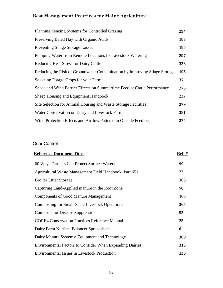| Planning Fencing Systems for Controlled Grazing                            | 294 |
|----------------------------------------------------------------------------|-----|
| Preserving Baled Hay with Organic Acids                                    | 187 |
| <b>Preventing Silage Storage Losses</b>                                    | 185 |
| Pumping Water from Remote Locations for Livestock Watering                 | 297 |
| <b>Reducing Heat Stress for Dairy Cattle</b>                               | 333 |
| Reducing the Risk of Groundwater Contamination by Improving Silage Storage | 195 |
| Selecting Forage Crops for your Farm                                       | 37  |
| Shade and Wind Barrier Effects on Summertime Feedlot Cattle Performance    | 275 |
| Sheep Housing and Equipment Handbook                                       | 237 |
| Site Selection for Animal Housing and Waste Storage Facilities             | 279 |
| Water Conservation on Dairy and Livestock Farms                            | 381 |
| Wind Protection Effects and Airflow Patterns in Outside Feedlots           | 274 |

### Odor Control

| <b>Reference Document Titles</b>                                | <b>Ref.</b> # |
|-----------------------------------------------------------------|---------------|
| 60 Ways Farmers Can Protect Surface Waters                      | 99            |
| Agricultural Waste Management Field Handbook, Part 651          | 22            |
| <b>Broiler Litter Storage</b>                                   | 105           |
| Capturing Land-Applied manure in the Root Zone                  | 70            |
| <b>Components of Good Manure Management</b>                     | 166           |
| <b>Composting for Small-Scale Livestock Operations</b>          | 365           |
| <b>Composts for Disease Suppression</b>                         | 53            |
| <b>CORE4 Conservation Practices Reference Manual</b>            | 25            |
| Dairy Farm Nutrient Balancer Spreadsheet                        | 6             |
| Dairy Manure Systems: Equipment and Technology                  | 309           |
| <b>Environmental Factors to Consider When Expanding Dairies</b> | 313           |
| <b>Environmental Issues in Livestock Production</b>             | 136           |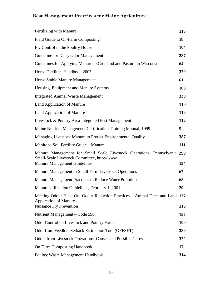| Fertilizing with Manure                                                                                                                                        | 115        |
|----------------------------------------------------------------------------------------------------------------------------------------------------------------|------------|
| Field Guide to On-Farm Composting                                                                                                                              | 18         |
| Fly Control in the Poultry House                                                                                                                               | 104        |
| Guideline for Dairy Odor Management                                                                                                                            | 287        |
| Guidelines for Applying Manure to Cropland and Pasture in Wisconsin                                                                                            | 64         |
| Horse Facilities Handbook 2005                                                                                                                                 | 320        |
| Horse Stable Manure Management                                                                                                                                 | 61         |
| Housing, Equipment and Manure Systems                                                                                                                          | 108        |
| <b>Integrated Animal Waste Management</b>                                                                                                                      | 330        |
| Land Application of Manure                                                                                                                                     | <b>110</b> |
| <b>Land Application of Manure</b>                                                                                                                              | 116        |
| Livestock & Poultry Area Integrated Pest Management                                                                                                            | 112        |
| Maine Nutrient Management Certification Training Manual, 1999                                                                                                  | 5          |
| Managing Livestock Manure to Protect Environmental Quality                                                                                                     | 387        |
| Manitoba Soil Fertility Guide - Manure                                                                                                                         | 111        |
| Manure Management for Small Scale Livestock Operations, Pennsylvania 298<br>Small-Scale Livestock Committee, http://www<br><b>Manure Management Guidelines</b> | 134        |
| Manure Management in Small Farm Livestock Operations                                                                                                           | 67         |
| Manure Management Practices to Reduce Water Pollution                                                                                                          | 68         |
| Manure Utilization Guidelines, February 1, 2001                                                                                                                | 29         |
| Meeting Odour Head On: Odour Reduction Practices – Animal Diets and Land 137<br><b>Application of Manure</b><br><b>Nuisance Fly Prevention</b>                 | 113        |
| Nutrient Management – Code 590                                                                                                                                 | 157        |
| <b>Odor Control on Livestock and Poultry Farms</b>                                                                                                             | <b>100</b> |
| Odor from Feedlots Setback Estimation Tool (OFFSET)                                                                                                            | 389        |
| <b>Odors from Livestock Operations: Causes and Possible Cures</b>                                                                                              | 322        |
| <b>On Farm Composting Handbook</b>                                                                                                                             | 17         |
| Poultry Waste Management Handbook                                                                                                                              | 314        |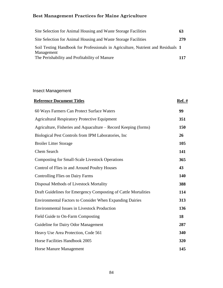| Site Selection for Animal Housing and Waste Storage Facilities                                 | 63  |
|------------------------------------------------------------------------------------------------|-----|
| Site Selection for Animal Housing and Waste Storage Facilities                                 | 279 |
| Soil Testing Handbook for Professionals in Agriculture, Nutrient and Residuals 1<br>Management |     |
| The Perishability and Profitability of Manure                                                  | 117 |

### Insect Management

| <b>Reference Document Titles</b>                                | <u>Ref. #</u> |
|-----------------------------------------------------------------|---------------|
| 60 Ways Farmers Can Protect Surface Waters                      | 99            |
| <b>Agricultural Respiratory Protective Equipment</b>            | 351           |
| Agriculture, Fisheries and Aquaculture – Record Keeping (forms) | 150           |
| Biological Pest Controls from IPM Laboratories, Inc.            | 26            |
| <b>Broiler Litter Storage</b>                                   | 105           |
| <b>Chem Search</b>                                              | 141           |
| <b>Composting for Small-Scale Livestock Operations</b>          | 365           |
| Control of Flies in and Around Poultry Houses                   | 43            |
| <b>Controlling Flies on Dairy Farms</b>                         | 140           |
| Disposal Methods of Livestock Mortality                         | 388           |
| Draft Guidelines for Emergency Composting of Cattle Mortalities | 114           |
| <b>Environmental Factors to Consider When Expanding Dairies</b> | 313           |
| <b>Environmental Issues in Livestock Production</b>             | 136           |
| Field Guide to On-Farm Composting                               | 18            |
| Guideline for Dairy Odor Management                             | 287           |
| Heavy Use Area Protection, Code 561                             | 340           |
| Horse Facilities Handbook 2005                                  | 320           |
| <b>Horse Manure Management</b>                                  | 145           |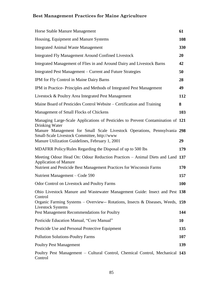| Horse Stable Manure Management                                                                                                                                             | 61  |
|----------------------------------------------------------------------------------------------------------------------------------------------------------------------------|-----|
| Housing, Equipment and Manure Systems                                                                                                                                      | 108 |
| <b>Integrated Animal Waste Management</b>                                                                                                                                  | 330 |
| <b>Integrated Fly Management Around Confined Livestock</b>                                                                                                                 | 20  |
| Integrated Management of Flies in and Around Dairy and Livestock Barns                                                                                                     | 42  |
| Integrated Pest Management – Current and Future Strategies                                                                                                                 | 50  |
| IPM for Fly Control in Maine Dairy Barns                                                                                                                                   | 28  |
| IPM in Practice-Principles and Methods of Integrated Pest Management                                                                                                       | 49  |
| Livestock & Poultry Area Integrated Pest Management                                                                                                                        | 112 |
| Maine Board of Pesticides Control Website – Certification and Training                                                                                                     | 8   |
| Management of Small Flocks of Chickens                                                                                                                                     | 103 |
| Managing Large-Scale Applications of Pesticides to Prevent Contamination of 121<br>Drinking Water                                                                          |     |
| Manure Management for Small Scale Livestock Operations, Pennsylvania 298<br>Small-Scale Livestock Committee, http://www<br>Manure Utilization Guidelines, February 1, 2001 | 29  |
| MDAFRR Policy/Rules Regarding the Disposal of up to 500 lbs                                                                                                                | 179 |
| Meeting Odour Head On: Odour Reduction Practices – Animal Diets and Land 137<br><b>Application of Manure</b>                                                               |     |
| Nutrient and Pesticide Best Management Practices for Wisconsin Farms                                                                                                       | 170 |
| Nutrient Management – Code 590                                                                                                                                             | 157 |
| <b>Odor Control on Livestock and Poultry Farms</b>                                                                                                                         | 100 |
| Ohio Livestock Manure and Wastewater Management Guide: Insect and Pest 138<br>Control                                                                                      |     |
| Organic Farming Systems – Overview-- Rotations, Insects & Diseases, Weeds, $159$<br>Livestock Systems                                                                      |     |
| Pest Management Recommendations for Poultry                                                                                                                                | 144 |
| Pesticide Education Manual, "Core Manual"                                                                                                                                  | 10  |
| Pesticide Use and Personal Protective Equipment                                                                                                                            | 135 |
| <b>Pollution Solutions-Poultry Farms</b>                                                                                                                                   | 107 |
| <b>Poultry Pest Management</b>                                                                                                                                             | 139 |
| Poultry Pest Management - Cultural Control, Chemical Control, Mechanical 143<br>Control                                                                                    |     |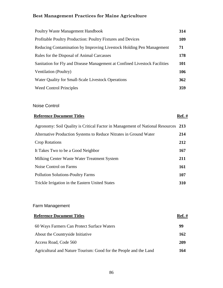| Poultry Waste Management Handbook                                          | 314        |
|----------------------------------------------------------------------------|------------|
| Profitable Poultry Production: Poultry Fixtures and Devices                | 109        |
| Reducing Contamination by Improving Livestock Holding Pen Management       | 71         |
| Rules for the Disposal of Animal Carcasses                                 | 178        |
| Sanitation for Fly and Disease Management at Confined Livestock Facilities | 101        |
| Ventilation (Poultry)                                                      | 106        |
| Water Quality for Small-Scale Livestock Operations                         | 362        |
| <b>Weed Control Principles</b>                                             | <b>359</b> |

#### Noise Control

### **Reference Document Titles Ref. #**

# Agronomy: Soil Quality is Critical Factor in Management of National Resources **213** Alternative Production Systems to Reduce Nitrates in Ground Water **214** Crop Rotations **212** It Takes Two to be a Good Neighbor **167** Milking Center Waste Water Treatment System **211** Noise Control on Farms **161** Pollution Solutions-Poultry Farms **107** Trickle Irrigation in the Eastern United States **310**

### Farm Management

| <b>Reference Document Titles</b>                                  | <b>Ref.</b> # |
|-------------------------------------------------------------------|---------------|
| 60 Ways Farmers Can Protect Surface Waters                        | 99            |
| About the Countryside Initiative                                  | 162           |
| Access Road, Code 560                                             | 209           |
| Agricultural and Nature Tourism: Good for the People and the Land | 164           |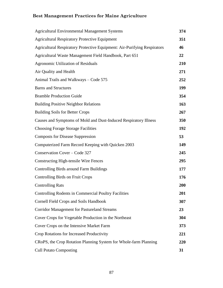| <b>Agricultural Environmental Management Systems</b>                            | 374 |
|---------------------------------------------------------------------------------|-----|
| <b>Agricultural Respiratory Protective Equipment</b>                            | 351 |
| <b>Agricultural Respiratory Protective Equipment: Air-Purifying Respirators</b> | 46  |
| Agricultural Waste Management Field Handbook, Part 651                          | 22  |
| <b>Agronomic Utilization of Residuals</b>                                       | 210 |
| Air Quality and Health                                                          | 271 |
| Animal Trails and Walkways - Code 575                                           | 252 |
| <b>Barns and Structures</b>                                                     | 199 |
| <b>Bramble Production Guide</b>                                                 | 354 |
| <b>Building Positive Neighbor Relations</b>                                     | 163 |
| <b>Building Soils for Better Crops</b>                                          | 267 |
| Causes and Symptoms of Mold and Dust-Induced Respiratory Illness                | 350 |
| <b>Choosing Forage Storage Facilities</b>                                       | 192 |
| <b>Composts for Disease Suppression</b>                                         | 53  |
| Computerized Farm Record Keeping with Quicken 2003                              | 149 |
| Conservation Cover - Code 327                                                   | 245 |
| <b>Constructing High-tensile Wire Fences</b>                                    | 295 |
| Controlling Birds around Farm Buildings                                         | 177 |
| <b>Controlling Birds on Fruit Crops</b>                                         | 176 |
| <b>Controlling Rats</b>                                                         | 200 |
| <b>Controlling Rodents in Commercial Poultry Facilities</b>                     | 201 |
| <b>Cornell Field Crops and Soils Handbook</b>                                   | 307 |
| <b>Corridor Management for Pastureland Streams</b>                              | 23  |
| Cover Crops for Vegetable Production in the Northeast                           | 304 |
| Cover Crops on the Intensive Market Farm                                        | 373 |
| Crop Rotations for Increased Productivity                                       | 221 |
| CRoPS, the Crop Rotation Planning System for Whole-farm Planning                | 220 |
| <b>Cull Potato Composting</b>                                                   | 31  |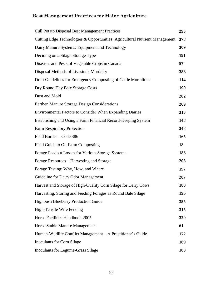| <b>Cull Potato Disposal Best Management Practices</b>                       | 293 |
|-----------------------------------------------------------------------------|-----|
| Cutting Edge Technologies & Opportunities: Agricultural Nutrient Management | 378 |
| Dairy Manure Systems: Equipment and Technology                              | 309 |
| Deciding on a Silage Storage Type                                           | 191 |
| Diseases and Pests of Vegetable Crops in Canada                             | 57  |
| Disposal Methods of Livestock Mortality                                     | 388 |
| Draft Guidelines for Emergency Composting of Cattle Mortalities             | 114 |
| Dry Round Hay Bale Storage Costs                                            | 190 |
| Dust and Mold                                                               | 202 |
| Earthen Manure Storage Design Considerations                                | 269 |
| <b>Environmental Factors to Consider When Expanding Dairies</b>             | 313 |
| Establishing and Using a Farm Financial Record-Keeping System               | 148 |
| <b>Farm Respiratory Protection</b>                                          | 348 |
| Field Border - Code 386                                                     | 165 |
| Field Guide to On-Farm Composting                                           | 18  |
| Forage Feedout Losses for Various Storage Systems                           | 183 |
| Forage Resources – Harvesting and Storage                                   | 205 |
| Forage Testing: Why, How, and Where                                         | 197 |
| Guideline for Dairy Odor Management                                         | 287 |
| Harvest and Storage of High-Quality Corn Silage for Dairy Cows              | 180 |
| Harvesting, Storing and Feeding Forages as Round Bale Silage                | 196 |
| Highbush Blueberry Production Guide                                         | 355 |
| High-Tensile Wire Fencing                                                   | 315 |
| Horse Facilities Handbook 2005                                              | 320 |
| Horse Stable Manure Management                                              | 61  |
| Human-Wildlife Conflict Management - A Practitioner's Guide                 | 172 |
| <b>Inoculants for Corn Silage</b>                                           | 189 |
| Inoculants for Legume-Grass Silage                                          | 188 |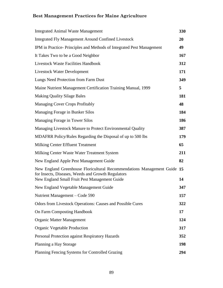| <b>Integrated Animal Waste Management</b>                                                                                                                                       | 330 |
|---------------------------------------------------------------------------------------------------------------------------------------------------------------------------------|-----|
| <b>Integrated Fly Management Around Confined Livestock</b>                                                                                                                      | 20  |
| IPM in Practice-Principles and Methods of Integrated Pest Management                                                                                                            | 49  |
| It Takes Two to be a Good Neighbor                                                                                                                                              | 167 |
| <b>Livestock Waste Facilities Handbook</b>                                                                                                                                      | 312 |
| <b>Livestock Water Development</b>                                                                                                                                              | 171 |
| Lungs Need Protection from Farm Dust                                                                                                                                            | 349 |
| Maine Nutrient Management Certification Training Manual, 1999                                                                                                                   | 5   |
| <b>Making Quality Silage Bales</b>                                                                                                                                              | 181 |
| <b>Managing Cover Crops Profitably</b>                                                                                                                                          | 48  |
| Managing Forage in Bunker Silos                                                                                                                                                 | 184 |
| Managing Forage in Tower Silos                                                                                                                                                  | 186 |
| Managing Livestock Manure to Protect Environmental Quality                                                                                                                      | 387 |
| MDAFRR Policy/Rules Regarding the Disposal of up to 500 lbs                                                                                                                     | 179 |
| Milking Center Effluent Treatment                                                                                                                                               | 65  |
| Milking Center Waste Water Treatment System                                                                                                                                     | 211 |
| New England Apple Pest Management Guide                                                                                                                                         | 82  |
| New England Greenhouse Floricultural Recommendations Management Guide 15<br>for Insects, Diseases, Weeds and Growth Regulators<br>New England Small Fruit Pest Management Guide | 14  |
| New England Vegetable Management Guide                                                                                                                                          | 347 |
| Nutrient Management – Code 590                                                                                                                                                  | 157 |
| <b>Odors from Livestock Operations: Causes and Possible Cures</b>                                                                                                               | 322 |
| <b>On Farm Composting Handbook</b>                                                                                                                                              | 17  |
| <b>Organic Matter Management</b>                                                                                                                                                | 124 |
| Organic Vegetable Production                                                                                                                                                    | 317 |
| Personal Protection against Respiratory Hazards                                                                                                                                 | 352 |
| Planning a Hay Storage                                                                                                                                                          | 198 |
| Planning Fencing Systems for Controlled Grazing                                                                                                                                 | 294 |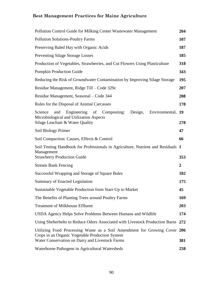| Pollution Control Guide for Milking Center Wastewater Management                                                                                                 | 204            |
|------------------------------------------------------------------------------------------------------------------------------------------------------------------|----------------|
| <b>Pollution Solutions-Poultry Farms</b>                                                                                                                         | 107            |
| Preserving Baled Hay with Organic Acids                                                                                                                          | 187            |
| <b>Preventing Silage Storage Losses</b>                                                                                                                          | 185            |
| Production of Vegetables, Strawberries, and Cut Flowers Using Plasticulture                                                                                      | 318            |
| <b>Pumpkin Production Guide</b>                                                                                                                                  | 343            |
| Reducing the Risk of Groundwater Contamination by Improving Silage Storage                                                                                       | 195            |
| Residue Management, Ridge Till – Code 329c                                                                                                                       | 207            |
| Residue Management, Seasonal – Code 344                                                                                                                          | 208            |
| Rules for the Disposal of Animal Carcasses                                                                                                                       | 178            |
| Science<br>Engineering<br>Composting:<br>Design,<br>Environmental, 19<br>and<br>of<br>Microbiological and Utilization Aspects<br>Silage Leachate & Water Quality | 278            |
| Soil Biology Primer                                                                                                                                              | 47             |
| Soil Compaction: Causes, Effects & Control                                                                                                                       | 66             |
| Soil Testing Handbook for Professionals in Agriculture, Nutrient and Residuals 1<br>Management<br><b>Strawberry Production Guide</b>                             | 353            |
| <b>Stream Bank Fencing</b>                                                                                                                                       | $\overline{2}$ |
| Successful Wrapping and Storage of Square Bales                                                                                                                  | 182            |
| Summary of Enacted Legislation                                                                                                                                   | 175            |
| Sustainable Vegetable Production from Start-Up to Market                                                                                                         | 45             |
| The Benefits of Planting Trees around Poultry Farms                                                                                                              | 169            |
| <b>Treatment of Milkhouse Effluent</b>                                                                                                                           | 203            |
| USDA Agency Helps Solve Problems Between Humans and Wildlife                                                                                                     | 174            |
| Using Shelterbelts to Reduce Odors Associated with Livestock Production Barns 272                                                                                |                |
| Utilizing Food Processing Waste as a Soil Amendment for Growing Cover 206<br>Crops in an Organic Vegetable Production System                                     |                |
| Water Conservation on Dairy and Livestock Farms                                                                                                                  | 381            |
| Waterborne Pathogens in Agricultural Watersheds                                                                                                                  | 258            |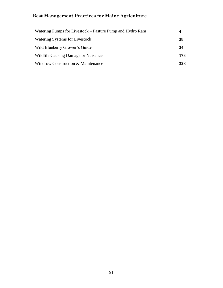| Watering Pumps for Livestock – Pasture Pump and Hydro Ram | 4   |
|-----------------------------------------------------------|-----|
| Watering Systems for Livestock                            | 38  |
| Wild Blueberry Grower's Guide                             | 34  |
| Wildlife Causing Damage or Nuisance                       | 173 |
| Windrow Construction & Maintenance                        | 328 |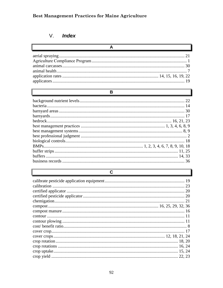#### V. Index

### $\overline{B}$

## $\overline{c}$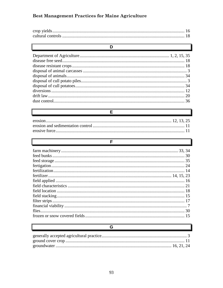### D  $\frac{36}{2}$

E

#### F.

### 

#### G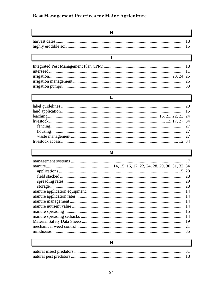$\mathbb{F}$ 

### $H$

 $\overline{\mathsf{I}}$ 

| <u> La componenta de la componenta de la componenta de la componenta de la componenta de la componenta de la compo</u> |  |
|------------------------------------------------------------------------------------------------------------------------|--|
|                                                                                                                        |  |
|                                                                                                                        |  |
|                                                                                                                        |  |
|                                                                                                                        |  |
|                                                                                                                        |  |

| <u> Louis Communication de la communication de la communication de la communication de la communication de la com</u> |  |
|-----------------------------------------------------------------------------------------------------------------------|--|
|                                                                                                                       |  |
|                                                                                                                       |  |
|                                                                                                                       |  |
|                                                                                                                       |  |
|                                                                                                                       |  |
|                                                                                                                       |  |
|                                                                                                                       |  |
|                                                                                                                       |  |

### M

### $\overline{\mathsf{N}}$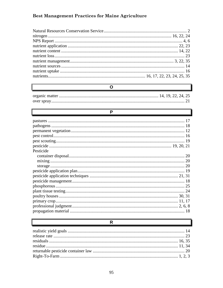$\overline{\mathbf{O}}$ 

| Р         |  |
|-----------|--|
|           |  |
|           |  |
|           |  |
|           |  |
|           |  |
|           |  |
| Pesticide |  |
|           |  |
|           |  |
|           |  |
|           |  |
|           |  |
|           |  |
|           |  |
|           |  |
|           |  |
|           |  |
|           |  |
|           |  |
|           |  |

### $\overline{\mathsf{R}}$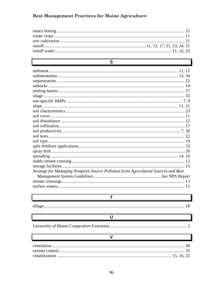$\overline{\mathbf{s}}$ 

| S                                                                                  |  |
|------------------------------------------------------------------------------------|--|
|                                                                                    |  |
|                                                                                    |  |
|                                                                                    |  |
|                                                                                    |  |
|                                                                                    |  |
|                                                                                    |  |
|                                                                                    |  |
|                                                                                    |  |
|                                                                                    |  |
|                                                                                    |  |
|                                                                                    |  |
|                                                                                    |  |
|                                                                                    |  |
|                                                                                    |  |
|                                                                                    |  |
|                                                                                    |  |
|                                                                                    |  |
|                                                                                    |  |
|                                                                                    |  |
|                                                                                    |  |
| Strategy for Managing Nonpoint Source Pollution from Agricultural Sources and Best |  |
|                                                                                    |  |
|                                                                                    |  |
|                                                                                    |  |

 $\overline{T}$ 

 $\overline{\mathsf{U}}$